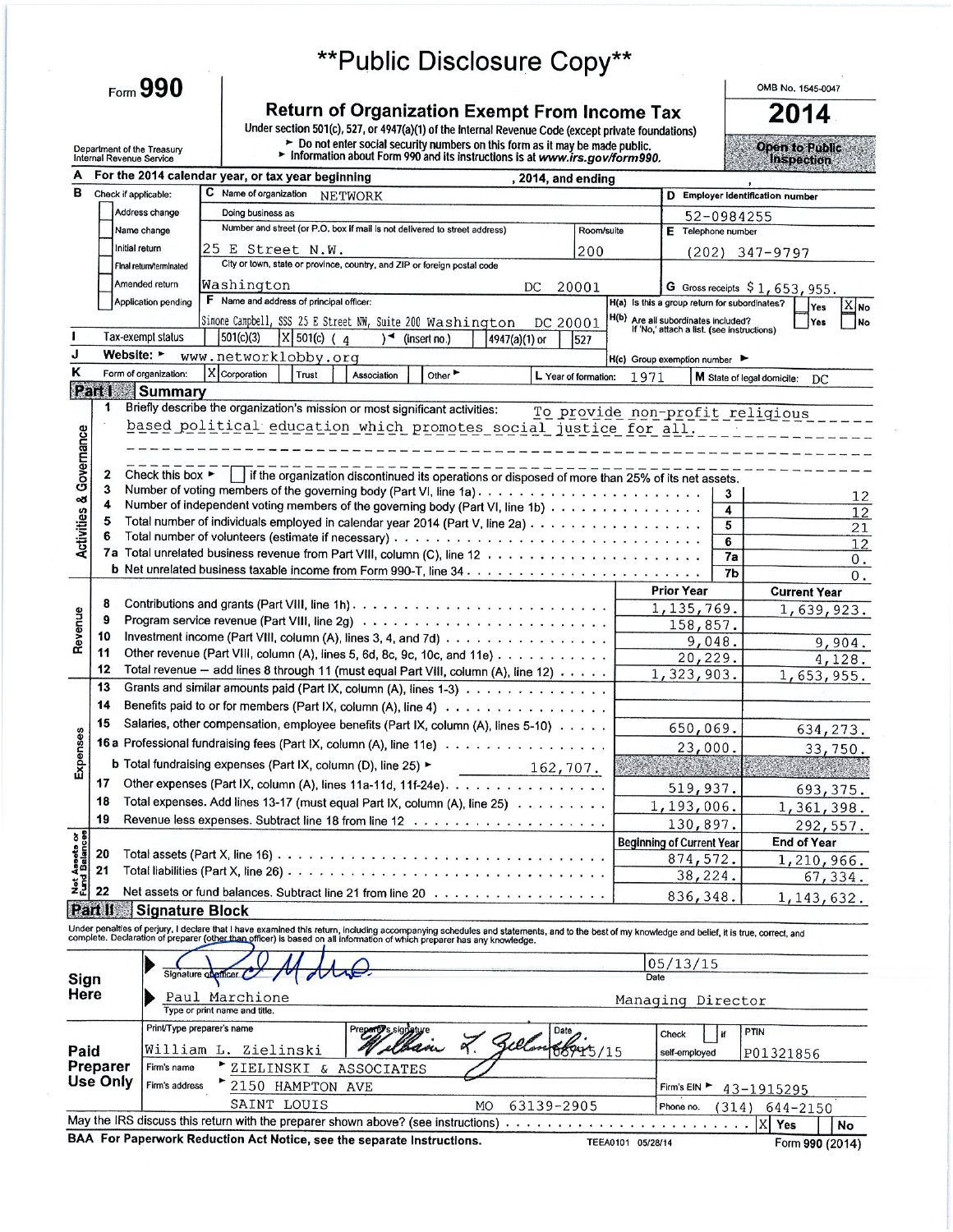Form 990

Department of the Treasury<br>Internal Revenue Service

# \*\* Public Disclosure Copy\*\*

Return of Organization Exempt From Income Tax<br>Under section 501(c), 527, or 4947(a)(1) of the Internal Revenue Code (except private foundations)<br>
F Do not enter social security numbers on this form as it may be made public

OMB No. 1545-0047 2014

Open to Public<br>Inspection

|                                    |                      |                                      | For the 2014 calendar year, or tax year beginning<br>, 2014, and ending                                                                                                                                                           |                   |                                                                                   |                | 2022 AND A DEATH AND ALCOHOL:    |
|------------------------------------|----------------------|--------------------------------------|-----------------------------------------------------------------------------------------------------------------------------------------------------------------------------------------------------------------------------------|-------------------|-----------------------------------------------------------------------------------|----------------|----------------------------------|
| в                                  | Check if applicable: |                                      | C Name of organization<br><b>NETWORK</b>                                                                                                                                                                                          |                   |                                                                                   |                | D Employer identification number |
|                                    |                      | Address change                       | Doing business as                                                                                                                                                                                                                 |                   |                                                                                   | 52-0984255     |                                  |
|                                    |                      | Name change                          | Number and street (or P.O. box if mail is not delivered to street address)<br>Room/suite                                                                                                                                          |                   | E Telephone number                                                                |                |                                  |
|                                    |                      | Initial return                       | 25 E Street N.W.<br>200                                                                                                                                                                                                           |                   |                                                                                   |                | $(202)$ 347-9797                 |
|                                    |                      | Final return/terminated              | City or town, state or province, country, and ZIP or foreign postal code                                                                                                                                                          |                   |                                                                                   |                |                                  |
|                                    |                      | Amended return                       | Washington<br>20001<br>DC                                                                                                                                                                                                         |                   |                                                                                   |                | G Gross receipts \$1,653,955.    |
|                                    |                      | Application pending                  | F Name and address of principal officer:                                                                                                                                                                                          |                   | H(a) Is this a group return for subordinates?                                     |                | <b>X</b> No<br>Yes               |
|                                    |                      |                                      | Simone Campbell, SSS 25 E Street NW, Suite 200 Washington<br>DC 20001                                                                                                                                                             |                   | H(b) Are all subordinates included?<br>If 'No,' attach a list. (see instructions) |                | Yes<br>No                        |
|                                    |                      | Tax-exempt status                    | 501(c)(3)<br>X 501(c) (4<br>∖◄<br>(insert no.)<br>4947(a)(1) or<br>527                                                                                                                                                            |                   |                                                                                   |                |                                  |
| J                                  | Website: ►           |                                      | www.networklobby.org                                                                                                                                                                                                              |                   | H(c) Group exemption number ▶                                                     |                |                                  |
| κ                                  |                      | Form of organization:                | X Corporation<br>Trust<br>Association<br>Other<br>L Year of formation:                                                                                                                                                            | 1971              |                                                                                   |                | M State of legal domicile:<br>DC |
|                                    |                      | Part1 Summary                        |                                                                                                                                                                                                                                   |                   |                                                                                   |                |                                  |
|                                    | 1                    |                                      | Briefly describe the organization's mission or most significant activities:<br>To provide non-profit religious                                                                                                                    |                   |                                                                                   |                |                                  |
|                                    |                      |                                      | based political education which promotes social justice for all.                                                                                                                                                                  |                   |                                                                                   |                |                                  |
| <b>Activities &amp; Governance</b> |                      |                                      |                                                                                                                                                                                                                                   |                   |                                                                                   |                |                                  |
|                                    |                      |                                      |                                                                                                                                                                                                                                   |                   |                                                                                   |                |                                  |
|                                    | 3                    | Check this box $\blacktriangleright$ | if the organization discontinued its operations or disposed of more than 25% of its net assets.                                                                                                                                   |                   |                                                                                   |                |                                  |
|                                    | 4                    |                                      | Number of independent voting members of the governing body (Part VI, line 1b)                                                                                                                                                     |                   |                                                                                   | 3              | 12                               |
|                                    | 5                    |                                      | Total number of individuals employed in calendar year 2014 (Part V, line 2a)                                                                                                                                                      |                   |                                                                                   | 4<br>5         | $\overline{12}$                  |
|                                    |                      |                                      |                                                                                                                                                                                                                                   |                   |                                                                                   | $6\phantom{1}$ | 21                               |
|                                    |                      |                                      |                                                                                                                                                                                                                                   |                   |                                                                                   | 7a             | 12<br>0.                         |
|                                    |                      |                                      |                                                                                                                                                                                                                                   |                   |                                                                                   | 7b             | 0.                               |
|                                    |                      |                                      |                                                                                                                                                                                                                                   |                   | <b>Prior Year</b>                                                                 |                | <b>Current Year</b>              |
|                                    | 8                    |                                      | Contributions and grants (Part VIII, line 1h)                                                                                                                                                                                     |                   | 1, 135, 769.                                                                      |                | 1,639,923.                       |
|                                    | 9                    |                                      |                                                                                                                                                                                                                                   |                   | 158,857.                                                                          |                |                                  |
| Revenue                            | 10                   |                                      | Investment income (Part VIII, column (A), lines 3, 4, and 7d)                                                                                                                                                                     |                   | 9,048.                                                                            |                | 9,904.                           |
|                                    | 11                   |                                      | Other revenue (Part VIII, column (A), lines 5, 6d, 8c, 9c, 10c, and 11e)                                                                                                                                                          |                   | 20,229.                                                                           |                | 4,128.                           |
|                                    | 12                   |                                      | Total revenue - add lines 8 through 11 (must equal Part VIII, column (A), line 12)                                                                                                                                                |                   | 1,323,903.                                                                        |                | 1,653,955.                       |
|                                    | 13                   |                                      | Grants and similar amounts paid (Part IX, column (A), lines 1-3)                                                                                                                                                                  |                   |                                                                                   |                |                                  |
|                                    | 14                   |                                      | Benefits paid to or for members (Part IX, column (A), line 4)                                                                                                                                                                     |                   |                                                                                   |                |                                  |
|                                    | 15                   |                                      | Salaries, other compensation, employee benefits (Part IX, column (A), lines 5-10)                                                                                                                                                 |                   | 650,069.                                                                          |                | 634,273.                         |
|                                    |                      |                                      | 16a Professional fundraising fees (Part IX, column (A), line 11e)                                                                                                                                                                 |                   | 23,000.                                                                           |                | 33,750.                          |
| Expenses                           |                      |                                      | b Total fundraising expenses (Part IX, column (D), line 25) ►<br>162,707.                                                                                                                                                         |                   |                                                                                   |                |                                  |
|                                    | 17                   |                                      | Other expenses (Part IX, column (A), lines 11a-11d, 11f-24e).                                                                                                                                                                     |                   | 519,937.                                                                          |                | 693,375.                         |
|                                    | 18                   |                                      | Total expenses. Add lines 13-17 (must equal Part IX, column (A), line 25)                                                                                                                                                         |                   | 1,193,006.                                                                        |                | 1,361,398.                       |
|                                    | 19                   |                                      |                                                                                                                                                                                                                                   |                   | 130,897.                                                                          |                | 292,557.                         |
| ssets or<br>Jalances               |                      |                                      |                                                                                                                                                                                                                                   |                   | <b>Beginning of Current Year</b>                                                  |                | <b>End of Year</b>               |
|                                    | 20                   |                                      |                                                                                                                                                                                                                                   |                   | 874,572.                                                                          |                | 1,210,966.                       |
| Net As<br>Fund B                   | 21                   |                                      | Total liabilities (Part X, line 26)....                                                                                                                                                                                           |                   | 38,224.                                                                           |                | 67,334.                          |
|                                    | 22                   |                                      | Net assets or fund balances. Subtract line 21 from line 20                                                                                                                                                                        |                   | 836, 348.                                                                         |                | 1, 143, 632.                     |
|                                    | Part II              | <b>Signature Block</b>               |                                                                                                                                                                                                                                   |                   |                                                                                   |                |                                  |
|                                    |                      |                                      | Under penalties of perjury, I declare that I have examined this return, including accompanying schedules and statements, and to the best of my knowledge and belief, it is true, correct, and<br>complete. Declaration of prepare |                   |                                                                                   |                |                                  |
|                                    |                      |                                      | Signature of efficer                                                                                                                                                                                                              |                   | 05/13/15                                                                          |                |                                  |
| Sign<br>Here                       |                      |                                      |                                                                                                                                                                                                                                   |                   |                                                                                   |                |                                  |
|                                    |                      |                                      | Paul Marchione<br>Type or print name and title.                                                                                                                                                                                   |                   | Managing Director                                                                 |                |                                  |
|                                    |                      | Print/Type preparer's name           | Preparty's signature<br>Date                                                                                                                                                                                                      |                   |                                                                                   |                |                                  |
|                                    |                      |                                      | 2 See                                                                                                                                                                                                                             |                   | Check                                                                             | if             | PTIN                             |
| Paid                               | Preparer             | Firm's name                          | 68945/15<br>William L. Zielinski                                                                                                                                                                                                  |                   | self-employed                                                                     |                | P01321856                        |
|                                    | Use Only             | Firm's address                       | ZIELINSKI & ASSOCIATES                                                                                                                                                                                                            |                   |                                                                                   |                |                                  |
|                                    |                      |                                      | 2150 HAMPTON AVE                                                                                                                                                                                                                  |                   | Firm's EIN                                                                        |                | 43-1915295                       |
|                                    |                      |                                      | SAINT LOUIS<br>MO<br>63139-2905<br>May the IRS discuss this return with the preparer shown above? (see instructions)                                                                                                              |                   | Phone no.                                                                         | (314)          | 644-2150                         |
|                                    |                      |                                      | .<br>BAA For Paperwork Reduction Act Notice, see the separate Instructions.                                                                                                                                                       |                   |                                                                                   |                | Χ<br>Yes<br>No                   |
|                                    |                      |                                      |                                                                                                                                                                                                                                   | TEEA0101 05/28/14 |                                                                                   |                | Form 990 (2014)                  |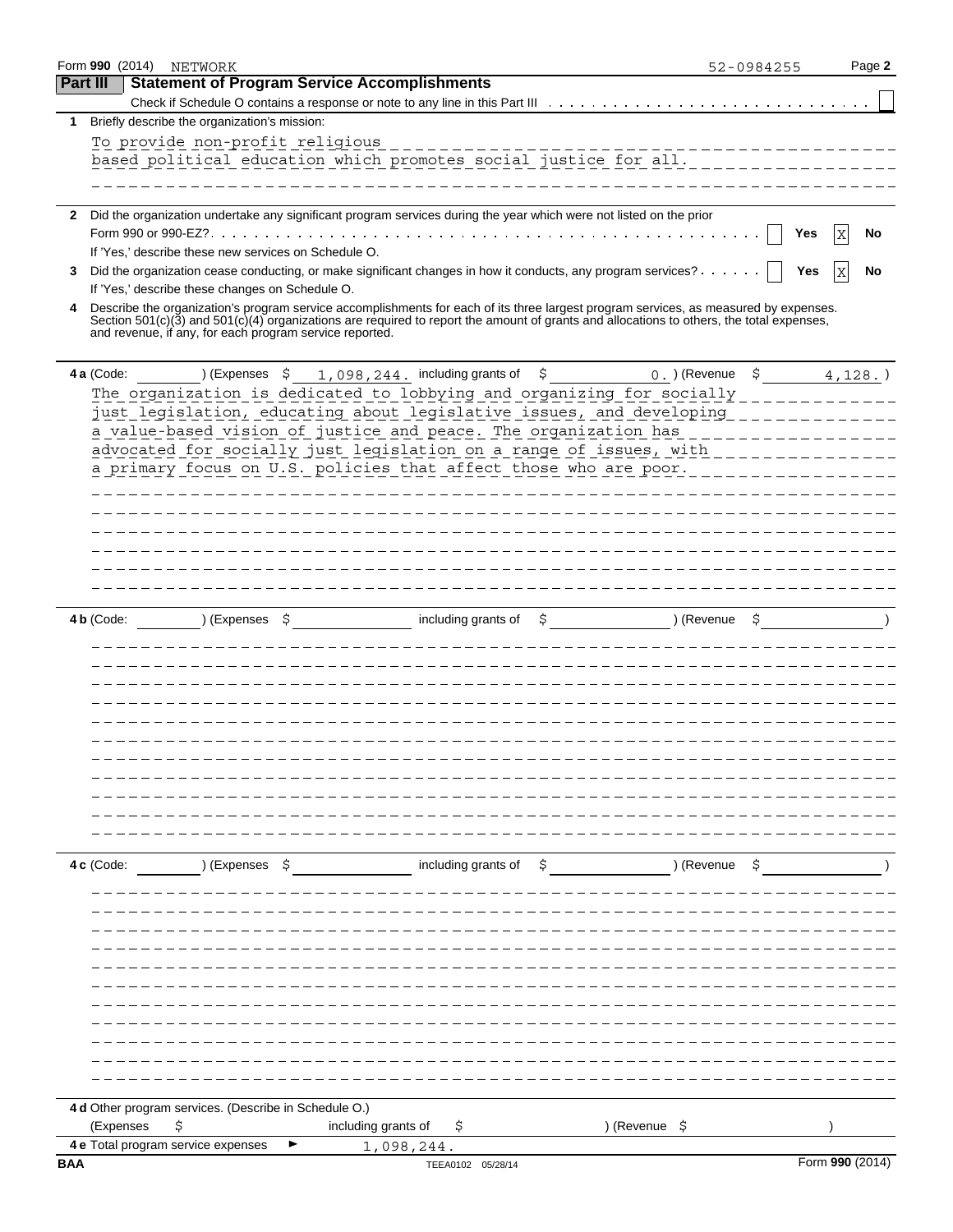|              |            | Form 990 (2014) NETWORK                                     |                                                                                                                                                                                                                                                                                      |                        |                                          | 52-0984255                  | Page 2          |
|--------------|------------|-------------------------------------------------------------|--------------------------------------------------------------------------------------------------------------------------------------------------------------------------------------------------------------------------------------------------------------------------------------|------------------------|------------------------------------------|-----------------------------|-----------------|
| Part III     |            |                                                             | <b>Statement of Program Service Accomplishments</b>                                                                                                                                                                                                                                  |                        |                                          |                             |                 |
|              |            |                                                             |                                                                                                                                                                                                                                                                                      |                        |                                          |                             |                 |
| 1            |            | Briefly describe the organization's mission:                |                                                                                                                                                                                                                                                                                      |                        |                                          |                             |                 |
|              |            | To provide non-profit religious                             |                                                                                                                                                                                                                                                                                      |                        | . <u>_ _ _ _ _ _ _ _ _ _ _ _ _ _ _</u> _ |                             |                 |
|              |            |                                                             |                                                                                                                                                                                                                                                                                      |                        |                                          |                             |                 |
|              |            |                                                             |                                                                                                                                                                                                                                                                                      |                        |                                          |                             |                 |
| $\mathbf{2}$ |            |                                                             | Did the organization undertake any significant program services during the year which were not listed on the prior                                                                                                                                                                   |                        |                                          |                             |                 |
|              |            |                                                             |                                                                                                                                                                                                                                                                                      |                        |                                          | Yes                         | No              |
|              |            | If 'Yes,' describe these new services on Schedule O.        |                                                                                                                                                                                                                                                                                      |                        |                                          |                             |                 |
| 3            |            |                                                             | Did the organization cease conducting, or make significant changes in how it conducts, any program services?                                                                                                                                                                         |                        |                                          | Yes                         | No              |
|              |            | If 'Yes,' describe these changes on Schedule O.             |                                                                                                                                                                                                                                                                                      |                        |                                          |                             |                 |
| 4            |            | and revenue, if any, for each program service reported.     | Describe the organization's program service accomplishments for each of its three largest program services, as measured by expenses.<br>Section $501(c)(3)$ and $501(c)(4)$ organizations are required to report the amount of grants and allocations to others, the total expenses, |                        |                                          |                             |                 |
|              | 4 a (Code: |                                                             | $(1, 0.05)$ (Expenses $\frac{1}{2}$ , 1, 098, 244, including grants of $\frac{1}{2}$ (Revenue $\frac{1}{2}$ (Revenue $\frac{1}{2}$ 4, 128, )                                                                                                                                         |                        |                                          |                             |                 |
|              |            |                                                             | The organization is dedicated to lobbying and organizing for socially ___________                                                                                                                                                                                                    |                        |                                          |                             |                 |
|              |            |                                                             | just legislation, educating about legislative issues, and developing                                                                                                                                                                                                                 |                        |                                          |                             |                 |
|              |            |                                                             | a value-based vision of justice and peace. The organization has                                                                                                                                                                                                                      |                        |                                          | _ _ _ _ _ _ _ _ _ _ _ _ _ _ |                 |
|              |            |                                                             | advocated for socially just legislation on a range of issues, with ___________                                                                                                                                                                                                       |                        |                                          |                             |                 |
|              |            |                                                             | a primary focus on U.S. policies_that_affect_those_who_are_poor._______________                                                                                                                                                                                                      |                        |                                          |                             |                 |
|              |            |                                                             |                                                                                                                                                                                                                                                                                      |                        | ----------------------------------       |                             |                 |
|              |            |                                                             |                                                                                                                                                                                                                                                                                      |                        |                                          |                             |                 |
|              |            |                                                             |                                                                                                                                                                                                                                                                                      |                        |                                          |                             |                 |
|              |            |                                                             |                                                                                                                                                                                                                                                                                      |                        |                                          |                             |                 |
|              |            |                                                             |                                                                                                                                                                                                                                                                                      |                        |                                          |                             |                 |
|              |            |                                                             |                                                                                                                                                                                                                                                                                      |                        |                                          |                             |                 |
|              |            |                                                             |                                                                                                                                                                                                                                                                                      | including grants of \$ |                                          |                             |                 |
|              | 4 b (Code: | ) (Expenses \$                                              |                                                                                                                                                                                                                                                                                      |                        | ) (Revenue                               |                             |                 |
|              |            |                                                             |                                                                                                                                                                                                                                                                                      |                        | _________________________________        |                             |                 |
|              |            |                                                             |                                                                                                                                                                                                                                                                                      |                        |                                          |                             |                 |
|              |            |                                                             |                                                                                                                                                                                                                                                                                      |                        |                                          |                             |                 |
|              |            |                                                             |                                                                                                                                                                                                                                                                                      |                        |                                          |                             |                 |
|              |            |                                                             |                                                                                                                                                                                                                                                                                      |                        |                                          |                             |                 |
|              |            |                                                             |                                                                                                                                                                                                                                                                                      |                        |                                          |                             |                 |
|              |            |                                                             |                                                                                                                                                                                                                                                                                      |                        |                                          |                             |                 |
|              |            |                                                             |                                                                                                                                                                                                                                                                                      |                        |                                          |                             |                 |
|              |            |                                                             |                                                                                                                                                                                                                                                                                      |                        |                                          |                             |                 |
|              |            |                                                             |                                                                                                                                                                                                                                                                                      |                        |                                          |                             |                 |
|              |            |                                                             |                                                                                                                                                                                                                                                                                      |                        |                                          |                             |                 |
|              | 4 c (Code: | ) (Expenses \$                                              |                                                                                                                                                                                                                                                                                      | including grants of \$ | ) (Revenue \$                            |                             |                 |
|              |            |                                                             |                                                                                                                                                                                                                                                                                      |                        |                                          |                             |                 |
|              |            |                                                             |                                                                                                                                                                                                                                                                                      |                        |                                          |                             |                 |
|              |            |                                                             |                                                                                                                                                                                                                                                                                      |                        |                                          |                             |                 |
|              |            |                                                             |                                                                                                                                                                                                                                                                                      |                        |                                          |                             |                 |
|              |            |                                                             |                                                                                                                                                                                                                                                                                      |                        |                                          |                             |                 |
|              |            |                                                             |                                                                                                                                                                                                                                                                                      |                        |                                          |                             |                 |
|              |            |                                                             |                                                                                                                                                                                                                                                                                      |                        |                                          |                             |                 |
|              |            |                                                             |                                                                                                                                                                                                                                                                                      |                        |                                          |                             |                 |
|              |            |                                                             |                                                                                                                                                                                                                                                                                      |                        |                                          |                             |                 |
|              |            |                                                             |                                                                                                                                                                                                                                                                                      |                        |                                          |                             |                 |
|              |            |                                                             |                                                                                                                                                                                                                                                                                      |                        |                                          |                             |                 |
|              |            |                                                             |                                                                                                                                                                                                                                                                                      |                        |                                          |                             |                 |
|              | (Expenses  | 4 d Other program services. (Describe in Schedule O.)<br>\$ | including grants of<br>\$                                                                                                                                                                                                                                                            |                        | ) (Revenue \$                            |                             |                 |
|              |            | 4 e Total program service expenses                          | 1,098,244.                                                                                                                                                                                                                                                                           |                        |                                          |                             |                 |
| <b>BAA</b>   |            |                                                             | TEEA0102 05/28/14                                                                                                                                                                                                                                                                    |                        |                                          |                             | Form 990 (2014) |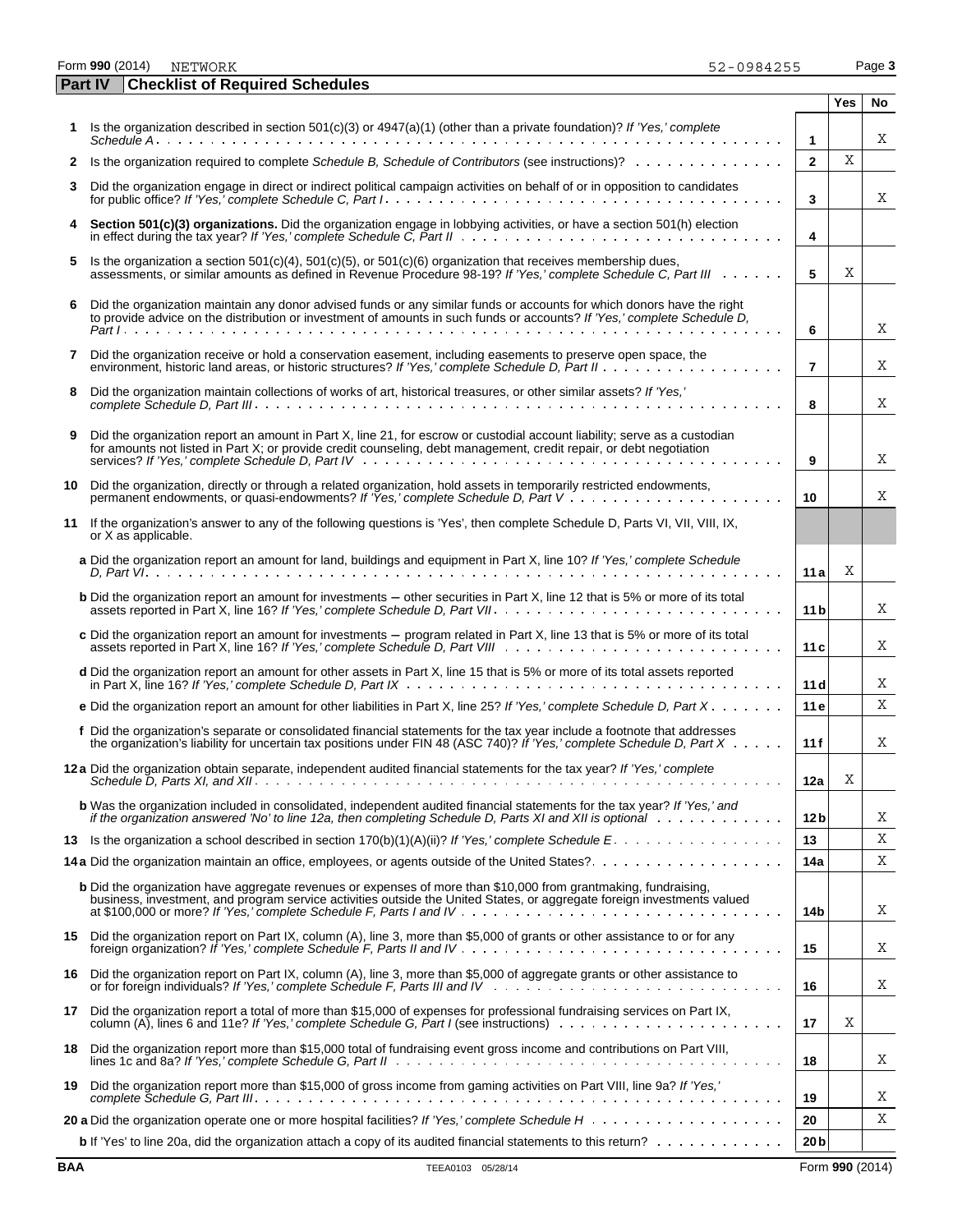Form 990 (2014) NETWORK **Page 3** 

**Part IV Checklist of Required Schedules**

|    |                                                                                                                                                                                                                                                     |                 | <b>Yes</b> | No |
|----|-----------------------------------------------------------------------------------------------------------------------------------------------------------------------------------------------------------------------------------------------------|-----------------|------------|----|
|    | Is the organization described in section $501(c)(3)$ or $4947(a)(1)$ (other than a private foundation)? If 'Yes,' complete                                                                                                                          | $\mathbf{1}$    |            | Χ  |
| 2  | Is the organization required to complete Schedule B, Schedule of Contributors (see instructions)?                                                                                                                                                   | $\overline{2}$  | X          |    |
| 3  | Did the organization engage in direct or indirect political campaign activities on behalf of or in opposition to candidates                                                                                                                         | 3               |            | Χ  |
| 4  | Section 501(c)(3) organizations. Did the organization engage in lobbying activities, or have a section 501(h) election in effect during the tax year? If 'Yes,' complete Schedule C, Part II                                                        | 4               |            |    |
| 5. | Is the organization a section $501(c)(4)$ , $501(c)(5)$ , or $501(c)(6)$ organization that receives membership dues,<br>assessments, or similar amounts as defined in Revenue Procedure 98-19? If 'Yes,' complete Schedule C, Part III              | 5               | X          |    |
| 6  | Did the organization maintain any donor advised funds or any similar funds or accounts for which donors have the right<br>to provide advice on the distribution or investment of amounts in such funds or accounts? If 'Yes,' complete Schedule D,  | 6               |            | Χ  |
| 7  | Did the organization receive or hold a conservation easement, including easements to preserve open space, the                                                                                                                                       | $\overline{7}$  |            | Χ  |
| 8  | Did the organization maintain collections of works of art, historical treasures, or other similar assets? If 'Yes,'                                                                                                                                 | 8               |            | Χ  |
| 9  | Did the organization report an amount in Part X, line 21, for escrow or custodial account liability; serve as a custodian<br>for amounts not listed in Part X; or provide credit counseling, debt management, credit repair, or debt negotiation    | 9               |            | Χ  |
| 10 | Did the organization, directly or through a related organization, hold assets in temporarily restricted endowments,                                                                                                                                 | 10              |            | Χ  |
| 11 | If the organization's answer to any of the following questions is 'Yes', then complete Schedule D, Parts VI, VII, VIII, IX,<br>or X as applicable.                                                                                                  |                 |            |    |
|    | a Did the organization report an amount for land, buildings and equipment in Part X, line 10? If 'Yes,' complete Schedule                                                                                                                           | 11a             | X          |    |
|    | <b>b</b> Did the organization report an amount for investments – other securities in Part X, line 12 that is 5% or more of its total                                                                                                                | 11 <sub>b</sub> |            | Χ  |
|    | c Did the organization report an amount for investments - program related in Part X, line 13 that is 5% or more of its total                                                                                                                        | 11c             |            | Χ  |
|    | d Did the organization report an amount for other assets in Part X, line 15 that is 5% or more of its total assets reported                                                                                                                         | 11d             |            | Χ  |
|    | e Did the organization report an amount for other liabilities in Part X, line 25? If 'Yes,' complete Schedule D, Part X                                                                                                                             | 11 e            |            | X  |
|    | f Did the organization's separate or consolidated financial statements for the tax year include a footnote that addresses<br>the organization's liability for uncertain tax positions under FIN 48 (ASC 740)? If 'Yes,' complete Schedule D, Part X | 11f             |            | Χ  |
|    | 12 a Did the organization obtain separate, independent audited financial statements for the tax year? If 'Yes,' complete                                                                                                                            | 12a             | Χ          |    |
|    | <b>b</b> Was the organization included in consolidated, independent audited financial statements for the tax year? If 'Yes,' and<br>if the organization answered 'No' to line 12a, then completing Schedule D, Parts XI and XII is optional         | 12 <sub>b</sub> |            | Χ  |
|    | 13 Is the organization a school described in section 170(b)(1)(A)(ii)? If 'Yes,' complete Schedule E.                                                                                                                                               | 13              |            | Χ  |
|    |                                                                                                                                                                                                                                                     | 14a             |            | Χ  |
|    | <b>b</b> Did the organization have aggregate revenues or expenses of more than \$10,000 from grantmaking, fundraising,<br>business, investment, and program service activities outside the United States, or aggregate foreign investments valued   | 14b             |            | Χ  |
|    | 15 Did the organization report on Part IX, column (A), line 3, more than \$5,000 of grants or other assistance to or for any                                                                                                                        | 15              |            | Χ  |
| 16 | Did the organization report on Part IX, column (A), line 3, more than \$5,000 of aggregate grants or other assistance to                                                                                                                            | 16              |            | Χ  |
| 17 | Did the organization report a total of more than \$15,000 of expenses for professional fundraising services on Part IX,                                                                                                                             | 17              | Χ          |    |
| 18 | Did the organization report more than \$15,000 total of fundraising event gross income and contributions on Part VIII,                                                                                                                              | 18              |            | Χ  |
| 19 | Did the organization report more than \$15,000 of gross income from gaming activities on Part VIII, line 9a? If 'Yes,'                                                                                                                              | 19              |            | Χ  |
|    |                                                                                                                                                                                                                                                     | 20              |            | Χ  |
|    | <b>b</b> If 'Yes' to line 20a, did the organization attach a copy of its audited financial statements to this return?                                                                                                                               | 20 <sub>b</sub> |            |    |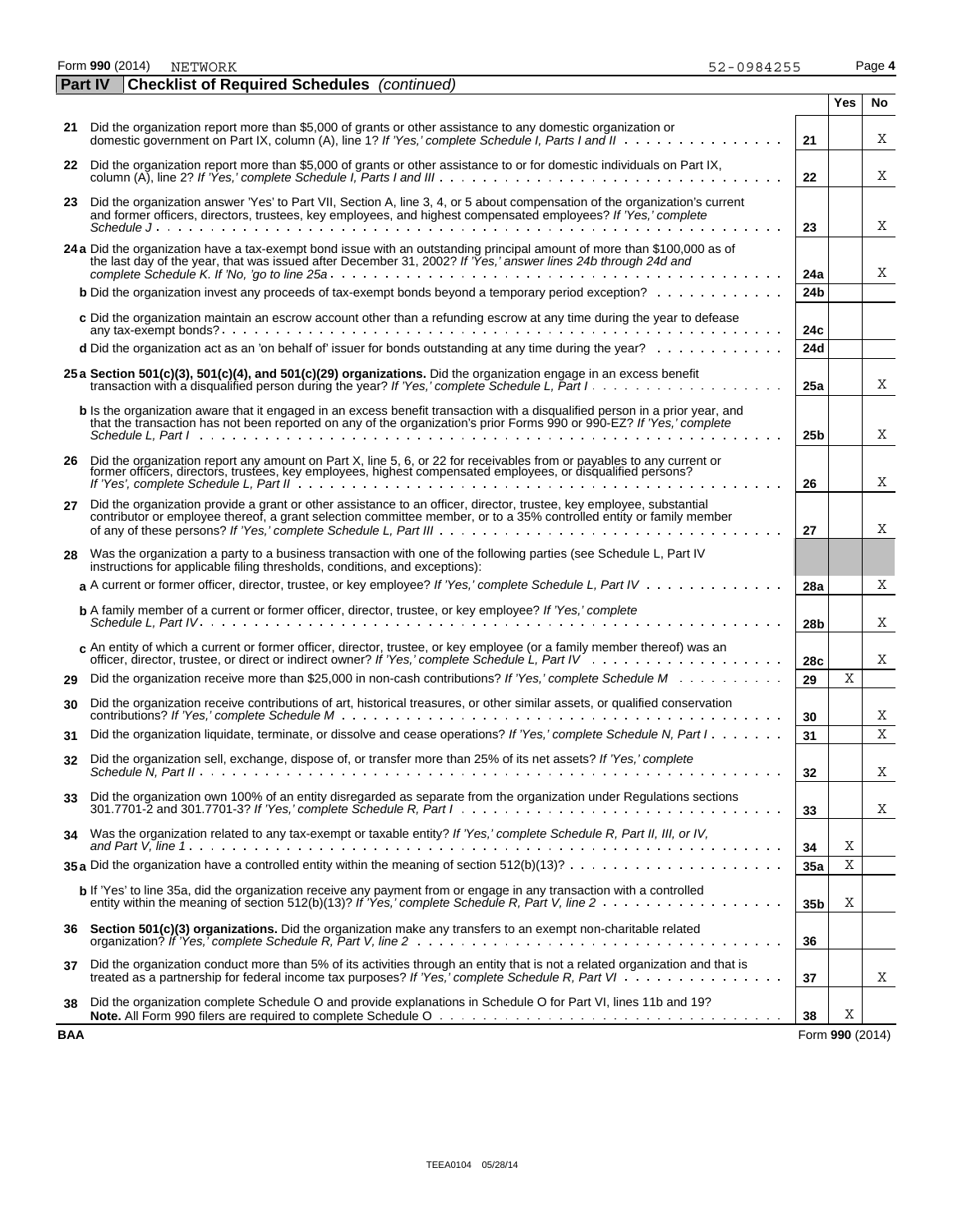| Form 990 (2014) | NETWORK | 52-0984255 | Page 4 |
|-----------------|---------|------------|--------|
|                 |         |            |        |

|     | Part IV | <b>Checklist of Required Schedules</b> (continued)                                                                                                                                                                                                                                                  |                 |     |    |
|-----|---------|-----------------------------------------------------------------------------------------------------------------------------------------------------------------------------------------------------------------------------------------------------------------------------------------------------|-----------------|-----|----|
|     |         |                                                                                                                                                                                                                                                                                                     |                 | Yes | No |
|     |         | 21 Did the organization report more than \$5,000 of grants or other assistance to any domestic organization or<br>domestic government on Part IX, column (A), line 1? If 'Yes,' complete Schedule I, Parts I and II                                                                                 | 21              |     | Χ  |
|     |         | 22 Did the organization report more than \$5,000 of grants or other assistance to or for domestic individuals on Part IX,<br>column (A), line 2? If 'Yes,' complete Schedule I, Parts I and III $\ldots \ldots \ldots \ldots \ldots \ldots \ldots \ldots \ldots$                                    | 22              |     | Χ  |
| 23  |         | Did the organization answer 'Yes' to Part VII, Section A, line 3, 4, or 5 about compensation of the organization's current<br>and former officers, directors, trustees, key employees, and highest compensated employees? If 'Yes,' complete                                                        | 23              |     | Χ  |
|     |         | 24 a Did the organization have a tax-exempt bond issue with an outstanding principal amount of more than \$100,000 as of<br>the last day of the year, that was issued after December 31, 2002? If 'Yes,' answer lines 24b through 24d and                                                           | 24a             |     | Χ  |
|     |         | <b>b</b> Did the organization invest any proceeds of tax-exempt bonds beyond a temporary period exception?                                                                                                                                                                                          | 24 <sub>b</sub> |     |    |
|     |         | c Did the organization maintain an escrow account other than a refunding escrow at any time during the year to defease                                                                                                                                                                              | 24c             |     |    |
|     |         | d Did the organization act as an 'on behalf of' issuer for bonds outstanding at any time during the year?                                                                                                                                                                                           | 24d             |     |    |
|     |         | 25 a Section 501(c)(3), 501(c)(4), and 501(c)(29) organizations. Did the organization engage in an excess benefit                                                                                                                                                                                   | 25a             |     | Χ  |
|     |         | b Is the organization aware that it engaged in an excess benefit transaction with a disqualified person in a prior year, and<br>that the transaction has not been reported on any of the organization's prior Forms 990 or 990-EZ? If 'Yes,' complete                                               | 25 <sub>b</sub> |     | Χ  |
| 26  |         | Did the organization report any amount on Part X, line 5, 6, or 22 for receivables from or payables to any current or<br>former officers, directors, trustees, key employees, highest compensated employees, or disqualified persons?                                                               | 26              |     | Χ  |
| 27  |         | Did the organization provide a grant or other assistance to an officer, director, trustee, key employee, substantial<br>contributor or employee thereof, a grant selection committee member, or to a 35% controlled entity or family member                                                         | 27              |     | Χ  |
| 28  |         | Was the organization a party to a business transaction with one of the following parties (see Schedule L, Part IV<br>instructions for applicable filing thresholds, conditions, and exceptions):                                                                                                    |                 |     |    |
|     |         | a A current or former officer, director, trustee, or key employee? If 'Yes,' complete Schedule L, Part IV                                                                                                                                                                                           | 28a             |     | Χ  |
|     |         | <b>b</b> A family member of a current or former officer, director, trustee, or key employee? If 'Yes,' complete                                                                                                                                                                                     | 28 <sub>b</sub> |     | Χ  |
|     |         | $c$ An entity of which a current or former officer, director, trustee, or key employee (or a family member thereof) was an                                                                                                                                                                          | 28c             |     | Χ  |
| 29  |         | Did the organization receive more than \$25,000 in non-cash contributions? If 'Yes,' complete Schedule M                                                                                                                                                                                            | 29              | X   |    |
| 30  |         | Did the organization receive contributions of art, historical treasures, or other similar assets, or qualified conservation                                                                                                                                                                         | 30              |     | Χ  |
| 31  |         | Did the organization liquidate, terminate, or dissolve and cease operations? If 'Yes,' complete Schedule N, Part I                                                                                                                                                                                  | 31              |     | X  |
| 32  |         | Did the organization sell, exchange, dispose of, or transfer more than 25% of its net assets? If 'Yes,' complete                                                                                                                                                                                    | 32              |     | Χ  |
| 33  |         | Did the organization own 100% of an entity disregarded as separate from the organization under Regulations sections                                                                                                                                                                                 | 33              |     | Χ  |
| 34  |         | Was the organization related to any tax-exempt or taxable entity? If 'Yes,' complete Schedule R, Part II, III, or IV,                                                                                                                                                                               | 34              | Χ   |    |
|     |         | 35 a Did the organization have a controlled entity within the meaning of section $512(b)(13)? \ldots \ldots \ldots \ldots \ldots \ldots \ldots$                                                                                                                                                     | 35a             | X   |    |
|     |         | b If 'Yes' to line 35a, did the organization receive any payment from or engage in any transaction with a controlled                                                                                                                                                                                | 35 <sub>b</sub> | Χ   |    |
| 36  |         | Section 501(c)(3) organizations. Did the organization make any transfers to an exempt non-charitable related<br>organization? If $Yes$ , complete Schedule R, Part V, line 2 $\ldots$ , $\ldots$ , $\ldots$ , $\ldots$ , $\ldots$ , $\ldots$ , $\ldots$ , $\ldots$ , $\ldots$ , $\ldots$ , $\ldots$ | 36              |     |    |
| 37  |         | Did the organization conduct more than 5% of its activities through an entity that is not a related organization and that is<br>treated as a partnership for federal income tax purposes? If 'Yes,' complete Schedule R, Part VI                                                                    | 37              |     | Χ  |
| 38  |         | Did the organization complete Schedule O and provide explanations in Schedule O for Part VI, lines 11b and 19?                                                                                                                                                                                      | 38              | Χ   |    |
| BAA |         |                                                                                                                                                                                                                                                                                                     | Form 990 (2014) |     |    |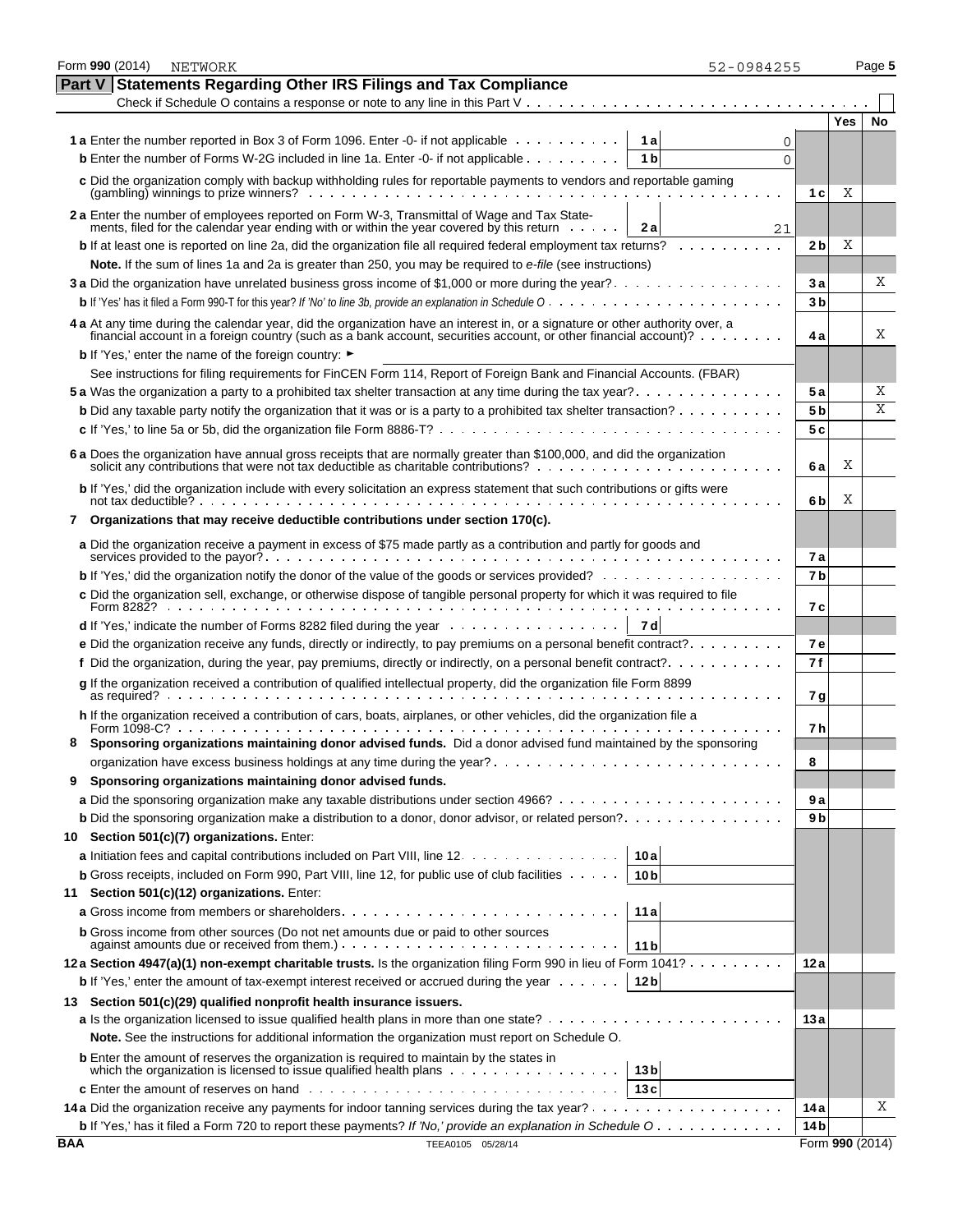|            | Form 990 (2014)<br>NETWORK                                                                                                                                                 | 52-0984255     |                 | Page 5 |
|------------|----------------------------------------------------------------------------------------------------------------------------------------------------------------------------|----------------|-----------------|--------|
|            | Part V<br><b>Statements Regarding Other IRS Filings and Tax Compliance</b>                                                                                                 |                |                 |        |
|            | Check if Schedule O contains a response or note to any line in this Part V $\ldots$ , $\ldots$ , $\ldots$ , $\ldots$ , $\ldots$ , $\ldots$                                 |                |                 |        |
|            |                                                                                                                                                                            |                | <b>Yes</b>      | No     |
|            | <b>1a</b> Enter the number reported in Box 3 of Form 1096. Enter -0- if not applicable<br>1 a                                                                              | 0              |                 |        |
|            | <b>b</b> Enter the number of Forms W-2G included in line 1a. Enter -0- if not applicable $\ldots$ ,<br>1 <sub>b</sub>                                                      | $\Omega$       |                 |        |
|            | c Did the organization comply with backup withholding rules for reportable payments to vendors and reportable gaming                                                       |                |                 |        |
|            | $(gambling)$ winnings to prize winners? $\ldots$ , $\ldots$ , $\ldots$ , $\ldots$ , $\ldots$ , $\ldots$ , $\ldots$ , $\ldots$ , $\ldots$ , $\ldots$                        | 1 с            | Χ               |        |
|            | 2a Enter the number of employees reported on Form W-3, Transmittal of Wage and Tax State-                                                                                  |                |                 |        |
|            | ments, filed for the calendar year ending with or within the year covered by this return<br>2 a                                                                            | 21             |                 |        |
|            | <b>b</b> If at least one is reported on line 2a, did the organization file all required federal employment tax returns?                                                    | 2 <sub>b</sub> | Χ               |        |
|            | Note. If the sum of lines 1a and 2a is greater than 250, you may be required to e-file (see instructions)                                                                  |                |                 |        |
|            |                                                                                                                                                                            | 3а             |                 | Χ      |
|            |                                                                                                                                                                            | 3b             |                 |        |
|            | 4 a At any time during the calendar year, did the organization have an interest in, or a signature or other authority over, a                                              |                |                 | Χ      |
|            | financial account in a foreign country (such as a bank account, securities account, or other financial account)? $\ldots \ldots \ldots$                                    | 4а             |                 |        |
|            | <b>b</b> If 'Yes,' enter the name of the foreign country: ►                                                                                                                |                |                 |        |
|            | See instructions for filing requirements for FinCEN Form 114, Report of Foreign Bank and Financial Accounts. (FBAR)                                                        |                |                 | Χ      |
|            |                                                                                                                                                                            | <b>5a</b>      |                 | X      |
|            | <b>b</b> Did any taxable party notify the organization that it was or is a party to a prohibited tax shelter transaction?                                                  | 5 <sub>b</sub> |                 |        |
|            |                                                                                                                                                                            | 5 c            |                 |        |
|            | 6 a Does the organization have annual gross receipts that are normally greater than \$100,000, and did the organization                                                    | 6а             | Χ               |        |
|            | b If 'Yes,' did the organization include with every solicitation an express statement that such contributions or gifts were                                                | 6b             | Χ               |        |
| 7          | Organizations that may receive deductible contributions under section 170(c).                                                                                              |                |                 |        |
|            | a Did the organization receive a payment in excess of \$75 made partly as a contribution and partly for goods and                                                          | 7а             |                 |        |
|            | <b>b</b> If 'Yes,' did the organization notify the donor of the value of the goods or services provided?                                                                   | 7b             |                 |        |
|            | c Did the organization sell, exchange, or otherwise dispose of tangible personal property for which it was required to file                                                | 7 с            |                 |        |
|            | <b>7d</b>                                                                                                                                                                  |                |                 |        |
|            | e Did the organization receive any funds, directly or indirectly, to pay premiums on a personal benefit contract?                                                          | 7 e            |                 |        |
|            | f Did the organization, during the year, pay premiums, directly or indirectly, on a personal benefit contract?                                                             | 7f             |                 |        |
|            | g If the organization received a contribution of qualified intellectual property, did the organization file Form 8899                                                      | 7 g            |                 |        |
|            | h If the organization received a contribution of cars, boats, airplanes, or other vehicles, did the organization file a<br>Form 1098-C?                                    | 7 h            |                 |        |
|            | Sponsoring organizations maintaining donor advised funds. Did a donor advised fund maintained by the sponsoring                                                            |                |                 |        |
|            |                                                                                                                                                                            | 8              |                 |        |
| 9          | Sponsoring organizations maintaining donor advised funds.                                                                                                                  |                |                 |        |
|            |                                                                                                                                                                            | 9а             |                 |        |
|            | <b>b</b> Did the sponsoring organization make a distribution to a donor, donor advisor, or related person?                                                                 | 9 b            |                 |        |
| 10         | Section 501(c)(7) organizations. Enter:                                                                                                                                    |                |                 |        |
|            | a Initiation fees and capital contributions included on Part VIII, line 12.<br>10 a                                                                                        |                |                 |        |
|            | <b>b</b> Gross receipts, included on Form 990, Part VIII, line 12, for public use of club facilities $\cdots$ .<br>10 <sub>b</sub>                                         |                |                 |        |
| 11         | Section 501(c)(12) organizations. Enter:                                                                                                                                   |                |                 |        |
|            | 11a                                                                                                                                                                        |                |                 |        |
|            | b Gross income from other sources (Do not net amounts due or paid to other sources<br>11 <sub>b</sub>                                                                      |                |                 |        |
|            | 12a Section 4947(a)(1) non-exempt charitable trusts. Is the organization filing Form 990 in lieu of Form 1041?                                                             | 12 a           |                 |        |
|            | 12 <sub>b</sub><br><b>b</b> If 'Yes,' enter the amount of tax-exempt interest received or accrued during the year $\dots \dots$                                            |                |                 |        |
| 13         | Section 501(c)(29) qualified nonprofit health insurance issuers.                                                                                                           |                |                 |        |
|            |                                                                                                                                                                            | 13 a           |                 |        |
|            | <b>Note.</b> See the instructions for additional information the organization must report on Schedule O.                                                                   |                |                 |        |
|            | <b>b</b> Enter the amount of reserves the organization is required to maintain by the states in                                                                            |                |                 |        |
|            | which the organization is licensed to issue qualified health plans $\cdots \cdots \cdots \cdots \cdots$<br>13 <sub>b</sub>                                                 |                |                 |        |
|            | 13c                                                                                                                                                                        |                |                 |        |
|            |                                                                                                                                                                            | 14 a           |                 | Χ      |
|            | <b>b</b> If 'Yes,' has it filed a Form 720 to report these payments? If 'No,' provide an explanation in Schedule $0 \cdot \cdot \cdot \cdot \cdot \cdot \cdot \cdot \cdot$ | 14 b           |                 |        |
| <b>BAA</b> | TEEA0105 05/28/14                                                                                                                                                          |                | Form 990 (2014) |        |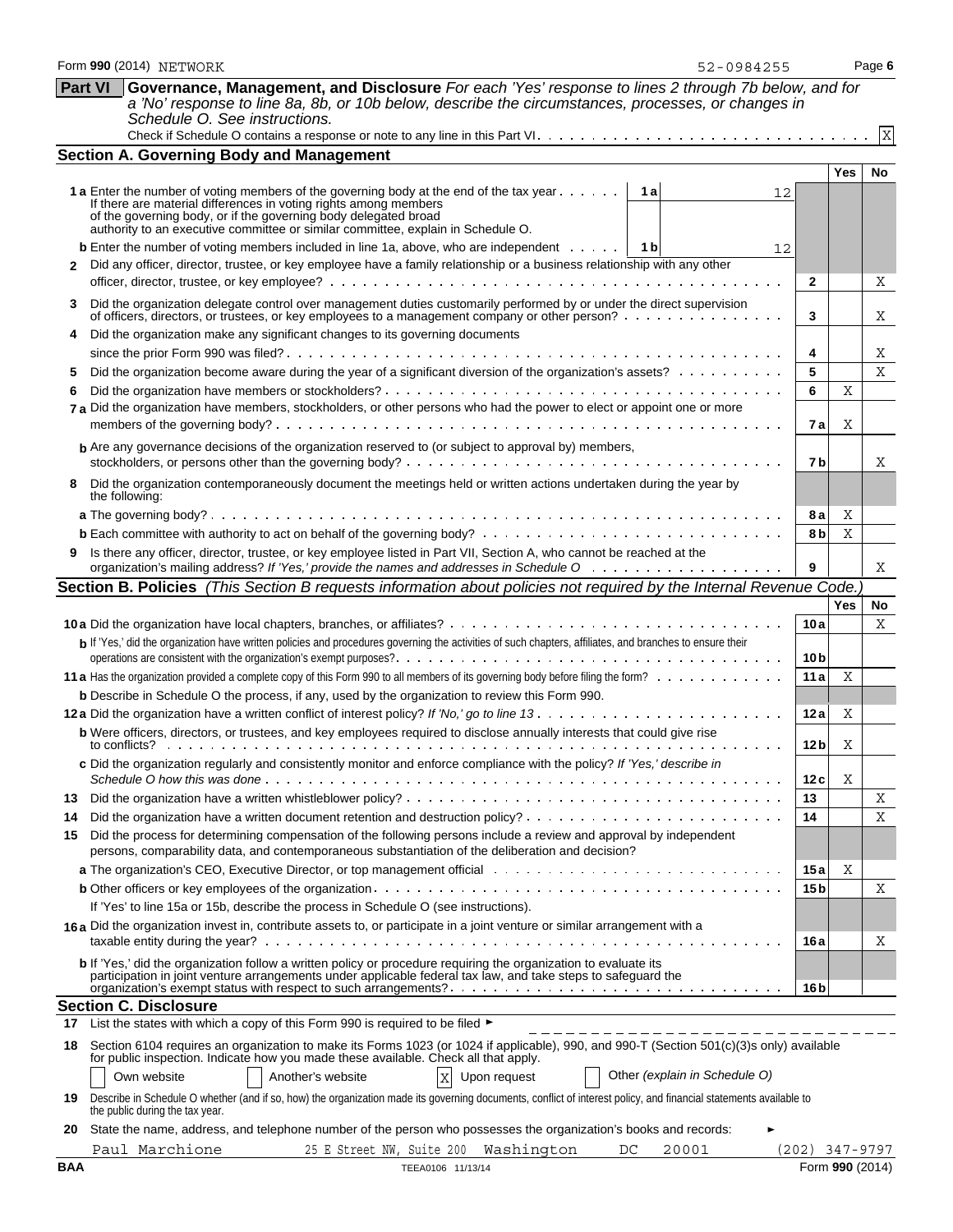|            | Form 990 (2014) NETWORK<br>52-0984255                                                                                                                                                                                                                                                                                                     |                  |                 | Page 6      |
|------------|-------------------------------------------------------------------------------------------------------------------------------------------------------------------------------------------------------------------------------------------------------------------------------------------------------------------------------------------|------------------|-----------------|-------------|
|            | Governance, Management, and Disclosure For each 'Yes' response to lines 2 through 7b below, and for<br><b>Part VI</b><br>a 'No' response to line 8a, 8b, or 10b below, describe the circumstances, processes, or changes in<br>Schedule O. See instructions.                                                                              |                  |                 | $\mathbf X$ |
|            | <b>Section A. Governing Body and Management</b>                                                                                                                                                                                                                                                                                           |                  |                 |             |
|            |                                                                                                                                                                                                                                                                                                                                           |                  | <b>Yes</b>      | No          |
|            | <b>1a</b> Enter the number of voting members of the governing body at the end of the tax year $\dots \dots$<br>12<br>If there are material differences in voting rights among members<br>of the governing body, or if the governing body delegated broad authority to an executive committee or similar committee, explain in Schedule O. |                  |                 |             |
|            | <b>b</b> Enter the number of voting members included in line 1a, above, who are independent $\dots$ , $\begin{bmatrix} 1 & b \end{bmatrix}$<br>12<br>Did any officer, director, trustee, or key employee have a family relationship or a business relationship with any other                                                             | $\mathbf{2}$     |                 | Χ           |
|            | Did the organization delegate control over management duties customarily performed by or under the direct supervision<br>of officers, directors, or trustees, or key employees to a management company or other person?                                                                                                                   | 3                |                 | Χ           |
| 4          | Did the organization make any significant changes to its governing documents                                                                                                                                                                                                                                                              | 4                |                 | Χ           |
| 5          | Did the organization become aware during the year of a significant diversion of the organization's assets?                                                                                                                                                                                                                                | 5                |                 | X           |
|            |                                                                                                                                                                                                                                                                                                                                           | 6                | Χ               |             |
| 6          | 7 a Did the organization have members, stockholders, or other persons who had the power to elect or appoint one or more                                                                                                                                                                                                                   |                  |                 |             |
|            |                                                                                                                                                                                                                                                                                                                                           | 7 a              | X               |             |
|            | <b>b</b> Are any governance decisions of the organization reserved to (or subject to approval by) members,                                                                                                                                                                                                                                |                  |                 |             |
|            |                                                                                                                                                                                                                                                                                                                                           | 7b               |                 | X           |
| 8          | Did the organization contemporaneously document the meetings held or written actions undertaken during the year by<br>the following:                                                                                                                                                                                                      |                  |                 |             |
|            |                                                                                                                                                                                                                                                                                                                                           | 8а               | Χ               |             |
|            |                                                                                                                                                                                                                                                                                                                                           | 8 b              | $\mathbf X$     |             |
| 9          | Is there any officer, director, trustee, or key employee listed in Part VII, Section A, who cannot be reached at the                                                                                                                                                                                                                      | 9                |                 | Χ           |
|            | Section B. Policies (This Section B requests information about policies not required by the Internal Revenue Code.                                                                                                                                                                                                                        |                  |                 |             |
|            |                                                                                                                                                                                                                                                                                                                                           |                  | Yes             | No          |
|            |                                                                                                                                                                                                                                                                                                                                           | 10a              |                 | X           |
|            | b If 'Yes,' did the organization have written policies and procedures governing the activities of such chapters, affiliates, and branches to ensure their                                                                                                                                                                                 | 10 b             |                 |             |
|            |                                                                                                                                                                                                                                                                                                                                           | 11a              | X               |             |
|            | b Describe in Schedule O the process, if any, used by the organization to review this Form 990.                                                                                                                                                                                                                                           |                  |                 |             |
|            |                                                                                                                                                                                                                                                                                                                                           | 12 a             | X               |             |
|            | <b>b</b> Were officers, directors, or trustees, and key employees required to disclose annually interests that could give rise                                                                                                                                                                                                            | 12 <sub>b</sub>  | Χ               |             |
|            | c Did the organization regularly and consistently monitor and enforce compliance with the policy? If 'Yes,' describe in                                                                                                                                                                                                                   | 12 c             | Χ               |             |
| 13         |                                                                                                                                                                                                                                                                                                                                           | 13               |                 | Χ           |
| 14         |                                                                                                                                                                                                                                                                                                                                           | 14               |                 | Χ           |
| 15         | Did the process for determining compensation of the following persons include a review and approval by independent<br>persons, comparability data, and contemporaneous substantiation of the deliberation and decision?                                                                                                                   |                  |                 |             |
|            |                                                                                                                                                                                                                                                                                                                                           | 15 a             | Χ               |             |
|            | If 'Yes' to line 15a or 15b, describe the process in Schedule O (see instructions).                                                                                                                                                                                                                                                       | 15 <sub>b</sub>  |                 | Χ           |
|            | 16a Did the organization invest in, contribute assets to, or participate in a joint venture or similar arrangement with a                                                                                                                                                                                                                 | 16 a             |                 | Χ           |
|            | b If 'Yes,' did the organization follow a written policy or procedure requiring the organization to evaluate its<br>participation in joint venture arrangements under applicable federal tax law, and take steps to safeguard the                                                                                                         | 16 <sub>b</sub>  |                 |             |
|            | <b>Section C. Disclosure</b>                                                                                                                                                                                                                                                                                                              |                  |                 |             |
| 17         | List the states with which a copy of this Form 990 is required to be filed ►                                                                                                                                                                                                                                                              |                  |                 |             |
| 18         | Section 6104 requires an organization to make its Forms 1023 (or 1024 if applicable), 990, and 990-T (Section 501(c)(3)s only) available<br>for public inspection. Indicate how you made these available. Check all that apply.                                                                                                           |                  |                 |             |
|            | Other (explain in Schedule O)<br>$\mathbf x$<br>Own website<br>Another's website<br>Upon request                                                                                                                                                                                                                                          |                  |                 |             |
| 19         | Describe in Schedule O whether (and if so, how) the organization made its governing documents, conflict of interest policy, and financial statements available to<br>the public during the tax year.                                                                                                                                      |                  |                 |             |
| 20         | State the name, address, and telephone number of the person who possesses the organization's books and records:                                                                                                                                                                                                                           |                  |                 |             |
|            | Paul Marchione<br>Washington<br>25 E Street NW, Suite 200<br>DC<br>20001                                                                                                                                                                                                                                                                  | $(202)$ 347-9797 |                 |             |
| <b>BAA</b> | TEEA0106 11/13/14                                                                                                                                                                                                                                                                                                                         |                  | Form 990 (2014) |             |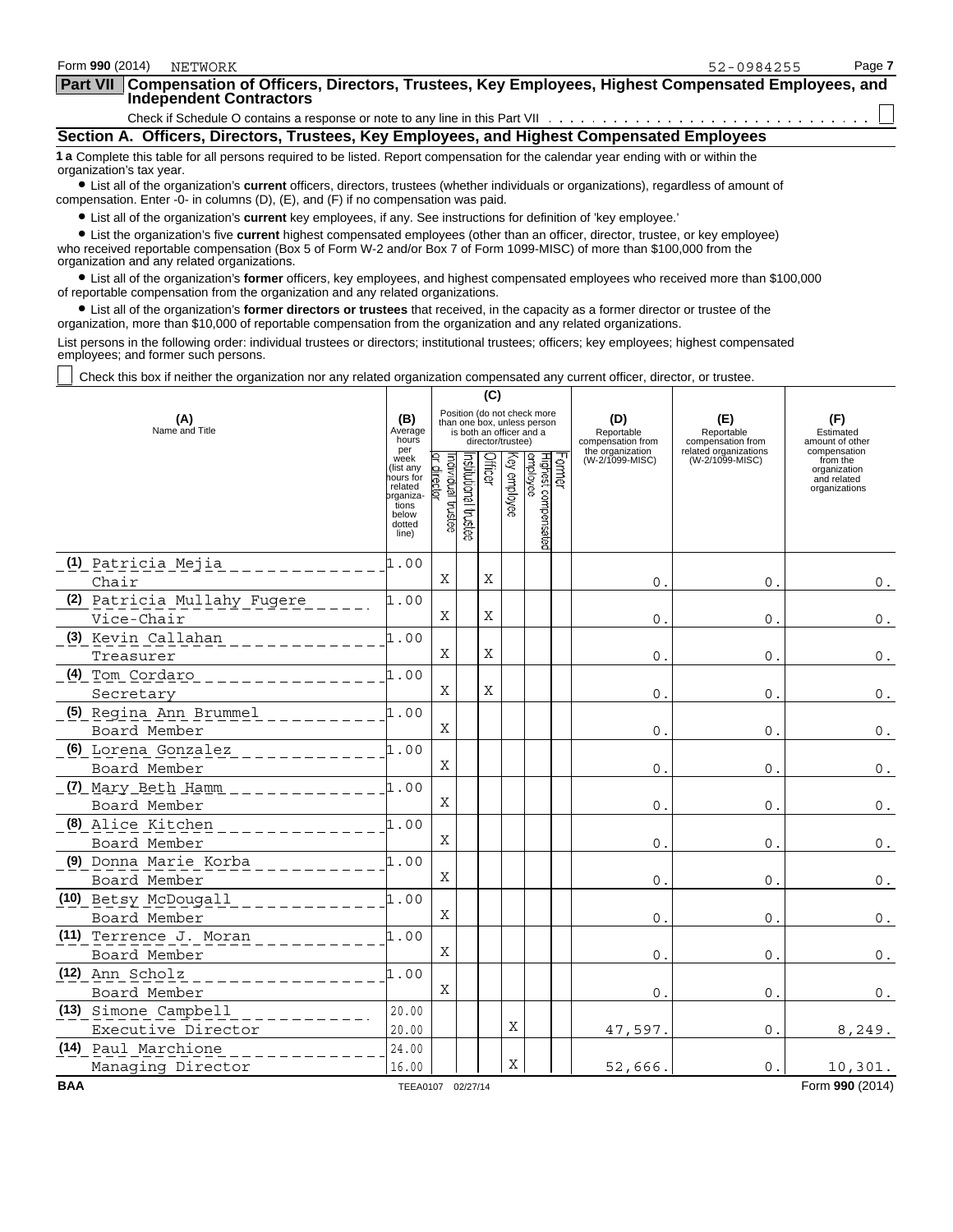| Form 990 (2014)          | NETWORK                                                                                                                                                                                                                             | 52-0984255 | Page 7 |  |  |  |  |  |  |  |
|--------------------------|-------------------------------------------------------------------------------------------------------------------------------------------------------------------------------------------------------------------------------------|------------|--------|--|--|--|--|--|--|--|
| <b>Part VII</b>          | Compensation of Officers, Directors, Trustees, Key Employees, Highest Compensated Employees, and $\,$<br><b>Independent Contractors</b>                                                                                             |            |        |  |  |  |  |  |  |  |
|                          |                                                                                                                                                                                                                                     |            |        |  |  |  |  |  |  |  |
|                          | Section A. Officers, Directors, Trustees, Key Employees, and Highest Compensated Employees                                                                                                                                          |            |        |  |  |  |  |  |  |  |
| organization's tax year. | <b>1 a</b> Complete this table for all persons required to be listed. Report compensation for the calendar year ending with or within the                                                                                           |            |        |  |  |  |  |  |  |  |
|                          | • List all of the organization's current officers, directors, trustees (whether individuals or organizations), regardless of amount of<br>compensation. Enter -0- in columns $(D)$ , $(E)$ , and $(F)$ if no compensation was paid. |            |        |  |  |  |  |  |  |  |
|                          | • List all of the organization's current key employees, if any. See instructions for definition of 'key employee.'                                                                                                                  |            |        |  |  |  |  |  |  |  |
|                          | • List the organization's five current highest compensated employees (other than an officer, director, trustee, or key employee)                                                                                                    |            |        |  |  |  |  |  |  |  |

who received reportable compensation (Box 5 of Form W-2 and/or Box 7 of Form 1099-MISC) of more than \$100,000 from the organization and any related organizations.

? List all of the organization's **former** officers, key employees, and highest compensated employees who received more than \$100,000 of reportable compensation from the organization and any related organizations.

? List all of the organization's **former directors or trustees** that received, in the capacity as a former director or trustee of the organization, more than \$10,000 of reportable compensation from the organization and any related organizations.

List persons in the following order: individual trustees or directors; institutional trustees; officers; key employees; highest compensated employees; and former such persons.

Check this box if neither the organization nor any related organization compensated any current officer, director, or trustee.

|                                                                |                                                                                             | (C)                                                                                                         |                      |         |              |                                 |        |                                                            |                                                                 |                                                          |
|----------------------------------------------------------------|---------------------------------------------------------------------------------------------|-------------------------------------------------------------------------------------------------------------|----------------------|---------|--------------|---------------------------------|--------|------------------------------------------------------------|-----------------------------------------------------------------|----------------------------------------------------------|
| (A)<br>Name and Title                                          | (B)<br>Average<br>hours<br>per                                                              | Position (do not check more<br>than one box, unless person<br>is both an officer and a<br>director/trustee) |                      |         |              |                                 |        | (D)<br>Reportable<br>compensation from<br>the organization | (E)<br>Reportable<br>compensation from<br>related organizations | (F)<br>Estimated<br>amount of other<br>compensation      |
|                                                                | week<br>(list any<br>hours for<br>related<br>organiza-<br>tions<br>below<br>dotted<br>line) | ndividual trustee<br>director                                                                               | nstitutional trustee | Officer | (ey employee | Highest compensated<br>employee | Former | (W-2/1099-MISC)                                            | (W-2/1099-MISC)                                                 | from the<br>organization<br>and related<br>organizations |
| (1) Patricia Mejia                                             | 1.00                                                                                        |                                                                                                             |                      |         |              |                                 |        |                                                            |                                                                 |                                                          |
| Chair                                                          |                                                                                             | Χ                                                                                                           |                      | Χ       |              |                                 |        | $\mathsf{O}$ .                                             | 0.                                                              | $0$ .                                                    |
| (2) Patricia Mullahy Fugere                                    | 1.00                                                                                        |                                                                                                             |                      |         |              |                                 |        |                                                            |                                                                 |                                                          |
| Vice-Chair                                                     |                                                                                             | Χ                                                                                                           |                      | X       |              |                                 |        | $\mathsf{O}$                                               | 0.                                                              | $0$ .                                                    |
| (3) Kevin Callahan<br>___________                              | 1.00                                                                                        |                                                                                                             |                      |         |              |                                 |        |                                                            |                                                                 |                                                          |
| Treasurer                                                      |                                                                                             | X                                                                                                           |                      | X       |              |                                 |        | $\Omega$                                                   | $\Omega$ .                                                      | $0$ .                                                    |
|                                                                | 1.00                                                                                        | Χ                                                                                                           |                      | X       |              |                                 |        |                                                            |                                                                 |                                                          |
| Secretary                                                      |                                                                                             |                                                                                                             |                      |         |              |                                 |        | 0.                                                         | 0.                                                              | $0$ .                                                    |
| (5) Regina Ann Brummel<br><u>. Lietus Lietus Lie</u>           | 1.00                                                                                        | X                                                                                                           |                      |         |              |                                 |        |                                                            |                                                                 |                                                          |
| Board Member                                                   |                                                                                             |                                                                                                             |                      |         |              |                                 |        | $\mathsf{O}$ .                                             | 0.                                                              | $0$ .                                                    |
| (6) Lorena Gonzalez<br><u>a da da da da da</u><br>Board Member | 1.00                                                                                        | X                                                                                                           |                      |         |              |                                 |        |                                                            |                                                                 |                                                          |
|                                                                | 1.00                                                                                        |                                                                                                             |                      |         |              |                                 |        | $\mathsf{O}$                                               | 0.                                                              | $0$ .                                                    |
| Board Member                                                   |                                                                                             | X                                                                                                           |                      |         |              |                                 |        | $\mathsf{O}$                                               | $\mathsf{O}$ .                                                  |                                                          |
| (8) Alice Kitchen                                              | 1.00                                                                                        |                                                                                                             |                      |         |              |                                 |        |                                                            |                                                                 | $\,0$ .                                                  |
| ___________<br>Board Member                                    |                                                                                             | Χ                                                                                                           |                      |         |              |                                 |        | $\mathsf{O}$                                               | $\mathsf{O}$                                                    | $0$ .                                                    |
| (9) Donna Marie Korba                                          | 1.00                                                                                        |                                                                                                             |                      |         |              |                                 |        |                                                            |                                                                 |                                                          |
| <u>.</u><br>Board Member                                       |                                                                                             | Χ                                                                                                           |                      |         |              |                                 |        | 0                                                          | $\mathsf{O}$                                                    | $0$ .                                                    |
| (10) Betsy McDougall                                           | 1.00                                                                                        |                                                                                                             |                      |         |              |                                 |        |                                                            |                                                                 |                                                          |
| Board Member                                                   |                                                                                             | X                                                                                                           |                      |         |              |                                 |        | 0                                                          | 0                                                               | $0$ .                                                    |
| (11) Terrence J. Moran                                         | 1.00                                                                                        |                                                                                                             |                      |         |              |                                 |        |                                                            |                                                                 |                                                          |
| Board Member                                                   |                                                                                             | X                                                                                                           |                      |         |              |                                 |        | 0                                                          | $\mathsf{O}$ .                                                  | $\,0$ .                                                  |
| (12) Ann Scholz<br><u>in dia dia dia dia dia</u>               | 1.00                                                                                        |                                                                                                             |                      |         |              |                                 |        |                                                            |                                                                 |                                                          |
| Board Member                                                   |                                                                                             | Χ                                                                                                           |                      |         |              |                                 |        | 0.                                                         | 0.                                                              | $0$ .                                                    |
| (13) Simone Campbell                                           | 20.00                                                                                       |                                                                                                             |                      |         |              |                                 |        |                                                            |                                                                 |                                                          |
| Executive Director                                             | 20.00                                                                                       |                                                                                                             |                      |         | X            |                                 |        | 47,597.                                                    | 0.                                                              | 8,249.                                                   |
| (14) Paul Marchione                                            | 24.00                                                                                       |                                                                                                             |                      |         |              |                                 |        |                                                            |                                                                 |                                                          |
| Managing Director                                              | 16.00                                                                                       |                                                                                                             |                      |         | X            |                                 |        | 52,666                                                     | $\Omega$ .                                                      | 10,301.                                                  |
| <b>BAA</b>                                                     | TEEA0107 02/27/14                                                                           |                                                                                                             |                      |         |              |                                 |        |                                                            |                                                                 | Form 990 (2014)                                          |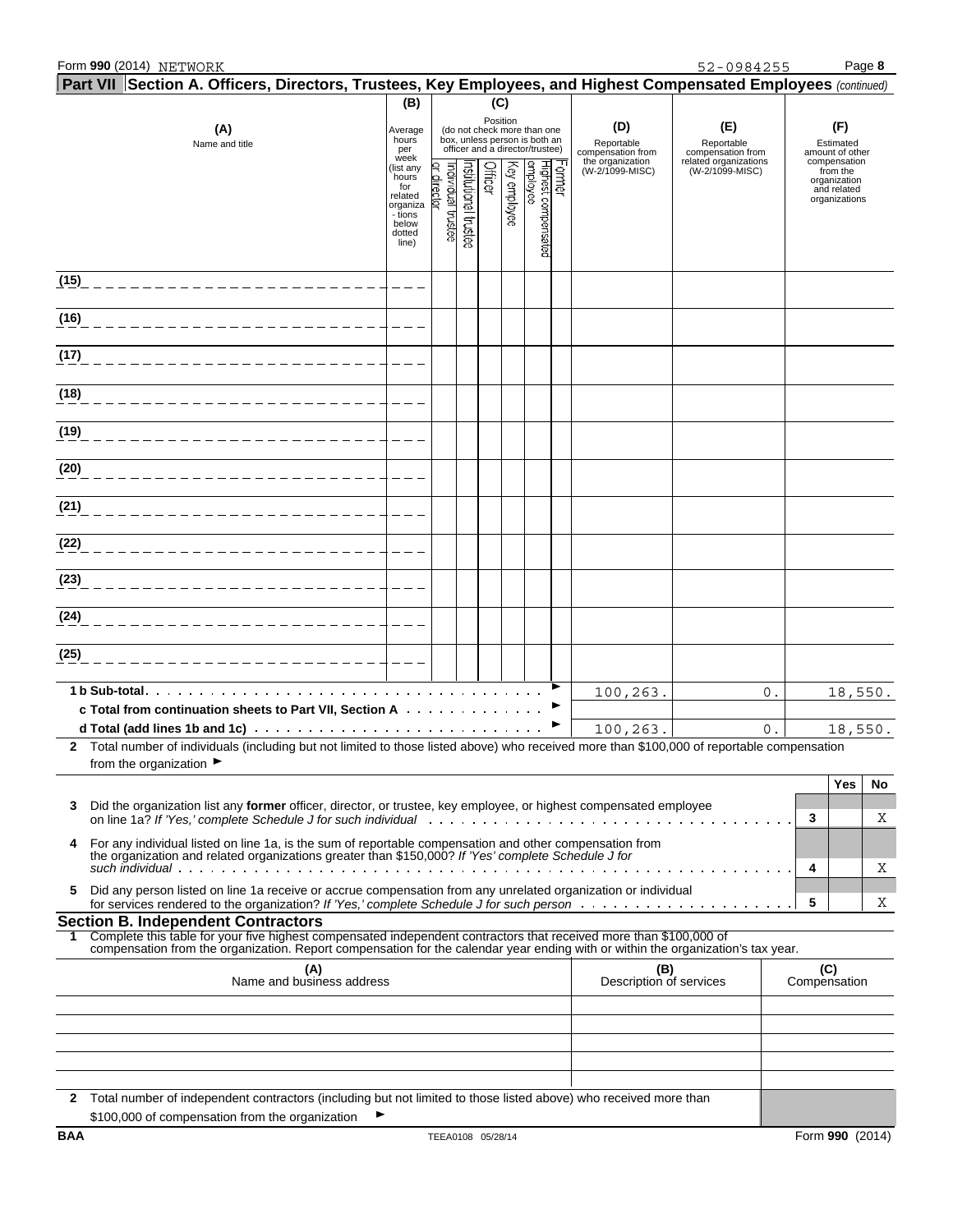52-0984255

| Part VII Section A. Officers, Directors, Trustees, Key Employees, and Highest Compensated Employees (continued) |                                                                                                                                                                                                                |                                                                                |                               |                      |                |               |                                                                                                 |                                |                                                            |                                                                 |                     |                                                          |    |
|-----------------------------------------------------------------------------------------------------------------|----------------------------------------------------------------------------------------------------------------------------------------------------------------------------------------------------------------|--------------------------------------------------------------------------------|-------------------------------|----------------------|----------------|---------------|-------------------------------------------------------------------------------------------------|--------------------------------|------------------------------------------------------------|-----------------------------------------------------------------|---------------------|----------------------------------------------------------|----|
|                                                                                                                 |                                                                                                                                                                                                                | (B)                                                                            |                               |                      | (C)            |               |                                                                                                 |                                |                                                            |                                                                 |                     |                                                          |    |
|                                                                                                                 | (A)<br>Name and title                                                                                                                                                                                          |                                                                                |                               |                      |                | Position      | (do not check more than one<br>box, unless person is both an<br>officer and a director/trustee) |                                | (D)<br>Reportable<br>compensation from<br>the organization | (E)<br>Reportable<br>compensation from<br>related organizations |                     | (F)<br>Estimated<br>amount of other<br>compensation      |    |
|                                                                                                                 |                                                                                                                                                                                                                | (list any<br>hours<br>for<br>related<br>organiza<br>- tions<br>below<br>dotted | ndividual trustee<br>director | istitutional trustee | <b>Officer</b> | <br>sexployee | Highest compensated<br>anployee                                                                 | crmer <sup>-</sup>             | (W-2/1099-MISC)                                            | (W-2/1099-MISC)                                                 |                     | from the<br>organization<br>and related<br>organizations |    |
|                                                                                                                 |                                                                                                                                                                                                                | line)                                                                          |                               |                      |                |               |                                                                                                 |                                |                                                            |                                                                 |                     |                                                          |    |
| (15)                                                                                                            |                                                                                                                                                                                                                |                                                                                |                               |                      |                |               |                                                                                                 |                                |                                                            |                                                                 |                     |                                                          |    |
| (16)                                                                                                            |                                                                                                                                                                                                                |                                                                                |                               |                      |                |               |                                                                                                 |                                |                                                            |                                                                 |                     |                                                          |    |
| (17)                                                                                                            |                                                                                                                                                                                                                |                                                                                |                               |                      |                |               |                                                                                                 |                                |                                                            |                                                                 |                     |                                                          |    |
| (18)                                                                                                            |                                                                                                                                                                                                                |                                                                                |                               |                      |                |               |                                                                                                 |                                |                                                            |                                                                 |                     |                                                          |    |
| (19)                                                                                                            |                                                                                                                                                                                                                |                                                                                |                               |                      |                |               |                                                                                                 |                                |                                                            |                                                                 |                     |                                                          |    |
| (20)                                                                                                            |                                                                                                                                                                                                                |                                                                                |                               |                      |                |               |                                                                                                 |                                |                                                            |                                                                 |                     |                                                          |    |
| (21)                                                                                                            |                                                                                                                                                                                                                |                                                                                |                               |                      |                |               |                                                                                                 |                                |                                                            |                                                                 |                     |                                                          |    |
| (22)                                                                                                            |                                                                                                                                                                                                                |                                                                                |                               |                      |                |               |                                                                                                 |                                |                                                            |                                                                 |                     |                                                          |    |
| (23)                                                                                                            |                                                                                                                                                                                                                |                                                                                |                               |                      |                |               |                                                                                                 |                                |                                                            |                                                                 |                     |                                                          |    |
| (24)                                                                                                            |                                                                                                                                                                                                                |                                                                                |                               |                      |                |               |                                                                                                 |                                |                                                            |                                                                 |                     |                                                          |    |
| (25)                                                                                                            |                                                                                                                                                                                                                |                                                                                |                               |                      |                |               |                                                                                                 |                                |                                                            |                                                                 |                     |                                                          |    |
|                                                                                                                 |                                                                                                                                                                                                                |                                                                                |                               |                      |                |               |                                                                                                 | ▶<br>▶                         | 100,263.                                                   | 0.                                                              |                     | 18,550.                                                  |    |
|                                                                                                                 | c Total from continuation sheets to Part VII, Section A                                                                                                                                                        |                                                                                |                               |                      |                |               |                                                                                                 |                                | 100,263.                                                   | $\mathbf{0}$ .                                                  |                     | 18,550.                                                  |    |
|                                                                                                                 | 2 Total number of individuals (including but not limited to those listed above) who received more than \$100,000 of reportable compensation                                                                    |                                                                                |                               |                      |                |               |                                                                                                 |                                |                                                            |                                                                 |                     |                                                          |    |
|                                                                                                                 | from the organization $\blacktriangleright$                                                                                                                                                                    |                                                                                |                               |                      |                |               |                                                                                                 |                                |                                                            |                                                                 |                     |                                                          |    |
| 3                                                                                                               | Did the organization list any former officer, director, or trustee, key employee, or highest compensated employee                                                                                              |                                                                                |                               |                      |                |               |                                                                                                 |                                |                                                            |                                                                 |                     | <b>Yes</b>                                               | No |
|                                                                                                                 |                                                                                                                                                                                                                |                                                                                |                               |                      |                |               |                                                                                                 |                                |                                                            |                                                                 | 3                   |                                                          | Χ  |
| 4                                                                                                               | For any individual listed on line 1a, is the sum of reportable compensation and other compensation from<br>the organization and related organizations greater than \$150,000? If 'Yes' complete Schedule J for |                                                                                |                               |                      |                |               |                                                                                                 |                                |                                                            |                                                                 | 4                   |                                                          | Χ  |
| 5                                                                                                               | Did any person listed on line 1a receive or accrue compensation from any unrelated organization or individual                                                                                                  |                                                                                |                               |                      |                |               |                                                                                                 |                                |                                                            |                                                                 | 5                   |                                                          | Χ  |
|                                                                                                                 | <b>Section B. Independent Contractors</b><br>Complete this table for your five highest compensated independent contractors that received more than \$100,000 of                                                |                                                                                |                               |                      |                |               |                                                                                                 |                                |                                                            |                                                                 |                     |                                                          |    |
|                                                                                                                 | compensation from the organization. Report compensation for the calendar year ending with or within the organization's tax year.<br>(A)<br>Name and business address                                           |                                                                                |                               |                      |                |               |                                                                                                 | (B)<br>Description of services |                                                            |                                                                 | (C)<br>Compensation |                                                          |    |
|                                                                                                                 |                                                                                                                                                                                                                |                                                                                |                               |                      |                |               |                                                                                                 |                                |                                                            |                                                                 |                     |                                                          |    |
|                                                                                                                 |                                                                                                                                                                                                                |                                                                                |                               |                      |                |               |                                                                                                 |                                |                                                            |                                                                 |                     |                                                          |    |
|                                                                                                                 |                                                                                                                                                                                                                |                                                                                |                               |                      |                |               |                                                                                                 |                                |                                                            |                                                                 |                     |                                                          |    |
|                                                                                                                 |                                                                                                                                                                                                                |                                                                                |                               |                      |                |               |                                                                                                 |                                |                                                            |                                                                 |                     |                                                          |    |
|                                                                                                                 | 2 Total number of independent contractors (including but not limited to those listed above) who received more than<br>\$100,000 of compensation from the organization                                          |                                                                                |                               |                      |                |               |                                                                                                 |                                |                                                            |                                                                 |                     |                                                          |    |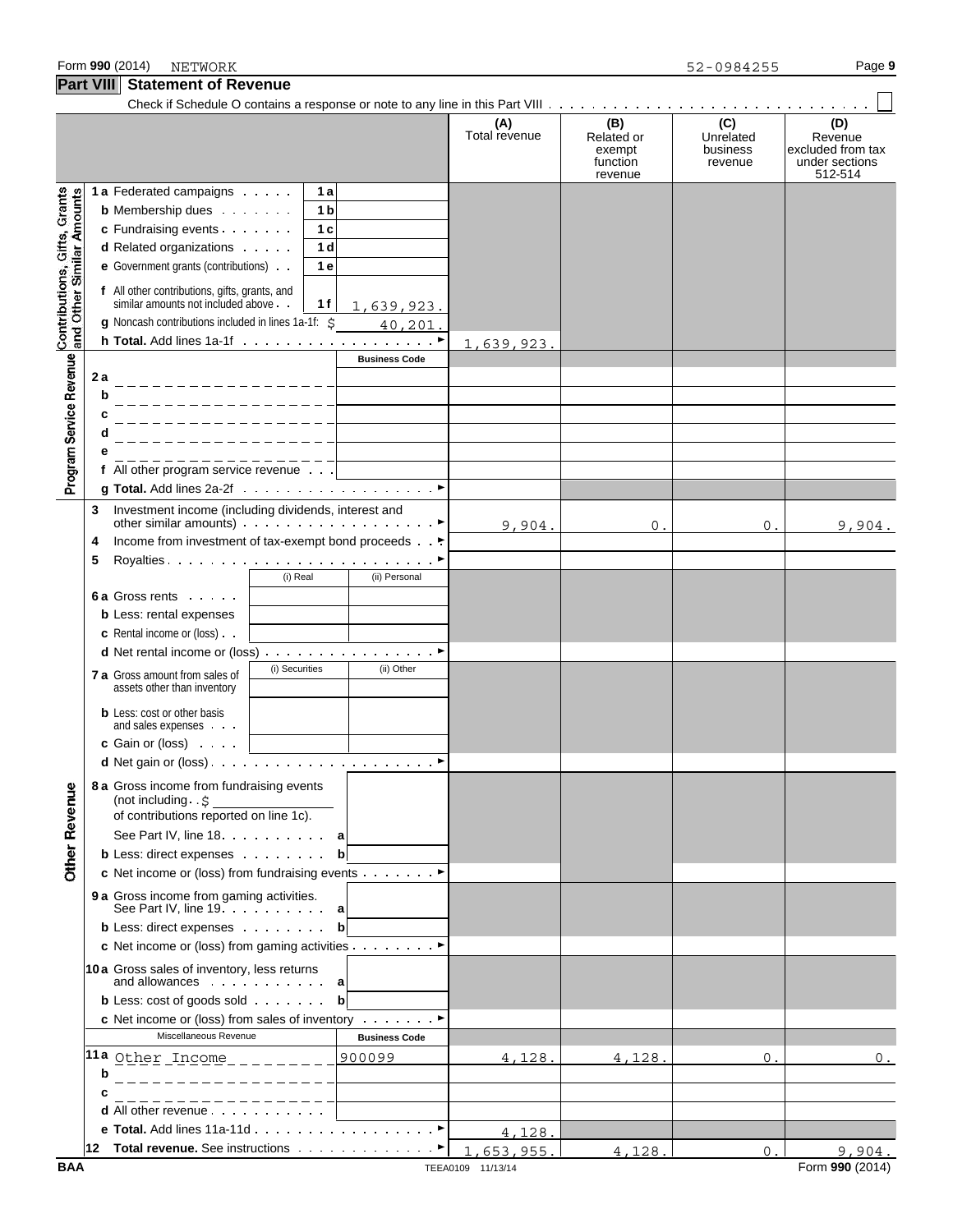## Form **990** (2014) NETWORK **Page 9**

**Part VIII** Statement of Revenue

|                                                           |     |                                                                                                                                      |                |                      | (A)<br>Total revenue | (B)<br>Related or<br>exempt<br>function<br>revenue | (C)<br>Unrelated<br>business<br>revenue | (D)<br>Revenue<br>excluded from tax<br>under sections<br>512-514 |
|-----------------------------------------------------------|-----|--------------------------------------------------------------------------------------------------------------------------------------|----------------|----------------------|----------------------|----------------------------------------------------|-----------------------------------------|------------------------------------------------------------------|
|                                                           |     | 1 a Federated campaigns                                                                                                              | 1а             |                      |                      |                                                    |                                         |                                                                  |
|                                                           |     | <b>b</b> Membership dues                                                                                                             | 1 <sub>b</sub> |                      |                      |                                                    |                                         |                                                                  |
|                                                           |     | c Fundraising events                                                                                                                 | 1 <sub>c</sub> |                      |                      |                                                    |                                         |                                                                  |
|                                                           |     | d Related organizations                                                                                                              | 1 d            |                      |                      |                                                    |                                         |                                                                  |
|                                                           |     | e Government grants (contributions)                                                                                                  | 1 e            |                      |                      |                                                    |                                         |                                                                  |
| Contributions, Gifts, Grants<br>and Other Similar Amounts |     | f All other contributions, gifts, grants, and<br>similar amounts not included above                                                  | 1 f            | 1,639,923.           |                      |                                                    |                                         |                                                                  |
|                                                           |     | g Noncash contributions included in lines 1a-1f: \$                                                                                  |                | 40, 201.             |                      |                                                    |                                         |                                                                  |
|                                                           |     |                                                                                                                                      |                |                      | 1,639,923.           |                                                    |                                         |                                                                  |
|                                                           |     |                                                                                                                                      |                | <b>Business Code</b> |                      |                                                    |                                         |                                                                  |
| Program Service Revenue                                   | 2 a |                                                                                                                                      |                |                      |                      |                                                    |                                         |                                                                  |
|                                                           | b   |                                                                                                                                      |                |                      |                      |                                                    |                                         |                                                                  |
|                                                           |     |                                                                                                                                      |                |                      |                      |                                                    |                                         |                                                                  |
|                                                           | a   |                                                                                                                                      |                |                      |                      |                                                    |                                         |                                                                  |
|                                                           |     | .                                                                                                                                    |                |                      |                      |                                                    |                                         |                                                                  |
|                                                           |     | f All other program service revenue                                                                                                  |                |                      |                      |                                                    |                                         |                                                                  |
|                                                           |     |                                                                                                                                      |                |                      |                      |                                                    |                                         |                                                                  |
|                                                           | 3   | Investment income (including dividends, interest and<br>other similar amounts) $\cdots$ $\cdots$ $\cdots$ $\cdots$ $\cdots$ $\cdots$ |                |                      | 9,904.               | 0.                                                 | 0.                                      | 9,904.                                                           |
|                                                           | 4   | Income from investment of tax-exempt bond proceeds                                                                                   |                |                      |                      |                                                    |                                         |                                                                  |
|                                                           | 5   |                                                                                                                                      |                |                      |                      |                                                    |                                         |                                                                  |
|                                                           |     |                                                                                                                                      | (i) Real       | (ii) Personal        |                      |                                                    |                                         |                                                                  |
|                                                           |     | 6 a Gross rents                                                                                                                      |                |                      |                      |                                                    |                                         |                                                                  |
|                                                           |     | <b>b</b> Less: rental expenses                                                                                                       |                |                      |                      |                                                    |                                         |                                                                  |
|                                                           |     | <b>c</b> Rental income or (loss).                                                                                                    |                |                      |                      |                                                    |                                         |                                                                  |
|                                                           |     | <b>d</b> Net rental income or (loss) $\ldots$ $\ldots$ $\ldots$ $\ldots$ $\ldots$                                                    |                |                      |                      |                                                    |                                         |                                                                  |
|                                                           |     | <b>7 a</b> Gross amount from sales of<br>assets other than inventory                                                                 | (i) Securities | (ii) Other           |                      |                                                    |                                         |                                                                  |
|                                                           |     | <b>b</b> Less: cost or other basis<br>and sales expenses                                                                             |                |                      |                      |                                                    |                                         |                                                                  |
|                                                           |     | <b>c</b> Gain or (loss) $\cdots$                                                                                                     |                |                      |                      |                                                    |                                         |                                                                  |
|                                                           |     |                                                                                                                                      |                |                      |                      |                                                    |                                         |                                                                  |
|                                                           |     | 8 a Gross income from fundraising events                                                                                             |                |                      |                      |                                                    |                                         |                                                                  |
|                                                           |     | (not including. . \$<br>of contributions reported on line 1c).                                                                       |                |                      |                      |                                                    |                                         |                                                                  |
|                                                           |     | See Part IV, line 18. a                                                                                                              |                |                      |                      |                                                    |                                         |                                                                  |
| <b>Other Revenue</b>                                      |     | <b>b</b> Less: direct expenses                                                                                                       |                | $\mathbf b$          |                      |                                                    |                                         |                                                                  |
|                                                           |     | c Net income or (loss) from fundraising events ►                                                                                     |                |                      |                      |                                                    |                                         |                                                                  |
|                                                           |     | 9 a Gross income from gaming activities.<br>See Part IV, line $19 \cdot 10$ , $10 \cdot 10$ , $10 \cdot 10$                          |                |                      |                      |                                                    |                                         |                                                                  |
|                                                           |     | <b>b</b> Less: direct expenses                                                                                                       |                | $\mathbf b$          |                      |                                                    |                                         |                                                                  |
|                                                           |     | c Net income or (loss) from gaming activities ▶                                                                                      |                |                      |                      |                                                    |                                         |                                                                  |
|                                                           |     |                                                                                                                                      |                |                      |                      |                                                    |                                         |                                                                  |
|                                                           |     | 10a Gross sales of inventory, less returns<br>and allowances $\cdots$ a                                                              |                |                      |                      |                                                    |                                         |                                                                  |
|                                                           |     | <b>b</b> Less: cost of goods sold $\cdots$                                                                                           |                | bl                   |                      |                                                    |                                         |                                                                  |
|                                                           |     | c Net income or (loss) from sales of inventory ▶                                                                                     |                |                      |                      |                                                    |                                         |                                                                  |
|                                                           |     | Miscellaneous Revenue                                                                                                                |                | <b>Business Code</b> |                      |                                                    |                                         |                                                                  |
|                                                           |     | 11a Other Income_________                                                                                                            |                | 900099               | 4,128.               | 4,128.                                             | 0.                                      | 0.                                                               |
|                                                           | b   | ___________                                                                                                                          |                |                      |                      |                                                    |                                         |                                                                  |
|                                                           |     |                                                                                                                                      |                |                      |                      |                                                    |                                         |                                                                  |
|                                                           |     | d All other revenue                                                                                                                  |                |                      |                      |                                                    |                                         |                                                                  |
|                                                           |     | e Total. Add lines 11a-11d ▶                                                                                                         |                |                      | 4,128.               |                                                    |                                         |                                                                  |
|                                                           |     | 12 Total revenue. See instructions ▶                                                                                                 |                |                      | 1,653,955.           | 4,128.                                             | 0.                                      | 9,904.                                                           |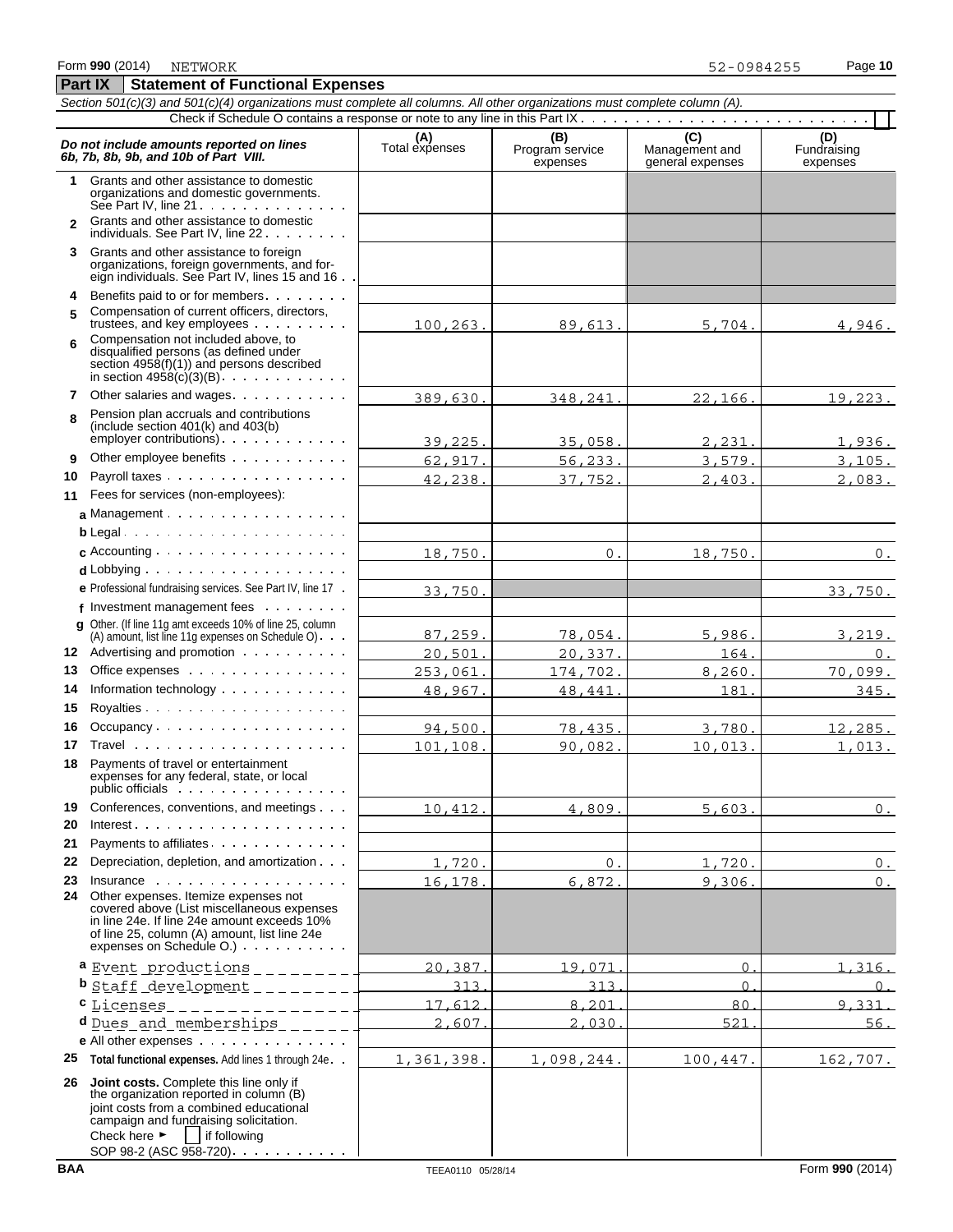**Part IX Statement of Functional Expenses** 

#### *Section 501(c)(3) and 501(c)(4) organizations must complete all columns. All other organizations must complete column (A).* Check if Schedule O contains a response or note to any line in this Part IX . . . . . . . . . . . . . . . . . **Do not include amounts reported on lines**<br> **C** (D) (D) Total expenses Program service Management and Fundraising<br> **EXPENSION EXPENSION CONTRACT (D)** Management and Fundraising<br>
expenses expenses expenses expenses **1** Grants and other assistance to domestic organizations and domestic governments. See Part IV, line  $21 \cdot \cdot \cdot \cdot \cdot \cdot \cdot \cdot \cdot \cdot \cdot \cdot$ **2** Grants and other assistance to domestic individuals. See Part IV, line 22 . . . . . . . . **3** Grants and other assistance to foreign organizations, foreign governments, and foreign individuals. See Part IV, lines 15 and 16 **4** Benefits paid to or for members **5** Compensation of current officers, directors, trustees, and key employees . . . . . . . . Compensation not included above, to **6** disqualified persons (as defined under section 4958(f)(1)) and persons described in section  $4958(c)(3)(B)$ . . . . . . . . . . . **7** Other salaries and wages Pension plan accruals and contributions **8** (include section 401(k) and 403(b)  $emplover$  contributions)  $\ldots$   $\ldots$ **9** Other employee benefits . . . . . . . **10** Payroll taxes **11** Fees for services (non-employees): a Management . . . . . . . . . . . . . . . . . **b** Legal **c** Accounting **d** Lobbying **e** Professional fundraising services. See Part IV, line 17 **f** Investment management fees **g** Other. (If line 11g amt exceeds 10% of line 25, column  $(A)$  amount, list line 11g expenses on Schedule O)  $\cdots$ **12** Advertising and promotion **13** Office expenses **14** Information technology **15** Royalties 16 Occupancy . . . . . . . . . . . . . . . . . . **17** Travel **18** Payments of travel or entertainment expenses for any federal, state, or local public officials : . . . . . . . . . . . . . . . . 19 Conferences, conventions, and meetings . . . **20** Interest **21** Payments to affiliates **22** Depreciation, depletion, and amortization **23** Insurance **24** Other expenses. Itemize expenses not covered above (List miscellaneous expenses in line 24e. If line 24e amount exceeds 10% of line 25, column (A) amount, list line 24e expenses on Schedule O.) **a** Event productions 2020 20,387. 19,071. 20,071. 20, 1,316. **b** Staff development  $\frac{1}{2}$   $\frac{1}{2}$   $\frac{1}{2}$   $\frac{313}{2}$   $\frac{313}{2}$   $\frac{313}{2}$   $\frac{313}{2}$   $\frac{313}{2}$   $\frac{313}{2}$ **c** Licenses 17,612. 8,201. 80. 9,331. **d** Dues and memberships 2, 2,607. 2,030. 521. 56. **e** All other expenses **25 Total functional expenses.** Add lines 1 through 24e **26 Joint costs.** Complete this line only if the organization reported in column (B) joint costs from a combined educational campaign and fundraising solicitation. Check here  $\blacktriangleright$  if following 100,263. 89,613. 5,704. 4,946 389,630. 348,241. 22,166. 19,223. 39,225. 35,058. 2,231. 1,936.  $62,917.$   $56,233.$   $3,579.$   $3,105.$ 42,238. 37,752. 2,403. 2,083. 18,750. 0. 18,750. 0. 33,750. 33,750. 87,259. 78,054. 5,986. 3,219. 20,501. 20,337. 164. 0. 253,061. 174,702. 8,260. 70,099. <u>48,967. 48,441. 181. 345.</u> 94,500. 78,435. 3,780. 12,285. 101,108. 90,082. 10,013. 1,013.  $10,412.$   $4,809.$   $5,603.$  0.  $1,720.$  0. 1,720. 0. 16,178. 6,872. 9,306. 0. 1,361,398. 1,098,244. 100,447. 162,707.

SOP 98-2 (ASC 958-720) . . . .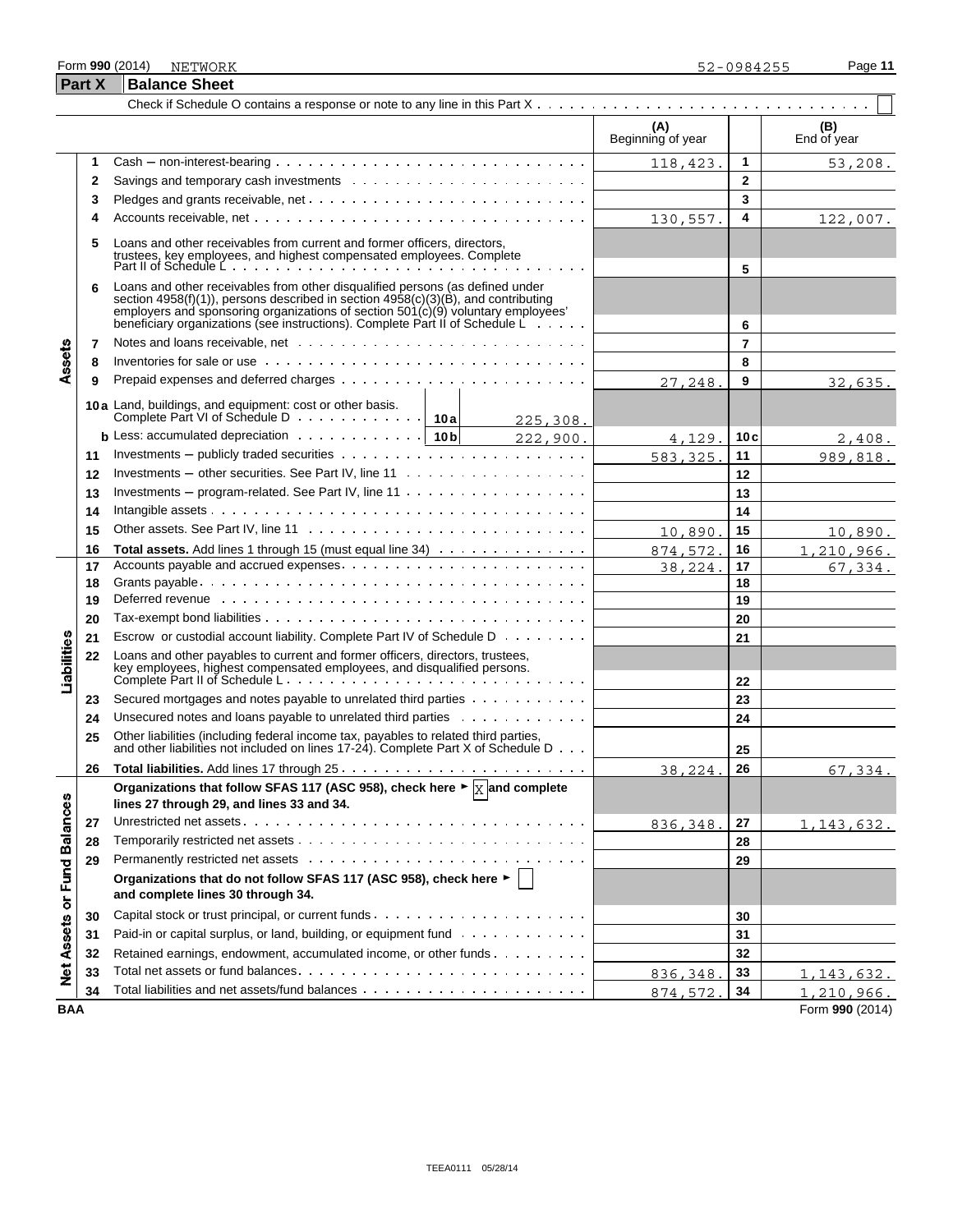# Form **990** (2014) NETWORK **Page 11 Page 11**

|                             | <b>Part X</b> | <b>Balance Sheet</b>                                                                                                                                                                                                                                                                                                                              |                          |                |                    |
|-----------------------------|---------------|---------------------------------------------------------------------------------------------------------------------------------------------------------------------------------------------------------------------------------------------------------------------------------------------------------------------------------------------------|--------------------------|----------------|--------------------|
|                             |               |                                                                                                                                                                                                                                                                                                                                                   |                          |                |                    |
|                             |               |                                                                                                                                                                                                                                                                                                                                                   | (A)<br>Beginning of year |                | (B)<br>End of year |
|                             | 1             |                                                                                                                                                                                                                                                                                                                                                   | 118,423.                 | 1              | 53,208.            |
|                             | 2             |                                                                                                                                                                                                                                                                                                                                                   |                          | $\mathbf{2}$   |                    |
|                             | 3             |                                                                                                                                                                                                                                                                                                                                                   |                          | 3              |                    |
|                             | 4             |                                                                                                                                                                                                                                                                                                                                                   | 130,557.                 | 4              | 122,007.           |
|                             | 5             | Loans and other receivables from current and former officers, directors,<br>trustees, key employees, and highest compensated employees. Complete<br>Part II of Schedule L                                                                                                                                                                         |                          |                |                    |
|                             | 6             | Loans and other receivables from other disqualified persons (as defined under<br>section 4958(f)(1)), persons described in section $4958(c)(3)(\dot{B})$ , and contributing<br>employers and sponsoring organizations of section $501(c)(9)$ voluntary employees'<br>beneficiary organizations (see instructions). Complete Part II of Schedule L |                          | 5<br>6         |                    |
|                             | 7             |                                                                                                                                                                                                                                                                                                                                                   |                          | $\overline{7}$ |                    |
| Assets                      | 8             | Inventories for sale or use with a state of the contract of the contract of the contract of the contract of the contract of the contract of the contract of the contract of the contract of the contract of the contract of th                                                                                                                    |                          | 8              |                    |
|                             | 9             |                                                                                                                                                                                                                                                                                                                                                   | 27,248.                  | 9              | 32,635.            |
|                             |               | 10a Land, buildings, and equipment: cost or other basis.<br>225, 308.                                                                                                                                                                                                                                                                             |                          |                |                    |
|                             |               | <b>b</b> Less: accumulated depreciation $\cdots \cdots \cdots \cdots$   10b                                                                                                                                                                                                                                                                       |                          | 10c            |                    |
|                             | 11            | 222,900.                                                                                                                                                                                                                                                                                                                                          | 4,129.                   | 11             | 2,408.             |
|                             |               |                                                                                                                                                                                                                                                                                                                                                   | 583, 325.                |                | 989,818.           |
|                             | 12            | Investments – program-related. See Part IV, line $11 \ldots \ldots \ldots \ldots \ldots \ldots$                                                                                                                                                                                                                                                   |                          | 12             |                    |
|                             | 13            |                                                                                                                                                                                                                                                                                                                                                   |                          | 13             |                    |
|                             | 14            |                                                                                                                                                                                                                                                                                                                                                   |                          | 14             |                    |
|                             | 15            |                                                                                                                                                                                                                                                                                                                                                   | 10,890.                  | 15             | 10,890.            |
|                             | 16            | Total assets. Add lines 1 through 15 (must equal line 34)                                                                                                                                                                                                                                                                                         | 874,572.                 | 16             | 1,210,966.         |
|                             | 17<br>18      |                                                                                                                                                                                                                                                                                                                                                   | 38,224.                  | 17<br>18       | 67, 334.           |
|                             | 19            | Deferred revenue with the contract of the contract of the contract of the contract of the contract of the contract of the contract of the contract of the contract of the contract of the contract of the contract of the cont                                                                                                                    |                          | 19             |                    |
|                             | 20            |                                                                                                                                                                                                                                                                                                                                                   |                          | 20             |                    |
|                             |               | Escrow or custodial account liability. Complete Part IV of Schedule D                                                                                                                                                                                                                                                                             |                          | 21             |                    |
|                             | 21            | Loans and other payables to current and former officers, directors, trustees,                                                                                                                                                                                                                                                                     |                          |                |                    |
| Liabilities                 | 22            |                                                                                                                                                                                                                                                                                                                                                   |                          | 22             |                    |
|                             | 23            | Secured mortgages and notes payable to unrelated third parties                                                                                                                                                                                                                                                                                    |                          | 23             |                    |
|                             | 24            | Unsecured notes and loans payable to unrelated third parties                                                                                                                                                                                                                                                                                      |                          | 24             |                    |
|                             | 25            | Other liabilities (including federal income tax, payables to related third parties,<br>and other liabilities not included on lines 17-24). Complete Part X of Schedule D                                                                                                                                                                          |                          | 25             |                    |
|                             | 26            |                                                                                                                                                                                                                                                                                                                                                   | 38,224.                  | 26             | 67,334.            |
|                             |               | Organizations that follow SFAS 117 (ASC 958), check here $\blacktriangleright \boxed{\text{X}}$ and complete<br>lines 27 through 29, and lines 33 and 34.                                                                                                                                                                                         |                          |                |                    |
|                             | 27            |                                                                                                                                                                                                                                                                                                                                                   | 836,348.                 | 27             | 1, 143, 632.       |
|                             | 28            |                                                                                                                                                                                                                                                                                                                                                   |                          | 28             |                    |
|                             | 29            |                                                                                                                                                                                                                                                                                                                                                   |                          | 29             |                    |
| Net Assets or Fund Balances |               | Organizations that do not follow SFAS 117 (ASC 958), check here ►  <br>and complete lines 30 through 34.                                                                                                                                                                                                                                          |                          |                |                    |
|                             | 30            |                                                                                                                                                                                                                                                                                                                                                   |                          | 30             |                    |
|                             | 31            | Paid-in or capital surplus, or land, building, or equipment fund                                                                                                                                                                                                                                                                                  |                          | 31             |                    |
|                             | 32            | Retained earnings, endowment, accumulated income, or other funds                                                                                                                                                                                                                                                                                  |                          | 32             |                    |
|                             | 33            |                                                                                                                                                                                                                                                                                                                                                   | 836,348.                 | 33             | 1, 143, 632.       |
|                             | 34            |                                                                                                                                                                                                                                                                                                                                                   | 874,572.                 | 34             | 1,210,966.         |
| <b>BAA</b>                  |               |                                                                                                                                                                                                                                                                                                                                                   |                          |                | Form 990 (2014)    |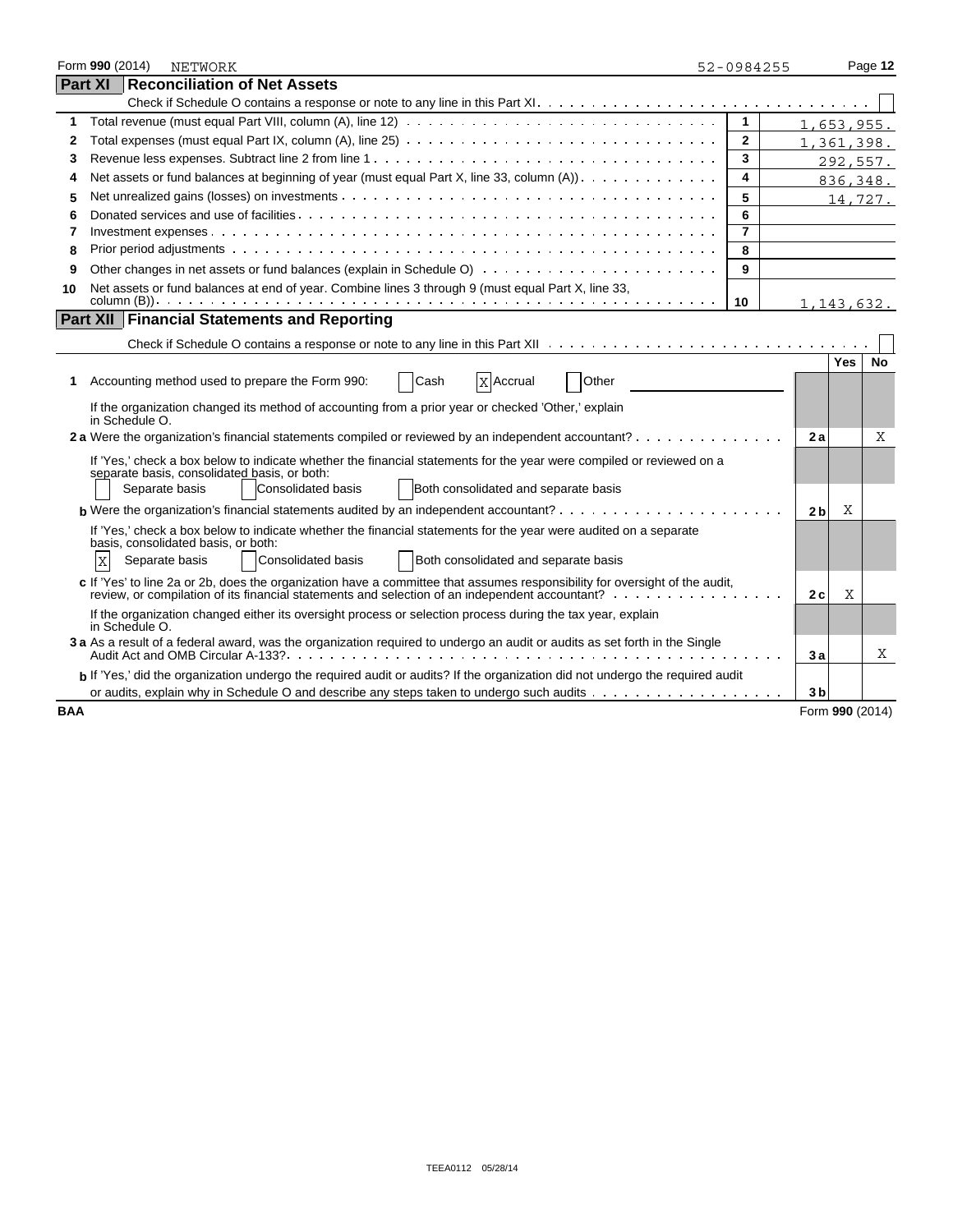|            | Form 990 (2014) |                | NETWORK                                                                                                                                          | 52-0984255              |                |                 | Page 12 |
|------------|-----------------|----------------|--------------------------------------------------------------------------------------------------------------------------------------------------|-------------------------|----------------|-----------------|---------|
|            |                 |                | <b>Part XI Reconciliation of Net Assets</b>                                                                                                      |                         |                |                 |         |
|            |                 |                |                                                                                                                                                  |                         |                |                 |         |
| 1          |                 |                |                                                                                                                                                  | $\mathbf{1}$            |                | 1,653,955.      |         |
| 2          |                 |                | Total expenses (must equal Part IX, column (A), line 25) $\ldots \ldots \ldots \ldots \ldots \ldots \ldots \ldots \ldots \ldots \ldots \ldots$   | $\mathbf{2}$            |                | 1,361,398.      |         |
| 3          |                 |                |                                                                                                                                                  | 3                       |                | 292,557.        |         |
| 4          |                 |                | Net assets or fund balances at beginning of year (must equal Part X, line 33, column $(A)$ ). $\ldots$ , $\ldots$ , $\ldots$                     | 4                       |                | 836,348.        |         |
| 5          |                 |                |                                                                                                                                                  | 5                       |                | 14,727.         |         |
| 6          |                 |                |                                                                                                                                                  | 6                       |                |                 |         |
| 7          |                 |                |                                                                                                                                                  | $\overline{\mathbf{7}}$ |                |                 |         |
| 8          |                 |                |                                                                                                                                                  | 8                       |                |                 |         |
| 9          |                 |                |                                                                                                                                                  | 9                       |                |                 |         |
| 10         |                 |                | Net assets or fund balances at end of year. Combine lines 3 through 9 (must equal Part X, line 33,                                               |                         |                |                 |         |
|            |                 |                |                                                                                                                                                  | 10                      |                | 1, 143, 632.    |         |
|            |                 |                | <b>Part XII Financial Statements and Reporting</b>                                                                                               |                         |                |                 |         |
|            |                 |                |                                                                                                                                                  |                         |                |                 |         |
|            |                 |                |                                                                                                                                                  |                         |                | <b>Yes</b>      | No      |
| 1.         |                 |                | Cash<br>Other<br>Accounting method used to prepare the Form 990:<br>X Accrual                                                                    |                         |                |                 |         |
|            |                 | in Schedule O. | If the organization changed its method of accounting from a prior year or checked 'Other,' explain                                               |                         |                |                 |         |
|            |                 |                | 2a Were the organization's financial statements compiled or reviewed by an independent accountant?                                               |                         | 2a             |                 | X       |
|            |                 |                | If 'Yes,' check a box below to indicate whether the financial statements for the year were compiled or reviewed on a                             |                         |                |                 |         |
|            |                 |                | separate basis, consolidated basis, or both:                                                                                                     |                         |                |                 |         |
|            |                 |                | Consolidated basis<br>Both consolidated and separate basis<br>Separate basis                                                                     |                         |                |                 |         |
|            |                 |                | <b>b</b> Were the organization's financial statements audited by an independent accountant? $\cdots$ , $\cdots$ , $\cdots$ , $\cdots$ , $\cdots$ |                         | 2 <sub>b</sub> | X               |         |
|            |                 |                | If 'Yes,' check a box below to indicate whether the financial statements for the year were audited on a separate                                 |                         |                |                 |         |
|            |                 |                | basis, consolidated basis, or both:                                                                                                              |                         |                |                 |         |
|            | X               |                | Both consolidated and separate basis<br>Separate basis<br><b>Consolidated basis</b>                                                              |                         |                |                 |         |
|            |                 |                | c If 'Yes' to line 2a or 2b, does the organization have a committee that assumes responsibility for oversight of the audit,                      |                         | 2c             | Χ               |         |
|            |                 | in Schedule O. | If the organization changed either its oversight process or selection process during the tax year, explain                                       |                         |                |                 |         |
|            |                 |                | 3 a As a result of a federal award, was the organization required to undergo an audit or audits as set forth in the Single                       |                         | 3a             |                 | Χ       |
|            |                 |                | b If 'Yes,' did the organization undergo the required audit or audits? If the organization did not undergo the required audit                    |                         |                |                 |         |
|            |                 |                |                                                                                                                                                  |                         | 3 <sub>b</sub> |                 |         |
| <b>BAA</b> |                 |                |                                                                                                                                                  |                         |                | Form 990 (2014) |         |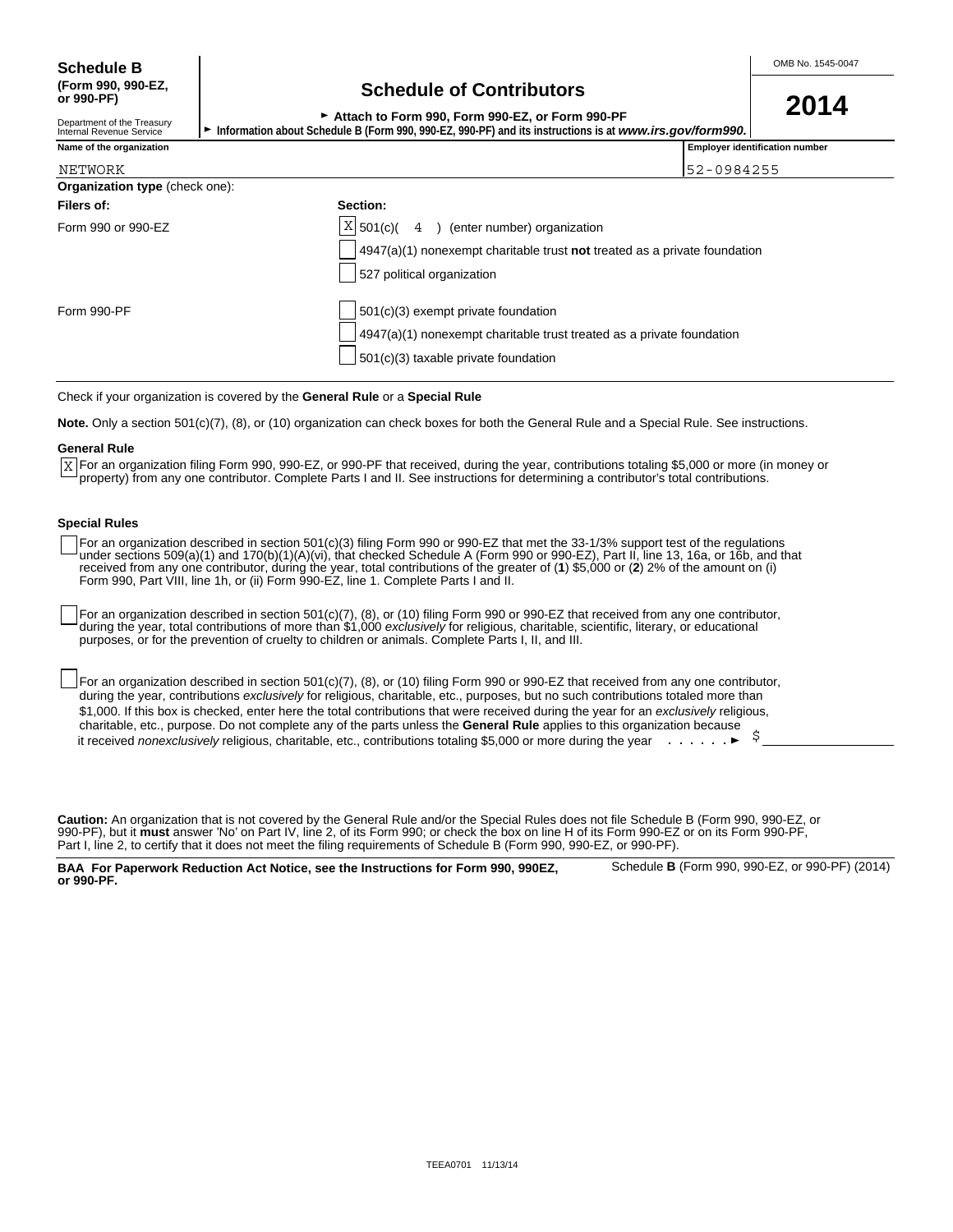## **(Form 990, 990-EZ, Schedule of Contributors or 990-PF)**

► Attach to Form 990, Form 990-EZ, or Form 990-PF **2014** 

| ľ |  |
|---|--|
|   |  |

| Department of the Treasury<br>Internal Revenue Service | $\blacktriangleright$ Attach to Form 990, Form 990-EZ, or Form 990-PF<br>Information about Schedule B (Form 990, 990-EZ, 990-PF) and its instructions is at www.irs.gov/form990. |                                                                           |                                       |  |  |  |
|--------------------------------------------------------|----------------------------------------------------------------------------------------------------------------------------------------------------------------------------------|---------------------------------------------------------------------------|---------------------------------------|--|--|--|
| Name of the organization                               |                                                                                                                                                                                  |                                                                           | <b>Employer identification number</b> |  |  |  |
| NETWORK                                                |                                                                                                                                                                                  |                                                                           | 52-0984255                            |  |  |  |
| <b>Organization type (check one):</b>                  |                                                                                                                                                                                  |                                                                           |                                       |  |  |  |
| Filers of:                                             |                                                                                                                                                                                  | Section:                                                                  |                                       |  |  |  |
| Form 990 or 990-EZ                                     |                                                                                                                                                                                  | $X$ 501(c)(<br>(enter number) organization<br>4                           |                                       |  |  |  |
|                                                        |                                                                                                                                                                                  | 4947(a)(1) nonexempt charitable trust not treated as a private foundation |                                       |  |  |  |
|                                                        |                                                                                                                                                                                  | 527 political organization                                                |                                       |  |  |  |
| Form 990-PF                                            |                                                                                                                                                                                  | 501(c)(3) exempt private foundation                                       |                                       |  |  |  |
|                                                        |                                                                                                                                                                                  | 4947(a)(1) nonexempt charitable trust treated as a private foundation     |                                       |  |  |  |
|                                                        |                                                                                                                                                                                  | 501(c)(3) taxable private foundation                                      |                                       |  |  |  |
|                                                        |                                                                                                                                                                                  |                                                                           |                                       |  |  |  |

Check if your organization is covered by the **General Rule** or a **Special Rule**

**Note.** Only a section 501(c)(7), (8), or (10) organization can check boxes for both the General Rule and a Special Rule. See instructions.

#### **General Rule**

For an organization filing Form 990, 990-EZ, or 990-PF that received, during the year, contributions totaling \$5,000 or more (in money or <u>X</u> |For an organization filing Form 990, 990-EZ, or 990-PF that received, during the year, contributions totaling \$5,000 or more (ir<br>Property) from any one contributor. Complete Parts I and II. See instructions for deter

#### **Special Rules**

For an organization described in section 501(c)(3) filing Form 990 or 990-EZ that met the 33-1/3% support test of the regulations under sections 509(a)(1) and 170(b)(1)(A)(vi), that checked Schedule A (Form 990 or 990-EZ), Part II, line 13, 16a, or 16b, and that received from any one contributor, during the year, total contributions of the greater of (**1**) \$5,000 or (**2**) 2% of the amount on (i) Form 990, Part VIII, line 1h, or (ii) Form 990-EZ, line 1. Complete Parts I and II.

For an organization described in section 501(c)(7), (8), or (10) filing Form 990 or 990-EZ that received from any one contributor, during the year, total contributions of more than \$1,000 *exclusively* for religious, charitable, scientific, literary, or educational purposes, or for the prevention of cruelty to children or animals. Complete Parts I, II, and III.

For an organization described in section 501(c)(7), (8), or (10) filing Form 990 or 990-EZ that received from any one contributor, during the year, contributions *exclusively* for religious, charitable, etc., purposes, but no such contributions totaled more than \$1,000. If this box is checked, enter here the total contributions that were received during the year for an *exclusively* religious, charitable, etc., purpose. Do not complete any of the parts unless the **General Rule** applies to this organization because it received *nonexclusively* religious, charitable, etc., contributions totaling \$5,000 or more during the year  $\ldots \ldots$ 

**Caution:** An organization that is not covered by the General Rule and/or the Special Rules does not file Schedule B (Form 990, 990-EZ, or 990-PF), but it **must** answer 'No' on Part IV, line 2, of its Form 990; or check the box on line H of its Form 990-EZ or on its Form 990-PF, Part I, line 2, to certify that it does not meet the filing requirements of Schedule B (Form 990, 990-EZ, or 990-PF).

**BAA For Paperwork Reduction Act Notice, see the Instructions for Form 990, 990EZ,** Schedule **B** (Form 990, 990-EZ, or 990-PF) (2014) **or 990-PF.**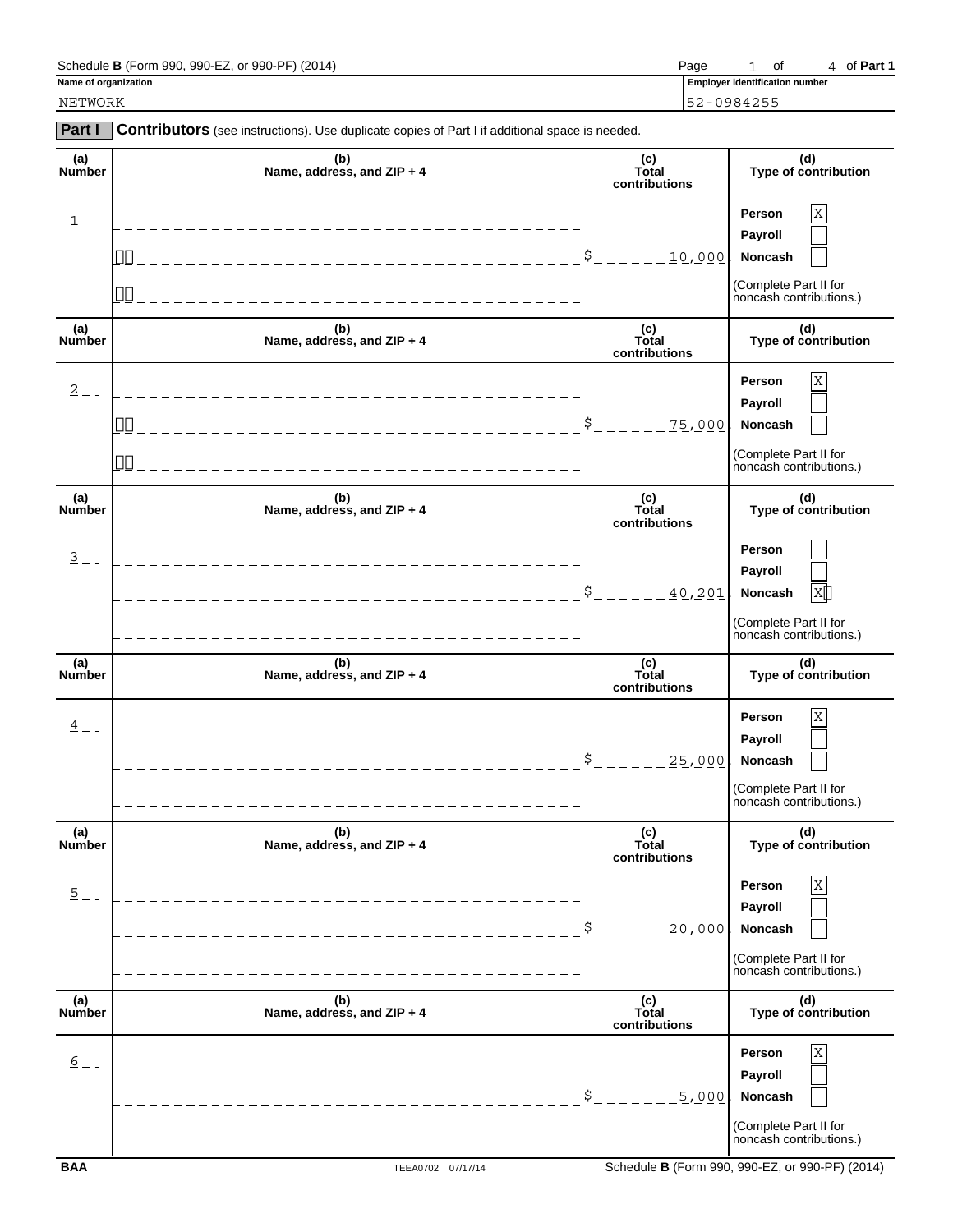### Schedule **B** (Form 990, 990-EZ, or 990-PF) (2014) **Page** 1 of 4 of **Part 1 Page** 1 of 4 of **Part 1**

**Name of organization Employer identification numbers of organization numbers of**  $\mathbb{E}_{\text{m}}$  **and**  $\mathbb{E}_{\text{m}}$  **and**  $\mathbb{E}_{\text{m}}$  **and**  $\mathbb{E}_{\text{m}}$  **and**  $\mathbb{E}_{\text{m}}$  **and**  $\mathbb{E}_{\text{m}}$  **and**  $\mathbb{E}_{\text{m}}$  **and**  $\mathbb{E}_{\text{m}}$ 

NETWORK 52-0984255

**Part I Contributors** (see instructions). Use duplicate copies of Part I if additional space is needed. **(a) (b) (c) (d) Number Name, address, and ZIP + 4 Total Type of contribution contributions Person Payroll** \$ **Noncash** (Complete Part II for noncash contributions.) **(a) (b) (c) (d) Number Name, address, and ZIP + 4 Total Type of contribution contributions Person Payroll** \$ **Noncash** (Complete Part II for noncash contributions.) **(a) (b) (c) (d) Number Name, address, and ZIP + 4 Total Type of contribution contributions Person Payroll** \$<sub>-----</sub>40,201. Noncash X (Complete Part II for noncash contributions.) **(a) (b) (c) (d) Number Name, address, and ZIP + 4 Total Type of contribution contributions Person Payroll** \$\_\_\_\_\_\_<u>25,000</u>. Noncash (Complete Part II for noncash contributions.) **(a) (b) (c) (d) Number Name, address, and ZIP + 4 Total Type of contribution contributions Person Payroll** \$\_\_\_\_\_\_<u>20,000</u>, Noncash (Complete Part II for noncash contributions.) **(a) (b) (c) (d) Number Name, address, and ZIP + 4 Total Type of contribution contributions Person Payroll** \$ **Noncash** (Complete Part II for noncash contributions.)  $1 -$ X 10,000.  $\mathbb{R}^2$  $\overline{2}$  – X 75,000.  $\mathbb{R}^2$  $\frac{3}{2}$  – –  $\overline{4}$   $-$ X  $\overline{5}$   $-$ X  $\mathbf{r}$  $6 - 1$ X 5,000.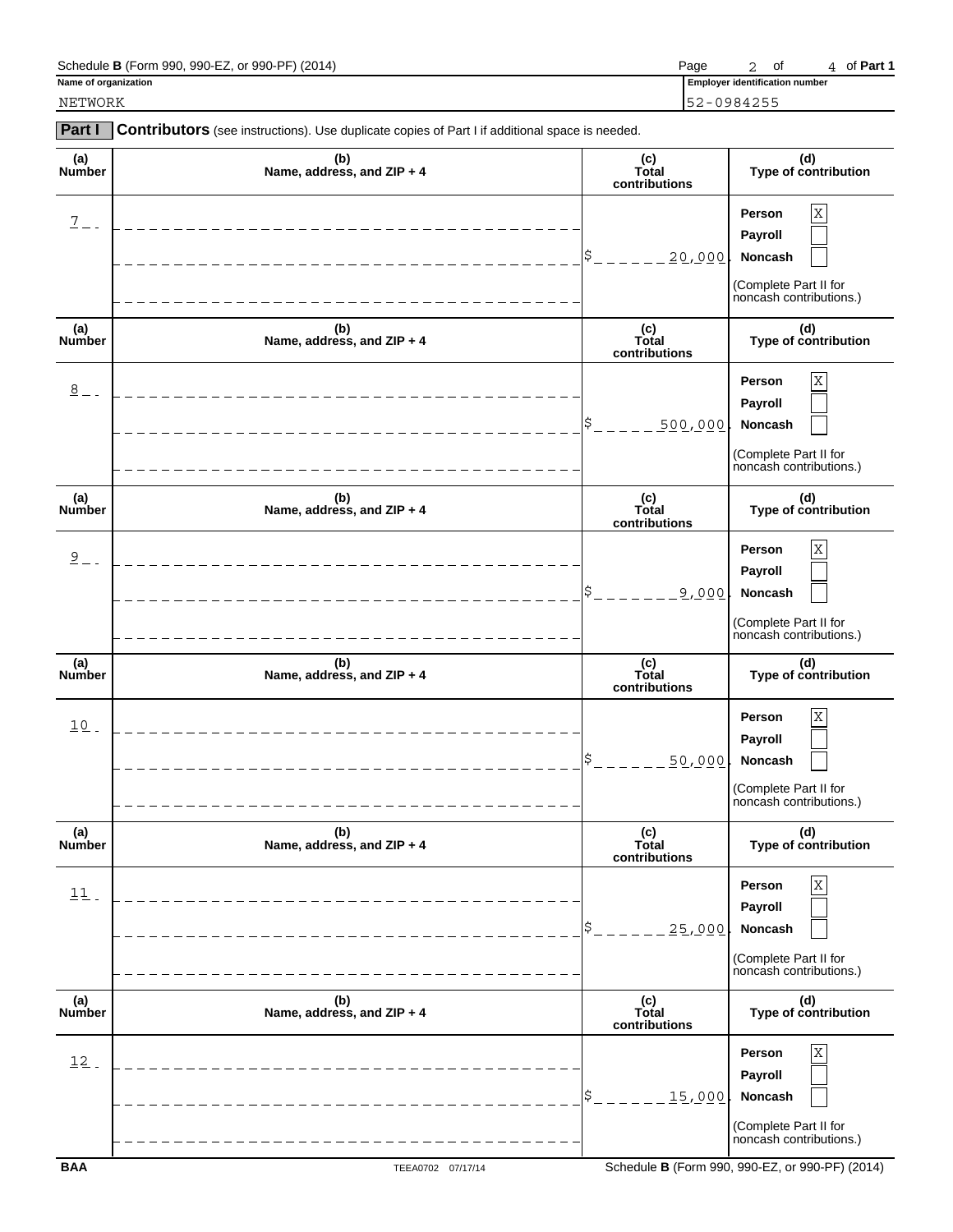# Schedule **B** (Form 990, 990-EZ, or 990-PF) (2014) Page 2 of **Part 11 Part 11 Part 11 Part 11 Part 11 Part 11 Part 11 Part 11 Part 11 Part 11 Part 11 Part 11 Part 11 Part 11 Part 11 Part 11 Part 11 Part 11 Part 11 Part 11 P**

| NETWORK         |                                                                                                |                               | 52-0984255                                                                                      |
|-----------------|------------------------------------------------------------------------------------------------|-------------------------------|-------------------------------------------------------------------------------------------------|
| Part I          | Contributors (see instructions). Use duplicate copies of Part I if additional space is needed. |                               |                                                                                                 |
| (a)<br>Number   | (b)<br>Name, address, and ZIP + 4                                                              | (c)<br>Total<br>contributions | (d)<br>Type of contribution                                                                     |
| $\frac{7}{2}$ - | _____________________________________<br>----------------                                      | 20,000                        | $\mathbf X$<br>Person<br>Payroll<br>Noncash<br>(Complete Part II for<br>noncash contributions.) |
| (a)<br>Number   | (b)<br>Name, address, and ZIP + 4                                                              | (c)<br>Total<br>contributions | (d)<br>Type of contribution                                                                     |
| $\frac{8}{2}$ - | ______________________________________<br>__________________                                   | 500,000                       | $\mathbf X$<br>Person<br>Payroll<br>Noncash<br>(Complete Part II for<br>noncash contributions.) |
| (a)<br>Number   | (b)<br>Name, address, and ZIP + 4                                                              | (c)<br>Total<br>contributions | (d)<br>Type of contribution                                                                     |
| $2 - 1$         | -----------------------------------<br>___________________                                     | 9,000                         | $\rm X$<br>Person<br>Payroll<br>Noncash<br>(Complete Part II for<br>noncash contributions.)     |
| (a)<br>Number   | (b)<br>Name, address, and ZIP + 4                                                              | (c)<br>Total<br>contributions | (d)<br>Type of contribution                                                                     |
| 10              | _________________________________<br>__________________                                        | 50,000                        | $\mathbf X$<br>Person<br>Payroll<br>Noncash<br>(Complete Part II for<br>noncash contributions.) |
| (a)<br>Number   | (b)<br>Name, address, and ZIP + 4                                                              | (c)<br>Total<br>contributions | (d)<br>Type of contribution                                                                     |
| $11$ .          |                                                                                                | 25,000                        | X<br>Person<br>Payroll<br>Noncash<br>(Complete Part II for<br>oncash contributions)             |

htributions.) **(a) (b) (c) (d) Number Name, address, and ZIP + 4 Total Type of contribution** (c)<br>Total<br>contributions **Person Payroll** \$\_\_\_\_\_\_<u>15,000</u>. Noncash (Complete Part II for noncash contributions.)  $\frac{12}{\pi}$  Person  $\overline{\mathbb{R}}$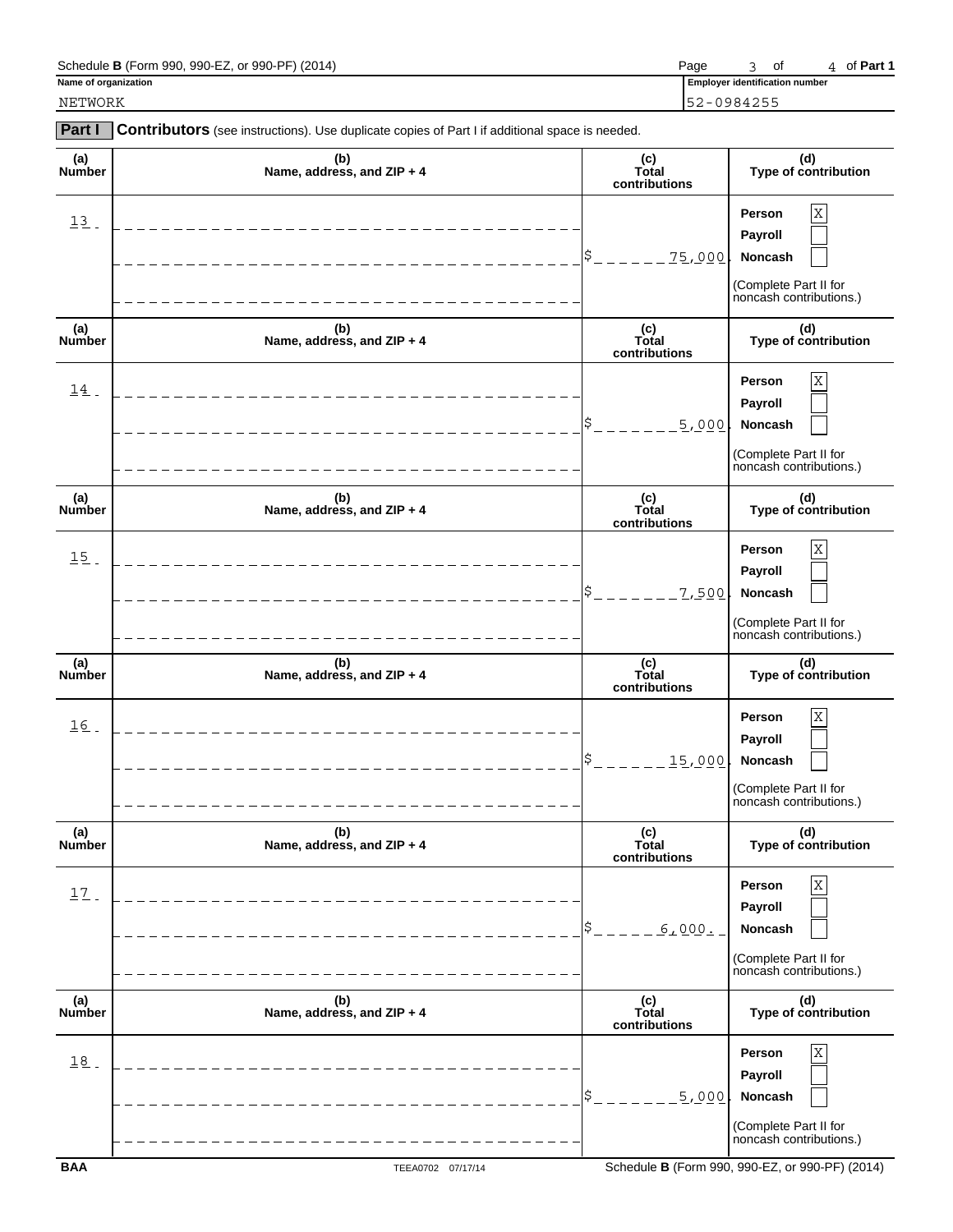### Schedule **B** (Form 990, 990-EZ, or 990-PF) (2014) **Page** 3 of 4 of **Part 1 Page** 3 of 4 of **Part 1**

**Name of organization Employer identification numbers of organization of**  $\blacksquare$  **<b>Employer identification numbers** 

NETWORK 52-0984255

**Part I Contributors** (see instructions). Use duplicate copies of Part I if additional space is needed. **(a) (b) (c) (d) Number Name, address, and ZIP + 4 Total Type of contribution contributions Person Payroll** \$\_\_\_\_\_\_\_<u>75,000</u>. Noncash (Complete Part II for noncash contributions.) **(a) (b) (c) (d) Number Name, address, and ZIP + 4 Total Type of contribution contributions Person Payroll** \$ **Noncash** (Complete Part II for noncash contributions.) **(a) (b) (c) (d) Number Name, address, and ZIP + 4 Total Type of contribution contributions Person Payroll** \$ **Noncash** (Complete Part II for noncash contributions.) **(a) (b) (c) (d) Number Name, address, and ZIP + 4 Total Type of contribution contributions Person Payroll** \$\_\_\_\_\_\_<u>15,000</u>. Noncash (Complete Part II for noncash contributions.) **(a) (b) (c) (d) Number Name, address, and ZIP + 4 Total Type of contribution contributions Person Payroll** \$\_\_\_\_\_<u>\_6,000.</u>\_ Noncash (Complete Part II for noncash contributions.) **(a) (b) (c) (d) Number Name, address, and ZIP + 4 Total Type of contribution contributions Person Payroll** \$ **Noncash** (Complete Part II for noncash contributions.)  $\frac{13}{4}$  Person  $\overline{\mathbb{R}}$  $\frac{14}{4}$  Person  $\overline{\mathbb{R}}$ 5,000.  $\frac{15}{2}$  Person  $\overline{\mathbf{X}}$ 7,500.  $\frac{16}{2}$  Person  $\frac{X}{4}$  $\frac{17}{2}$  Person  $\frac{X}{4}$  $\frac{18}{2}$  Person  $\overline{\mathbf{X}}$ 5,000.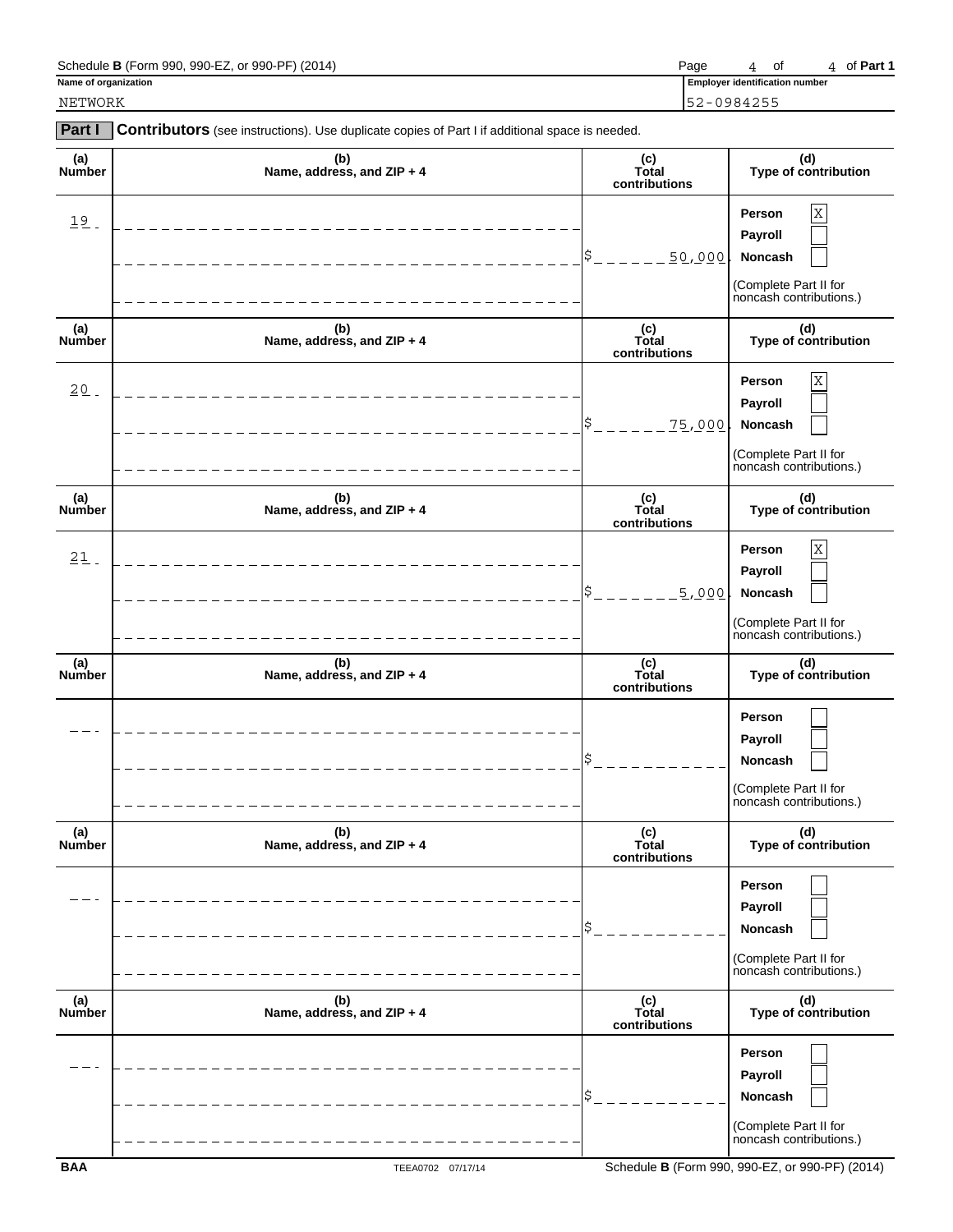### Schedule **B** (Form 990, 990-EZ, or 990-PF) (2014) **Page** 1 **Page** of 0 4 **of Part 1 Page** of 0 4 **of Part 1**

**Name of organization Employer identification numbers of organization numbers of**  $\mathbb{E}_{\text{m}}$  **and**  $\mathbb{E}_{\text{m}}$  **and**  $\mathbb{E}_{\text{m}}$  **and**  $\mathbb{E}_{\text{m}}$  **and**  $\mathbb{E}_{\text{m}}$  **and**  $\mathbb{E}_{\text{m}}$  **and**  $\mathbb{E}_{\text{m}}$  **and**  $\mathbb{E}_{\text{m}}$ 

**Part I Contributors** (see instructions). Use duplicate copies of Part I if additional space is needed. **(a) (b) (c) (d) Number Name, address, and ZIP + 4 Total Type of contribution contributions Person Payroll** \$\_\_\_\_\_\_<u>\_50,000</u>. Noncash (Complete Part II for noncash contributions.) **(a) (b) (c) (d) Number Name, address, and ZIP + 4 Total Type of contribution contributions Person Payroll** \$\_\_\_\_\_\_\_<u>75,000</u>. Noncash (Complete Part II for noncash contributions.) **(a) (b) (c) (d) Number Name, address, and ZIP + 4 Total Type of contribution contributions Person Payroll** \$ **Noncash** (Complete Part II for noncash contributions.) **(a) (b) (c) (d) Number Name, address, and ZIP + 4 Total Type of contribution contributions Person Payroll** \$ **Noncash** (Complete Part II for noncash contributions.) **(a) (b) (c) (d) Number Name, address, and ZIP + 4 Total Type of contribution contributions Person Payroll** \$ **Noncash** (Complete Part II for noncash contributions.) **(a) (b) (c) (d) Number Name, address, and ZIP + 4 Total Type of contribution contributions Person Payroll** \$ **Noncash** (Complete Part II for noncash contributions.) **BAA** TEEA0702 07/17/14 Schedule **B** (Form 990, 990-EZ, or 990-PF) (2014) NETWORK 52-0984255  $\frac{19}{2}$  Person  $\overline{\mathbf{X}}$  $\mathbf{r}$  $\begin{array}{|c|c|c|c|c|}\hline 2\,0 & \end{array}$  Person  $\begin{array}{|c|c|c|c|c|}\hline \textbf{X} & \textbf{Y} & \textbf{Y} & \textbf{Y} & \textbf{Y} & \textbf{Y} & \textbf{Y} & \textbf{Y} & \textbf{Y} & \textbf{Y} & \textbf{Y} & \textbf{Y} & \textbf{Y} & \textbf{Y} & \textbf{Y} & \textbf{Y} & \textbf{Y} & \textbf{Y} & \textbf{Y} & \textbf{Y} & \textbf{Y} & \textbf{Y} & \textbf{Y} &$  $\overline{21}$  Person  $\overline{X}$ 5,000.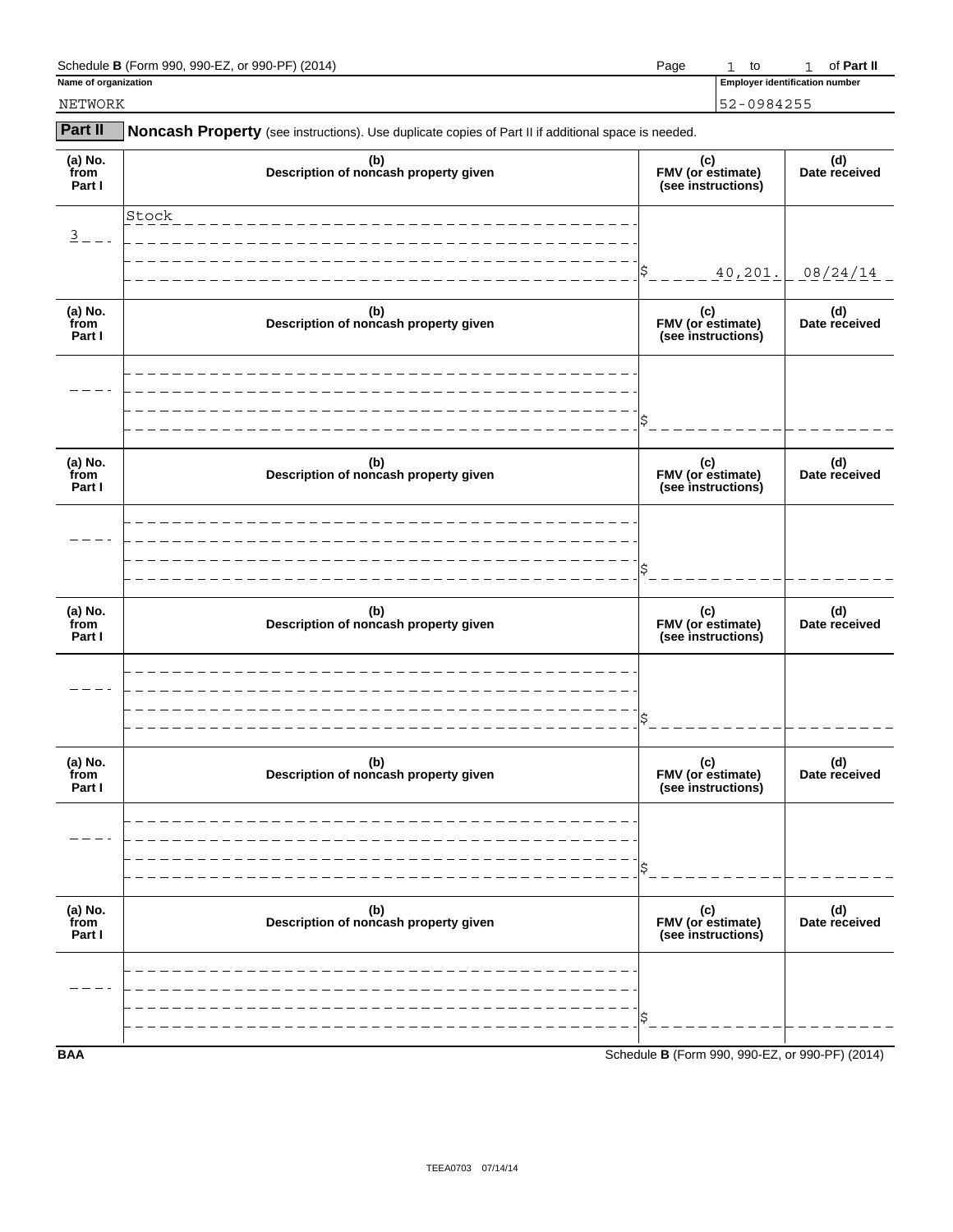### Schedule **B** (Form 990, 990-EZ, or 990-PF) (2014) Page to of Part III and Part III and Part III and Part III

**Name of organization Employer identification number**  $\frac{1}{2}$  to  $\frac{1}{2}$  of Part II<br>Employer identification number

NETWORK 52-0984255

| <b>Part II</b>            | Noncash Property (see instructions). Use duplicate copies of Part II if additional space is needed. |                                                |                      |  |  |
|---------------------------|-----------------------------------------------------------------------------------------------------|------------------------------------------------|----------------------|--|--|
| (a) No.<br>from<br>Part I | (b)<br>Description of noncash property given                                                        | (c)<br>FMV (or estimate)<br>(see instructions) | (d)<br>Date received |  |  |
| $\frac{3}{2}$ - - -       | Stock                                                                                               | 40,201.                                        | 08/24/14             |  |  |
| (a) No.<br>from<br>Part I | (b)<br>Description of noncash property given                                                        | (c)<br>FMV (or estimate)<br>(see instructions) | (d)<br>Date received |  |  |
|                           |                                                                                                     |                                                |                      |  |  |
| (a) No.<br>from<br>Part I | (b)<br>Description of noncash property given                                                        | (c)<br>FMV (or estimate)<br>(see instructions) | (d)<br>Date received |  |  |
|                           |                                                                                                     |                                                |                      |  |  |
| (a) No.<br>from<br>Part I | (b)<br>Description of noncash property given                                                        | (c)<br>FMV (or estimate)<br>(see instructions) | (d)<br>Date received |  |  |
|                           |                                                                                                     |                                                |                      |  |  |
| (a) No.<br>from<br>Part I | (b)<br>Description of noncash property given                                                        | (c)<br>FMV (or estimate)<br>(see instructions) | (d)<br>Date received |  |  |
|                           |                                                                                                     |                                                |                      |  |  |
| (a) No.<br>from<br>Part I | (b)<br>Description of noncash property given                                                        | (c)<br>FMV (or estimate)<br>(see instructions) | (d)<br>Date received |  |  |
|                           |                                                                                                     |                                                |                      |  |  |
|                           |                                                                                                     |                                                |                      |  |  |

**BAA** Schedule **B** (Form 990, 990-EZ, or 990-PF) (2014)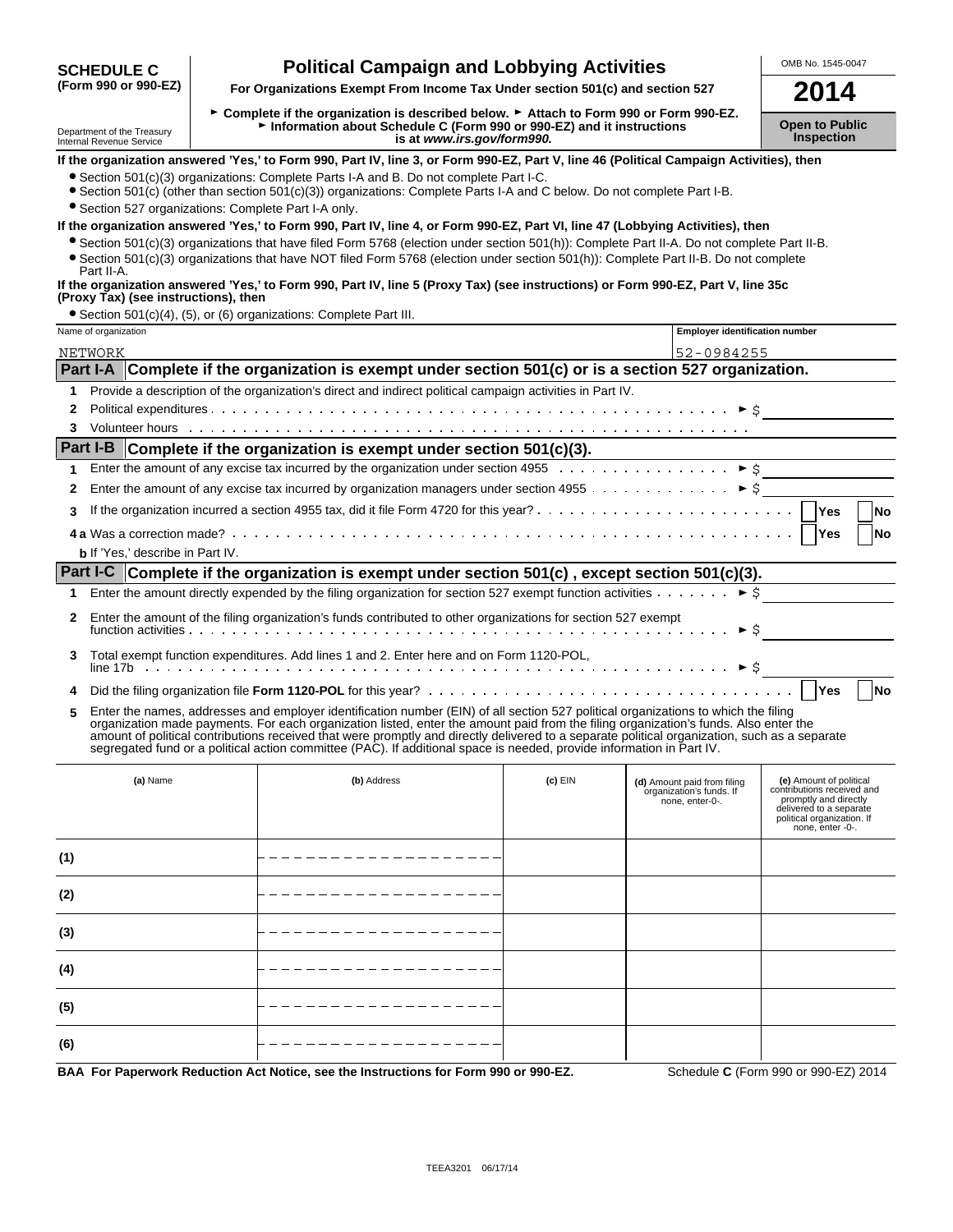# **Political Campaign and Lobbying Activities** MEDING. 1545-0047 **SCHEDULE C SCHEDULE C SCHEDULE C SCHEDULE C SCHEDULE C SCHEDULE C SCHEDULE C SCHEDULE C SCHEDULE C SCHEDULE C SCHEDULE C SCHEDULE C SC**

**(Form 990 or 990-EZ) For Organizations Exempt From Income Tax Under section 501(c) and section 527 2014**

**(6)**

► Complete if the organization is described below. ► Attach to Form 990 or Form 990-EZ. Department of the Treasury<br>Information about Schedule C (Form 990 or 990-EZ) and it instructions<br>Inspection is at www.irs.gov/form990. Internal Revenue Assets at *www.irs.gov/form990.* 

**If the organization answered 'Yes,' to Form 990, Part IV, line 3, or Form 990-EZ, Part V, line 46 (Political Campaign Activities), then**

?Section 501(c)(3) organizations: Complete Parts I-A and B. Do not complete Part I-C.

?Section 501(c) (other than section 501(c)(3)) organizations: Complete Parts I-A and C below. Do not complete Part I-B.

?Section 527 organizations: Complete Part I-A only.

#### **If the organization answered 'Yes,' to Form 990, Part IV, line 4, or Form 990-EZ, Part VI, line 47 (Lobbying Activities), then**

?Section 501(c)(3) organizations that have filed Form 5768 (election under section 501(h)): Complete Part II-A. Do not complete Part II-B. ?Section 501(c)(3) organizations that have NOT filed Form 5768 (election under section 501(h)): Complete Part II-B. Do not complete

#### Part II-A. **If the organization answered 'Yes,' to Form 990, Part IV, line 5 (Proxy Tax) (see instructions) or Form 990-EZ, Part V, line 35c (Proxy Tax) (see instructions), then**

?Section 501(c)(4), (5), or (6) organizations: Complete Part III.

|     | Name of organization |                                         |                                                                                                                                                                                                                                                                                                                                                                                                                                                                                                                                                      |           | <b>Employer identification number</b>                                      |                                                                                                                                                             |
|-----|----------------------|-----------------------------------------|------------------------------------------------------------------------------------------------------------------------------------------------------------------------------------------------------------------------------------------------------------------------------------------------------------------------------------------------------------------------------------------------------------------------------------------------------------------------------------------------------------------------------------------------------|-----------|----------------------------------------------------------------------------|-------------------------------------------------------------------------------------------------------------------------------------------------------------|
|     | NETWORK              |                                         |                                                                                                                                                                                                                                                                                                                                                                                                                                                                                                                                                      |           | 52-0984255                                                                 |                                                                                                                                                             |
|     |                      |                                         | Part I-A Complete if the organization is exempt under section 501(c) or is a section 527 organization.                                                                                                                                                                                                                                                                                                                                                                                                                                               |           |                                                                            |                                                                                                                                                             |
| 1   |                      |                                         | Provide a description of the organization's direct and indirect political campaign activities in Part IV.                                                                                                                                                                                                                                                                                                                                                                                                                                            |           |                                                                            |                                                                                                                                                             |
| 2   |                      |                                         |                                                                                                                                                                                                                                                                                                                                                                                                                                                                                                                                                      |           |                                                                            |                                                                                                                                                             |
| 3   |                      |                                         | Volunteer hours is a conservative contact the conservative conservative conservative conservative conservative conservative conservative conservative conservative conservative conservative conservative conservative conserv                                                                                                                                                                                                                                                                                                                       |           |                                                                            |                                                                                                                                                             |
|     |                      |                                         | Part I-B Complete if the organization is exempt under section $501(c)(3)$ .                                                                                                                                                                                                                                                                                                                                                                                                                                                                          |           |                                                                            |                                                                                                                                                             |
| 1   |                      |                                         | Enter the amount of any excise tax incurred by the organization under section 4955 $\ldots \ldots \ldots \ldots \ldots$                                                                                                                                                                                                                                                                                                                                                                                                                              |           |                                                                            |                                                                                                                                                             |
| 2   |                      |                                         |                                                                                                                                                                                                                                                                                                                                                                                                                                                                                                                                                      |           |                                                                            |                                                                                                                                                             |
|     |                      |                                         |                                                                                                                                                                                                                                                                                                                                                                                                                                                                                                                                                      |           |                                                                            | Yes<br><b>No</b>                                                                                                                                            |
|     |                      |                                         |                                                                                                                                                                                                                                                                                                                                                                                                                                                                                                                                                      |           |                                                                            | Yes<br>No                                                                                                                                                   |
|     |                      | <b>b</b> If 'Yes.' describe in Part IV. |                                                                                                                                                                                                                                                                                                                                                                                                                                                                                                                                                      |           |                                                                            |                                                                                                                                                             |
|     |                      |                                         | Part I-C Complete if the organization is exempt under section $501(c)$ , except section $501(c)(3)$ .                                                                                                                                                                                                                                                                                                                                                                                                                                                |           |                                                                            |                                                                                                                                                             |
|     |                      |                                         | 1 Enter the amount directly expended by the filing organization for section 527 exempt function activities                                                                                                                                                                                                                                                                                                                                                                                                                                           |           | $\triangleright$ \$                                                        |                                                                                                                                                             |
|     |                      |                                         | 2 Enter the amount of the filing organization's funds contributed to other organizations for section 527 exempt                                                                                                                                                                                                                                                                                                                                                                                                                                      |           |                                                                            |                                                                                                                                                             |
| 3   |                      |                                         | Total exempt function expenditures. Add lines 1 and 2. Enter here and on Form 1120-POL,                                                                                                                                                                                                                                                                                                                                                                                                                                                              |           |                                                                            |                                                                                                                                                             |
|     |                      |                                         |                                                                                                                                                                                                                                                                                                                                                                                                                                                                                                                                                      |           |                                                                            | Yes<br><b>No</b>                                                                                                                                            |
| 5   |                      |                                         | Enter the names, addresses and employer identification number (EIN) of all section 527 political organizations to which the filing<br>organization made payments. For each organization listed, enter the amount paid from the filing organization's funds. Also enter the<br>amount of political contributions received that were promptly and directly delivered to a separate political organization, such as a separate<br>segregated fund or a political action committee (PAC). If additional space is needed, provide information in Part IV. |           |                                                                            |                                                                                                                                                             |
|     |                      | (a) Name                                | (b) Address                                                                                                                                                                                                                                                                                                                                                                                                                                                                                                                                          | $(c)$ EIN | (d) Amount paid from filing<br>organization's funds. If<br>none, enter-0-. | (e) Amount of political<br>contributions received and<br>promptly and directly<br>delivered to a separate<br>political organization. If<br>none, enter -0-. |
| (1) |                      |                                         |                                                                                                                                                                                                                                                                                                                                                                                                                                                                                                                                                      |           |                                                                            |                                                                                                                                                             |
| (2) |                      |                                         |                                                                                                                                                                                                                                                                                                                                                                                                                                                                                                                                                      |           |                                                                            |                                                                                                                                                             |
| (3) |                      |                                         |                                                                                                                                                                                                                                                                                                                                                                                                                                                                                                                                                      |           |                                                                            |                                                                                                                                                             |
| (4) |                      |                                         |                                                                                                                                                                                                                                                                                                                                                                                                                                                                                                                                                      |           |                                                                            |                                                                                                                                                             |
| (5) |                      |                                         |                                                                                                                                                                                                                                                                                                                                                                                                                                                                                                                                                      |           |                                                                            |                                                                                                                                                             |

**BAA For Paperwork Reduction Act Notice, see the Instructions for Form 990 or 990-EZ.** Schedule **C** (Form 990 or 990-EZ) 2014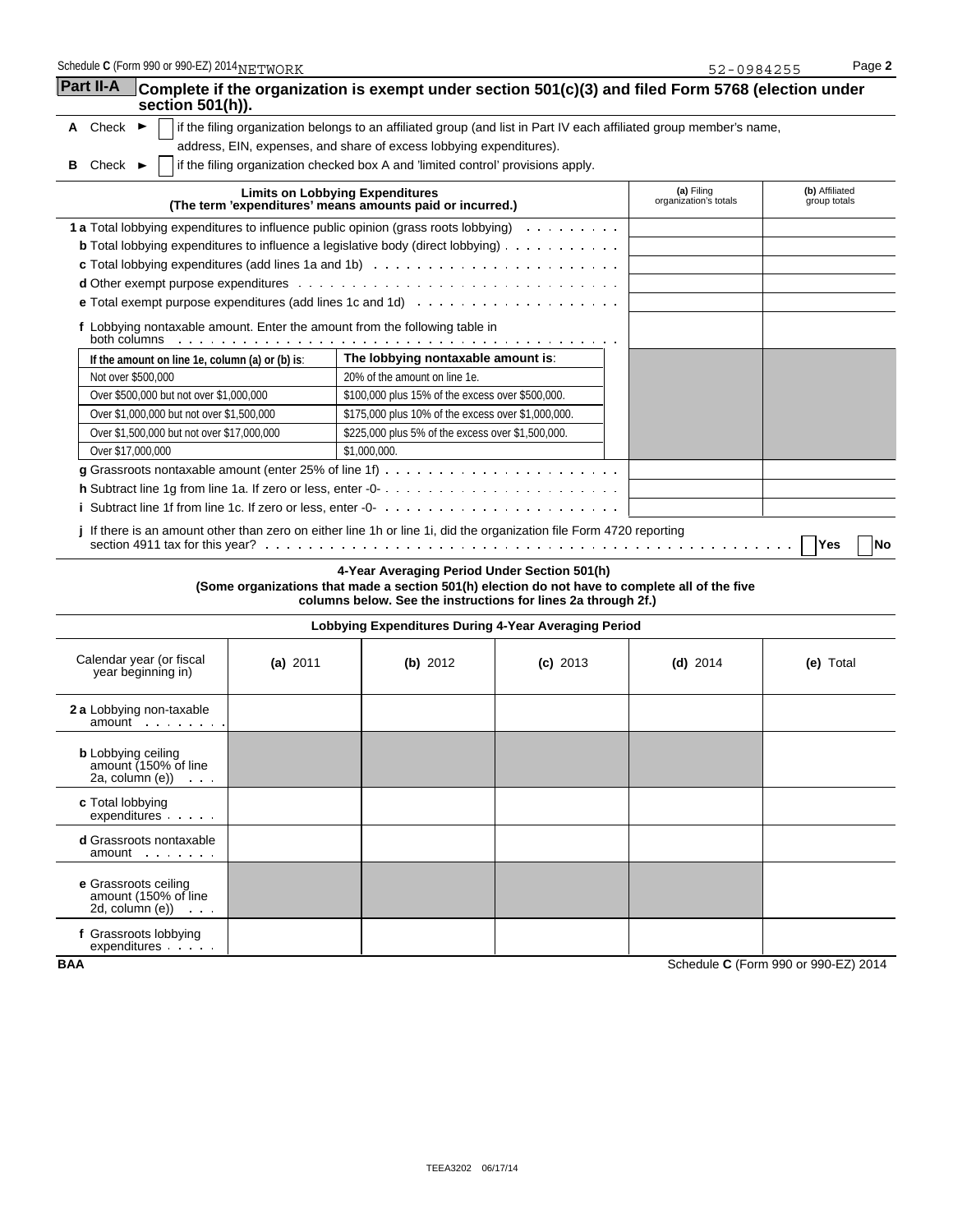| Schedule C (Form 990 or 990-EZ) 2014 NETWORK                                       |            |                                                                                                                                                                                                                  |                                   | 52-0984255                          | Page 2                         |
|------------------------------------------------------------------------------------|------------|------------------------------------------------------------------------------------------------------------------------------------------------------------------------------------------------------------------|-----------------------------------|-------------------------------------|--------------------------------|
| Part II-A<br>section 501(h)).                                                      |            | Complete if the organization is exempt under section 501(c)(3) and filed Form 5768 (election under                                                                                                               |                                   |                                     |                                |
| A Check $\blacktriangleright$                                                      |            | if the filing organization belongs to an affiliated group (and list in Part IV each affiliated group member's name,                                                                                              |                                   |                                     |                                |
|                                                                                    |            | address, EIN, expenses, and share of excess lobbying expenditures).                                                                                                                                              |                                   |                                     |                                |
| Check $\blacktriangleright$<br>в                                                   |            | if the filing organization checked box A and 'limited control' provisions apply.                                                                                                                                 |                                   |                                     |                                |
|                                                                                    |            | <b>Limits on Lobbying Expenditures</b><br>(The term 'expenditures' means amounts paid or incurred.)                                                                                                              |                                   | (a) Filing<br>organization's totals | (b) Affiliated<br>group totals |
| 1 a Total lobbying expenditures to influence public opinion (grass roots lobbying) |            |                                                                                                                                                                                                                  | the second contract of the second |                                     |                                |
|                                                                                    |            | <b>b</b> Total lobbying expenditures to influence a legislative body (direct lobbying)                                                                                                                           |                                   |                                     |                                |
|                                                                                    |            |                                                                                                                                                                                                                  |                                   |                                     |                                |
|                                                                                    |            |                                                                                                                                                                                                                  |                                   |                                     |                                |
|                                                                                    |            |                                                                                                                                                                                                                  |                                   |                                     |                                |
| both columns                                                                       |            | f Lobbying nontaxable amount. Enter the amount from the following table in                                                                                                                                       |                                   |                                     |                                |
| If the amount on line 1e, column (a) or (b) is:                                    |            | The lobbying nontaxable amount is:                                                                                                                                                                               |                                   |                                     |                                |
| Not over \$500,000                                                                 |            | 20% of the amount on line 1e.                                                                                                                                                                                    |                                   |                                     |                                |
| Over \$500,000 but not over \$1,000,000                                            |            | \$100,000 plus 15% of the excess over \$500,000.                                                                                                                                                                 |                                   |                                     |                                |
| Over \$1,000,000 but not over \$1,500,000                                          |            | \$175,000 plus 10% of the excess over \$1,000,000.                                                                                                                                                               |                                   |                                     |                                |
| Over \$1,500,000 but not over \$17,000,000                                         |            | \$225,000 plus 5% of the excess over \$1,500,000.                                                                                                                                                                |                                   |                                     |                                |
| Over \$17,000,000                                                                  |            | \$1,000,000.                                                                                                                                                                                                     |                                   |                                     |                                |
|                                                                                    |            |                                                                                                                                                                                                                  |                                   |                                     |                                |
|                                                                                    |            | j If there is an amount other than zero on either line 1h or line 1i, did the organization file Form 4720 reporting                                                                                              |                                   |                                     | Yes<br><b>No</b>               |
|                                                                                    |            | 4-Year Averaging Period Under Section 501(h)<br>(Some organizations that made a section 501(h) election do not have to complete all of the five<br>columns below. See the instructions for lines 2a through 2f.) |                                   |                                     |                                |
|                                                                                    |            | Lobbying Expenditures During 4-Year Averaging Period                                                                                                                                                             |                                   |                                     |                                |
| Calendar year (or fiscal<br>year beginning in)                                     | (a) $2011$ | (b) $2012$                                                                                                                                                                                                       | $(c)$ 2013                        | (d) $2014$                          | (e) Total                      |
| 2 a Lobbying non-taxable<br>amount                                                 |            |                                                                                                                                                                                                                  |                                   |                                     |                                |
| <b>b</b> Lobbying ceiling<br>amount (150% of line<br>2a, column $(e)$ $\cdots$     |            |                                                                                                                                                                                                                  |                                   |                                     |                                |
| c Total lobbying<br>$expenditures$ $\ldots$ $\ldots$                               |            |                                                                                                                                                                                                                  |                                   |                                     |                                |
| <b>d</b> Grassroots nontaxable<br>$amount \dots \dots$                             |            |                                                                                                                                                                                                                  |                                   |                                     |                                |
| e Grassroots ceiling<br>amount (150% of line<br>2d, column $(e)$                   |            |                                                                                                                                                                                                                  |                                   |                                     |                                |
| f Grassroots lobbying                                                              |            |                                                                                                                                                                                                                  |                                   |                                     |                                |

expenditures

 $\overline{a}$ 

**BAA** Schedule **C** (Form 990 or 990-EZ) 2014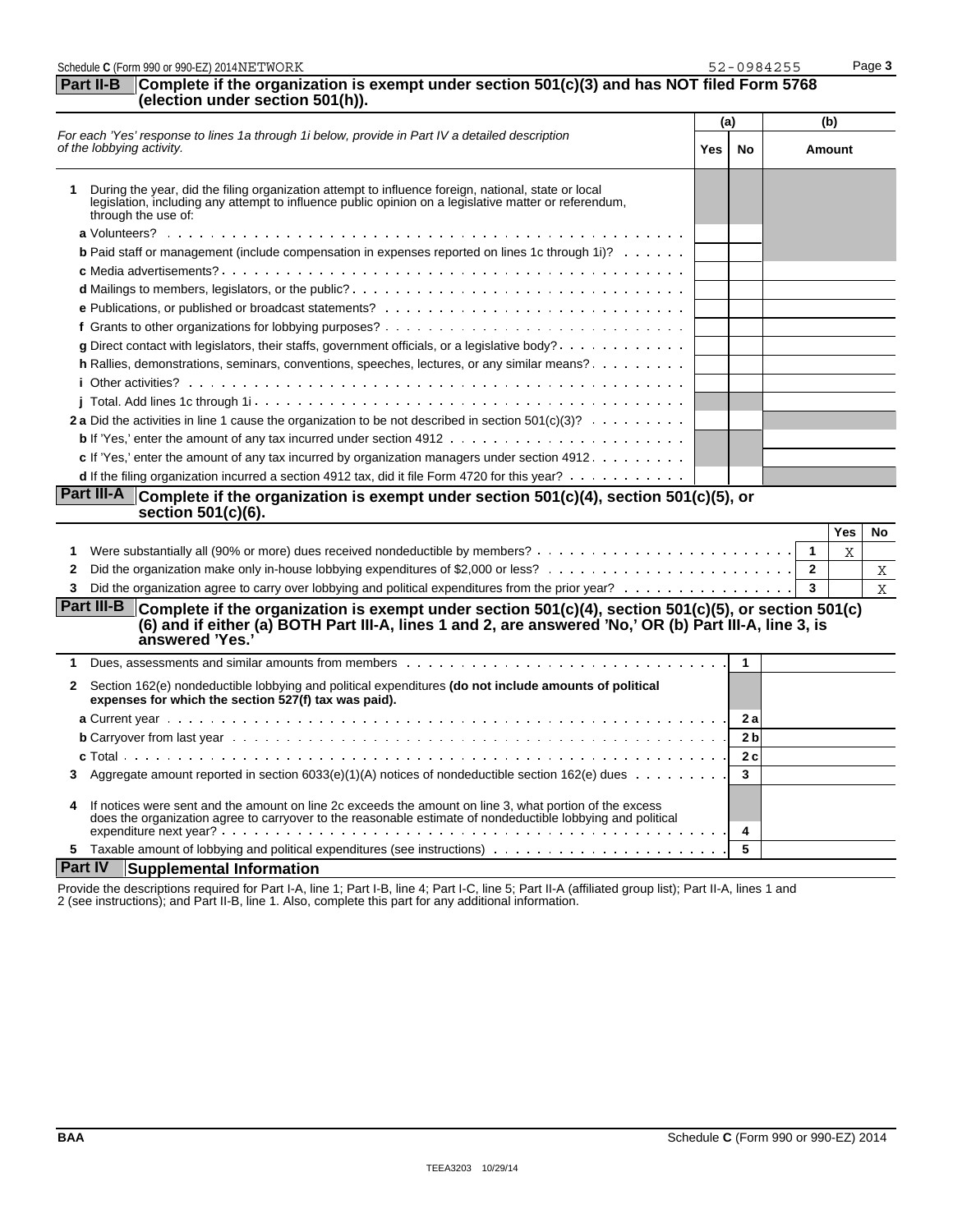| Complete if the organization is exempt under section 501(c)(3) and has NOT filed Form 5768<br>Part II-B<br>(election under section 501(h)).<br>(b)<br>(a)<br>For each 'Yes' response to lines 1a through 1i below, provide in Part IV a detailed description<br>No<br><b>Amount</b><br>Yes<br>During the year, did the filing organization attempt to influence foreign, national, state or local<br>legislation, including any attempt to influence public opinion on a legislative matter or referendum,<br>through the use of:<br><b>b</b> Paid staff or management (include compensation in expenses reported on lines 1c through 1i)?<br>g Direct contact with legislators, their staffs, government officials, or a legislative body?<br>h Rallies, demonstrations, seminars, conventions, speeches, lectures, or any similar means?<br>2 a Did the activities in line 1 cause the organization to be not described in section $501(c)(3)? \ldots \ldots$<br>c If 'Yes,' enter the amount of any tax incurred by organization managers under section 4912.<br>d If the filing organization incurred a section 4912 tax, did it file Form 4720 for this year?<br>Part III-A Complete if the organization is exempt under section 501(c)(4), section 501(c)(5), or<br>section 501(c)(6).<br>Yes<br>No<br>$\overline{1}$<br>X<br>1<br>$\overline{2}$<br>2<br>X<br>Did the organization agree to carry over lobbying and political expenditures from the prior year?<br>3<br>$\mathbf{X}$<br>3<br><b>Part III-B</b><br>Complete if the organization is exempt under section $501(c)(4)$ , section $501(c)(5)$ , or section $501(c)$<br>(6) and if either (a) BOTH Part III-A, lines 1 and 2, are answered 'No,' OR (b) Part III-A, line 3, is<br>answered 'Yes.'<br>$\mathbf{1}$<br>1<br>Section 162(e) nondeductible lobbying and political expenditures (do not include amounts of political<br>$\mathbf{2}$<br>expenses for which the section 527(f) tax was paid).<br>2 a<br>2 <sub>b</sub><br>2c<br>c Total.<br>Aggregate amount reported in section 6033(e)(1)(A) notices of nondeductible section 162(e) dues $\ldots \ldots \ldots$<br>3<br>3<br>If notices were sent and the amount on line 2c exceeds the amount on line 3, what portion of the excess<br>4<br>does the organization agree to carryover to the reasonable estimate of nondeductible lobbying and political<br>4<br>5<br><b>Part IV</b><br><b>Supplemental Information</b> | Schedule C (Form 990 or 990-EZ) 2014NETWORK | 52-0984255 | Page 3 |
|-------------------------------------------------------------------------------------------------------------------------------------------------------------------------------------------------------------------------------------------------------------------------------------------------------------------------------------------------------------------------------------------------------------------------------------------------------------------------------------------------------------------------------------------------------------------------------------------------------------------------------------------------------------------------------------------------------------------------------------------------------------------------------------------------------------------------------------------------------------------------------------------------------------------------------------------------------------------------------------------------------------------------------------------------------------------------------------------------------------------------------------------------------------------------------------------------------------------------------------------------------------------------------------------------------------------------------------------------------------------------------------------------------------------------------------------------------------------------------------------------------------------------------------------------------------------------------------------------------------------------------------------------------------------------------------------------------------------------------------------------------------------------------------------------------------------------------------------------------------------------------------------------------------------------------------------------------------------------------------------------------------------------------------------------------------------------------------------------------------------------------------------------------------------------------------------------------------------------------------------------------------------------------------------------------------------------------------------------------------------------------------------------------------------------------------------------------|---------------------------------------------|------------|--------|
|                                                                                                                                                                                                                                                                                                                                                                                                                                                                                                                                                                                                                                                                                                                                                                                                                                                                                                                                                                                                                                                                                                                                                                                                                                                                                                                                                                                                                                                                                                                                                                                                                                                                                                                                                                                                                                                                                                                                                                                                                                                                                                                                                                                                                                                                                                                                                                                                                                                       |                                             |            |        |
|                                                                                                                                                                                                                                                                                                                                                                                                                                                                                                                                                                                                                                                                                                                                                                                                                                                                                                                                                                                                                                                                                                                                                                                                                                                                                                                                                                                                                                                                                                                                                                                                                                                                                                                                                                                                                                                                                                                                                                                                                                                                                                                                                                                                                                                                                                                                                                                                                                                       |                                             |            |        |
|                                                                                                                                                                                                                                                                                                                                                                                                                                                                                                                                                                                                                                                                                                                                                                                                                                                                                                                                                                                                                                                                                                                                                                                                                                                                                                                                                                                                                                                                                                                                                                                                                                                                                                                                                                                                                                                                                                                                                                                                                                                                                                                                                                                                                                                                                                                                                                                                                                                       | of the lobbying activity.                   |            |        |
|                                                                                                                                                                                                                                                                                                                                                                                                                                                                                                                                                                                                                                                                                                                                                                                                                                                                                                                                                                                                                                                                                                                                                                                                                                                                                                                                                                                                                                                                                                                                                                                                                                                                                                                                                                                                                                                                                                                                                                                                                                                                                                                                                                                                                                                                                                                                                                                                                                                       |                                             |            |        |
|                                                                                                                                                                                                                                                                                                                                                                                                                                                                                                                                                                                                                                                                                                                                                                                                                                                                                                                                                                                                                                                                                                                                                                                                                                                                                                                                                                                                                                                                                                                                                                                                                                                                                                                                                                                                                                                                                                                                                                                                                                                                                                                                                                                                                                                                                                                                                                                                                                                       |                                             |            |        |
|                                                                                                                                                                                                                                                                                                                                                                                                                                                                                                                                                                                                                                                                                                                                                                                                                                                                                                                                                                                                                                                                                                                                                                                                                                                                                                                                                                                                                                                                                                                                                                                                                                                                                                                                                                                                                                                                                                                                                                                                                                                                                                                                                                                                                                                                                                                                                                                                                                                       |                                             |            |        |
|                                                                                                                                                                                                                                                                                                                                                                                                                                                                                                                                                                                                                                                                                                                                                                                                                                                                                                                                                                                                                                                                                                                                                                                                                                                                                                                                                                                                                                                                                                                                                                                                                                                                                                                                                                                                                                                                                                                                                                                                                                                                                                                                                                                                                                                                                                                                                                                                                                                       |                                             |            |        |
|                                                                                                                                                                                                                                                                                                                                                                                                                                                                                                                                                                                                                                                                                                                                                                                                                                                                                                                                                                                                                                                                                                                                                                                                                                                                                                                                                                                                                                                                                                                                                                                                                                                                                                                                                                                                                                                                                                                                                                                                                                                                                                                                                                                                                                                                                                                                                                                                                                                       |                                             |            |        |
|                                                                                                                                                                                                                                                                                                                                                                                                                                                                                                                                                                                                                                                                                                                                                                                                                                                                                                                                                                                                                                                                                                                                                                                                                                                                                                                                                                                                                                                                                                                                                                                                                                                                                                                                                                                                                                                                                                                                                                                                                                                                                                                                                                                                                                                                                                                                                                                                                                                       |                                             |            |        |
|                                                                                                                                                                                                                                                                                                                                                                                                                                                                                                                                                                                                                                                                                                                                                                                                                                                                                                                                                                                                                                                                                                                                                                                                                                                                                                                                                                                                                                                                                                                                                                                                                                                                                                                                                                                                                                                                                                                                                                                                                                                                                                                                                                                                                                                                                                                                                                                                                                                       |                                             |            |        |
|                                                                                                                                                                                                                                                                                                                                                                                                                                                                                                                                                                                                                                                                                                                                                                                                                                                                                                                                                                                                                                                                                                                                                                                                                                                                                                                                                                                                                                                                                                                                                                                                                                                                                                                                                                                                                                                                                                                                                                                                                                                                                                                                                                                                                                                                                                                                                                                                                                                       |                                             |            |        |
|                                                                                                                                                                                                                                                                                                                                                                                                                                                                                                                                                                                                                                                                                                                                                                                                                                                                                                                                                                                                                                                                                                                                                                                                                                                                                                                                                                                                                                                                                                                                                                                                                                                                                                                                                                                                                                                                                                                                                                                                                                                                                                                                                                                                                                                                                                                                                                                                                                                       |                                             |            |        |
|                                                                                                                                                                                                                                                                                                                                                                                                                                                                                                                                                                                                                                                                                                                                                                                                                                                                                                                                                                                                                                                                                                                                                                                                                                                                                                                                                                                                                                                                                                                                                                                                                                                                                                                                                                                                                                                                                                                                                                                                                                                                                                                                                                                                                                                                                                                                                                                                                                                       |                                             |            |        |
|                                                                                                                                                                                                                                                                                                                                                                                                                                                                                                                                                                                                                                                                                                                                                                                                                                                                                                                                                                                                                                                                                                                                                                                                                                                                                                                                                                                                                                                                                                                                                                                                                                                                                                                                                                                                                                                                                                                                                                                                                                                                                                                                                                                                                                                                                                                                                                                                                                                       |                                             |            |        |
|                                                                                                                                                                                                                                                                                                                                                                                                                                                                                                                                                                                                                                                                                                                                                                                                                                                                                                                                                                                                                                                                                                                                                                                                                                                                                                                                                                                                                                                                                                                                                                                                                                                                                                                                                                                                                                                                                                                                                                                                                                                                                                                                                                                                                                                                                                                                                                                                                                                       |                                             |            |        |
|                                                                                                                                                                                                                                                                                                                                                                                                                                                                                                                                                                                                                                                                                                                                                                                                                                                                                                                                                                                                                                                                                                                                                                                                                                                                                                                                                                                                                                                                                                                                                                                                                                                                                                                                                                                                                                                                                                                                                                                                                                                                                                                                                                                                                                                                                                                                                                                                                                                       |                                             |            |        |
|                                                                                                                                                                                                                                                                                                                                                                                                                                                                                                                                                                                                                                                                                                                                                                                                                                                                                                                                                                                                                                                                                                                                                                                                                                                                                                                                                                                                                                                                                                                                                                                                                                                                                                                                                                                                                                                                                                                                                                                                                                                                                                                                                                                                                                                                                                                                                                                                                                                       |                                             |            |        |
|                                                                                                                                                                                                                                                                                                                                                                                                                                                                                                                                                                                                                                                                                                                                                                                                                                                                                                                                                                                                                                                                                                                                                                                                                                                                                                                                                                                                                                                                                                                                                                                                                                                                                                                                                                                                                                                                                                                                                                                                                                                                                                                                                                                                                                                                                                                                                                                                                                                       |                                             |            |        |
|                                                                                                                                                                                                                                                                                                                                                                                                                                                                                                                                                                                                                                                                                                                                                                                                                                                                                                                                                                                                                                                                                                                                                                                                                                                                                                                                                                                                                                                                                                                                                                                                                                                                                                                                                                                                                                                                                                                                                                                                                                                                                                                                                                                                                                                                                                                                                                                                                                                       |                                             |            |        |
|                                                                                                                                                                                                                                                                                                                                                                                                                                                                                                                                                                                                                                                                                                                                                                                                                                                                                                                                                                                                                                                                                                                                                                                                                                                                                                                                                                                                                                                                                                                                                                                                                                                                                                                                                                                                                                                                                                                                                                                                                                                                                                                                                                                                                                                                                                                                                                                                                                                       |                                             |            |        |
|                                                                                                                                                                                                                                                                                                                                                                                                                                                                                                                                                                                                                                                                                                                                                                                                                                                                                                                                                                                                                                                                                                                                                                                                                                                                                                                                                                                                                                                                                                                                                                                                                                                                                                                                                                                                                                                                                                                                                                                                                                                                                                                                                                                                                                                                                                                                                                                                                                                       |                                             |            |        |
|                                                                                                                                                                                                                                                                                                                                                                                                                                                                                                                                                                                                                                                                                                                                                                                                                                                                                                                                                                                                                                                                                                                                                                                                                                                                                                                                                                                                                                                                                                                                                                                                                                                                                                                                                                                                                                                                                                                                                                                                                                                                                                                                                                                                                                                                                                                                                                                                                                                       |                                             |            |        |
|                                                                                                                                                                                                                                                                                                                                                                                                                                                                                                                                                                                                                                                                                                                                                                                                                                                                                                                                                                                                                                                                                                                                                                                                                                                                                                                                                                                                                                                                                                                                                                                                                                                                                                                                                                                                                                                                                                                                                                                                                                                                                                                                                                                                                                                                                                                                                                                                                                                       |                                             |            |        |
|                                                                                                                                                                                                                                                                                                                                                                                                                                                                                                                                                                                                                                                                                                                                                                                                                                                                                                                                                                                                                                                                                                                                                                                                                                                                                                                                                                                                                                                                                                                                                                                                                                                                                                                                                                                                                                                                                                                                                                                                                                                                                                                                                                                                                                                                                                                                                                                                                                                       |                                             |            |        |
|                                                                                                                                                                                                                                                                                                                                                                                                                                                                                                                                                                                                                                                                                                                                                                                                                                                                                                                                                                                                                                                                                                                                                                                                                                                                                                                                                                                                                                                                                                                                                                                                                                                                                                                                                                                                                                                                                                                                                                                                                                                                                                                                                                                                                                                                                                                                                                                                                                                       |                                             |            |        |
|                                                                                                                                                                                                                                                                                                                                                                                                                                                                                                                                                                                                                                                                                                                                                                                                                                                                                                                                                                                                                                                                                                                                                                                                                                                                                                                                                                                                                                                                                                                                                                                                                                                                                                                                                                                                                                                                                                                                                                                                                                                                                                                                                                                                                                                                                                                                                                                                                                                       |                                             |            |        |
|                                                                                                                                                                                                                                                                                                                                                                                                                                                                                                                                                                                                                                                                                                                                                                                                                                                                                                                                                                                                                                                                                                                                                                                                                                                                                                                                                                                                                                                                                                                                                                                                                                                                                                                                                                                                                                                                                                                                                                                                                                                                                                                                                                                                                                                                                                                                                                                                                                                       |                                             |            |        |
|                                                                                                                                                                                                                                                                                                                                                                                                                                                                                                                                                                                                                                                                                                                                                                                                                                                                                                                                                                                                                                                                                                                                                                                                                                                                                                                                                                                                                                                                                                                                                                                                                                                                                                                                                                                                                                                                                                                                                                                                                                                                                                                                                                                                                                                                                                                                                                                                                                                       |                                             |            |        |
|                                                                                                                                                                                                                                                                                                                                                                                                                                                                                                                                                                                                                                                                                                                                                                                                                                                                                                                                                                                                                                                                                                                                                                                                                                                                                                                                                                                                                                                                                                                                                                                                                                                                                                                                                                                                                                                                                                                                                                                                                                                                                                                                                                                                                                                                                                                                                                                                                                                       |                                             |            |        |
|                                                                                                                                                                                                                                                                                                                                                                                                                                                                                                                                                                                                                                                                                                                                                                                                                                                                                                                                                                                                                                                                                                                                                                                                                                                                                                                                                                                                                                                                                                                                                                                                                                                                                                                                                                                                                                                                                                                                                                                                                                                                                                                                                                                                                                                                                                                                                                                                                                                       |                                             |            |        |
|                                                                                                                                                                                                                                                                                                                                                                                                                                                                                                                                                                                                                                                                                                                                                                                                                                                                                                                                                                                                                                                                                                                                                                                                                                                                                                                                                                                                                                                                                                                                                                                                                                                                                                                                                                                                                                                                                                                                                                                                                                                                                                                                                                                                                                                                                                                                                                                                                                                       |                                             |            |        |
|                                                                                                                                                                                                                                                                                                                                                                                                                                                                                                                                                                                                                                                                                                                                                                                                                                                                                                                                                                                                                                                                                                                                                                                                                                                                                                                                                                                                                                                                                                                                                                                                                                                                                                                                                                                                                                                                                                                                                                                                                                                                                                                                                                                                                                                                                                                                                                                                                                                       |                                             |            |        |
|                                                                                                                                                                                                                                                                                                                                                                                                                                                                                                                                                                                                                                                                                                                                                                                                                                                                                                                                                                                                                                                                                                                                                                                                                                                                                                                                                                                                                                                                                                                                                                                                                                                                                                                                                                                                                                                                                                                                                                                                                                                                                                                                                                                                                                                                                                                                                                                                                                                       |                                             |            |        |
|                                                                                                                                                                                                                                                                                                                                                                                                                                                                                                                                                                                                                                                                                                                                                                                                                                                                                                                                                                                                                                                                                                                                                                                                                                                                                                                                                                                                                                                                                                                                                                                                                                                                                                                                                                                                                                                                                                                                                                                                                                                                                                                                                                                                                                                                                                                                                                                                                                                       |                                             |            |        |
|                                                                                                                                                                                                                                                                                                                                                                                                                                                                                                                                                                                                                                                                                                                                                                                                                                                                                                                                                                                                                                                                                                                                                                                                                                                                                                                                                                                                                                                                                                                                                                                                                                                                                                                                                                                                                                                                                                                                                                                                                                                                                                                                                                                                                                                                                                                                                                                                                                                       |                                             |            |        |

Provide the descriptions required for Part I-A, line 1; Part I-B, line 4; Part I-C, line 5; Part II-A (affiliated group list); Part II-A, lines 1 and 2 (see instructions); and Part II-B, line 1. Also, complete this part for any additional information.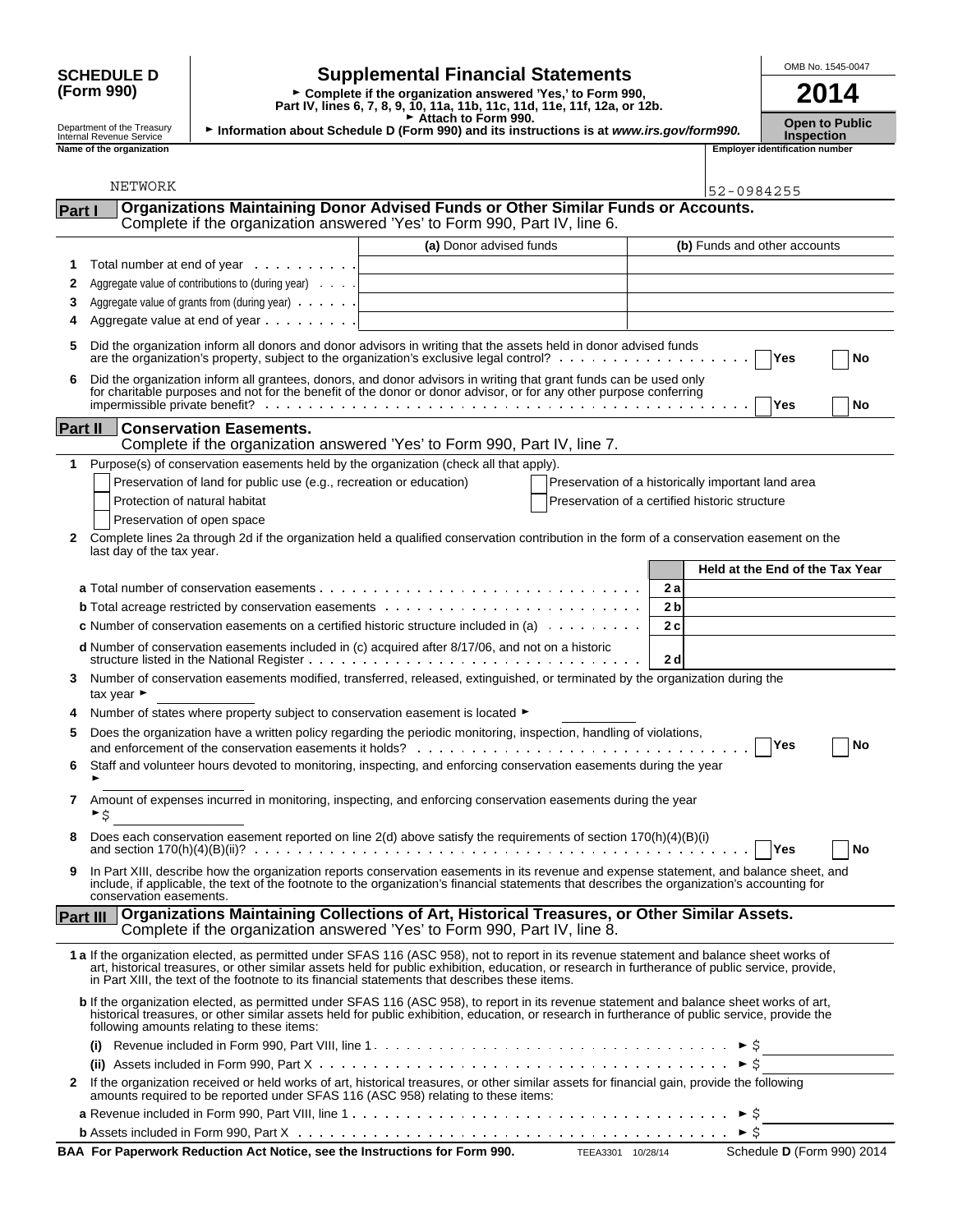# **(Form 990)**

## **SCHEDULE D**  $\begin{array}{ccc} \hline \text{OMB No. 1545-0047} \end{array}$

**Part IV, lines 6, 7, 8, 9, 10, 11a, 11b, 11c, 11d, 11e, 11f, 12a, or 12b.**<br>
Part IV, lines 6, 7, 8, 9, 10, 11a, 11b, 11c, 11d, 11e, 11f, 12a, or 12b.

Department of the Treasury

|              | Department of the Treasury                           |                                                                     | Attach to Form 990.<br>Information about Schedule D (Form 990) and its instructions is at www.irs.gov/form990.                                                                                                                                                                                                                                                                                  |                                                    |                                                            | <b>Open to Public</b> |
|--------------|------------------------------------------------------|---------------------------------------------------------------------|-------------------------------------------------------------------------------------------------------------------------------------------------------------------------------------------------------------------------------------------------------------------------------------------------------------------------------------------------------------------------------------------------|----------------------------------------------------|------------------------------------------------------------|-----------------------|
|              | Internal Revenue Service<br>Name of the organization |                                                                     |                                                                                                                                                                                                                                                                                                                                                                                                 |                                                    | <b>Inspection</b><br><b>Employer identification number</b> |                       |
|              |                                                      |                                                                     |                                                                                                                                                                                                                                                                                                                                                                                                 |                                                    |                                                            |                       |
|              | NETWORK                                              |                                                                     |                                                                                                                                                                                                                                                                                                                                                                                                 |                                                    | 52-0984255                                                 |                       |
| Part I       |                                                      |                                                                     | Organizations Maintaining Donor Advised Funds or Other Similar Funds or Accounts.                                                                                                                                                                                                                                                                                                               |                                                    |                                                            |                       |
|              |                                                      |                                                                     | Complete if the organization answered 'Yes' to Form 990, Part IV, line 6.                                                                                                                                                                                                                                                                                                                       |                                                    |                                                            |                       |
|              |                                                      |                                                                     | (a) Donor advised funds                                                                                                                                                                                                                                                                                                                                                                         |                                                    | (b) Funds and other accounts                               |                       |
| 1.           |                                                      | Total number at end of year                                         |                                                                                                                                                                                                                                                                                                                                                                                                 |                                                    |                                                            |                       |
| 2            |                                                      | Aggregate value of contributions to (during year)                   |                                                                                                                                                                                                                                                                                                                                                                                                 |                                                    |                                                            |                       |
| 3            |                                                      | Aggregate value of grants from (during year)                        |                                                                                                                                                                                                                                                                                                                                                                                                 |                                                    |                                                            |                       |
|              |                                                      | Aggregate value at end of year                                      |                                                                                                                                                                                                                                                                                                                                                                                                 |                                                    |                                                            |                       |
| 5            |                                                      |                                                                     | Did the organization inform all donors and donor advisors in writing that the assets held in donor advised funds                                                                                                                                                                                                                                                                                |                                                    | Yes                                                        | No                    |
| 6            |                                                      |                                                                     | Did the organization inform all grantees, donors, and donor advisors in writing that grant funds can be used only<br>for charitable purposes and not for the benefit of the donor or donor advisor, or for any other purpose conferring                                                                                                                                                         |                                                    |                                                            |                       |
|              |                                                      |                                                                     |                                                                                                                                                                                                                                                                                                                                                                                                 |                                                    | Yes                                                        | No                    |
| Part II      |                                                      | <b>Conservation Easements.</b>                                      |                                                                                                                                                                                                                                                                                                                                                                                                 |                                                    |                                                            |                       |
|              |                                                      |                                                                     | Complete if the organization answered 'Yes' to Form 990, Part IV, line 7.                                                                                                                                                                                                                                                                                                                       |                                                    |                                                            |                       |
| $\mathbf{1}$ |                                                      |                                                                     | Purpose(s) of conservation easements held by the organization (check all that apply).                                                                                                                                                                                                                                                                                                           |                                                    |                                                            |                       |
|              |                                                      | Preservation of land for public use (e.g., recreation or education) |                                                                                                                                                                                                                                                                                                                                                                                                 | Preservation of a historically important land area |                                                            |                       |
|              | Protection of natural habitat                        |                                                                     |                                                                                                                                                                                                                                                                                                                                                                                                 | Preservation of a certified historic structure     |                                                            |                       |
|              | Preservation of open space                           |                                                                     |                                                                                                                                                                                                                                                                                                                                                                                                 |                                                    |                                                            |                       |
| 2            | last day of the tax year.                            |                                                                     | Complete lines 2a through 2d if the organization held a qualified conservation contribution in the form of a conservation easement on the                                                                                                                                                                                                                                                       |                                                    |                                                            |                       |
|              |                                                      |                                                                     |                                                                                                                                                                                                                                                                                                                                                                                                 |                                                    | Held at the End of the Tax Year                            |                       |
|              |                                                      |                                                                     |                                                                                                                                                                                                                                                                                                                                                                                                 | 2 a                                                |                                                            |                       |
|              |                                                      |                                                                     |                                                                                                                                                                                                                                                                                                                                                                                                 | 2 <sub>b</sub>                                     |                                                            |                       |
|              |                                                      |                                                                     | <b>c</b> Number of conservation easements on a certified historic structure included in (a) $\dots \dots \dots$                                                                                                                                                                                                                                                                                 | 2c                                                 |                                                            |                       |
|              |                                                      |                                                                     | d Number of conservation easements included in (c) acquired after 8/17/06, and not on a historic                                                                                                                                                                                                                                                                                                | 2 d                                                |                                                            |                       |
| 3            | tax year $\blacktriangleright$                       |                                                                     | Number of conservation easements modified, transferred, released, extinguished, or terminated by the organization during the                                                                                                                                                                                                                                                                    |                                                    |                                                            |                       |
|              |                                                      |                                                                     | Number of states where property subject to conservation easement is located ►                                                                                                                                                                                                                                                                                                                   |                                                    |                                                            |                       |
| 5            |                                                      |                                                                     | Does the organization have a written policy regarding the periodic monitoring, inspection, handling of violations,                                                                                                                                                                                                                                                                              |                                                    | Yes                                                        | No                    |
| 6            |                                                      |                                                                     | Staff and volunteer hours devoted to monitoring, inspecting, and enforcing conservation easements during the year                                                                                                                                                                                                                                                                               |                                                    |                                                            |                       |
|              | ►\$                                                  |                                                                     | 7 Amount of expenses incurred in monitoring, inspecting, and enforcing conservation easements during the year                                                                                                                                                                                                                                                                                   |                                                    |                                                            |                       |
| 8            |                                                      |                                                                     | Does each conservation easement reported on line 2(d) above satisfy the requirements of section 170(h)(4)(B)(i)                                                                                                                                                                                                                                                                                 |                                                    | <b>Yes</b>                                                 | No                    |
| 9.           | conservation easements.                              |                                                                     | In Part XIII, describe how the organization reports conservation easements in its revenue and expense statement, and balance sheet, and<br>include, if applicable, the text of the footnote to the organization's financial statements that describes the organization's accounting for                                                                                                         |                                                    |                                                            |                       |
|              | Part III                                             |                                                                     | Organizations Maintaining Collections of Art, Historical Treasures, or Other Similar Assets.<br>Complete if the organization answered 'Yes' to Form 990, Part IV, line 8.                                                                                                                                                                                                                       |                                                    |                                                            |                       |
|              |                                                      |                                                                     | 1 a If the organization elected, as permitted under SFAS 116 (ASC 958), not to report in its revenue statement and balance sheet works of<br>art, historical treasures, or other similar assets held for public exhibition, education, or research in furtherance of public service, provide,<br>in Part XIII, the text of the footnote to its financial statements that describes these items. |                                                    |                                                            |                       |
|              |                                                      | following amounts relating to these items:                          | b If the organization elected, as permitted under SFAS 116 (ASC 958), to report in its revenue statement and balance sheet works of art,<br>historical treasures, or other similar assets held for public exhibition, education, or research in furtherance of public service, provide the                                                                                                      |                                                    |                                                            |                       |
|              |                                                      |                                                                     |                                                                                                                                                                                                                                                                                                                                                                                                 |                                                    |                                                            |                       |
|              |                                                      |                                                                     |                                                                                                                                                                                                                                                                                                                                                                                                 |                                                    | ► \$                                                       |                       |
| 2            |                                                      |                                                                     | If the organization received or held works of art, historical treasures, or other similar assets for financial gain, provide the following<br>amounts required to be reported under SFAS 116 (ASC 958) relating to these items:                                                                                                                                                                 |                                                    |                                                            |                       |
|              |                                                      |                                                                     |                                                                                                                                                                                                                                                                                                                                                                                                 |                                                    |                                                            |                       |
|              |                                                      |                                                                     |                                                                                                                                                                                                                                                                                                                                                                                                 |                                                    |                                                            |                       |

**BAA For Paperwork Reduction Act Notice, see the Instructions for Form 990.** TEEA3301 10/28/14 Schedule **D** (Form 990) 2014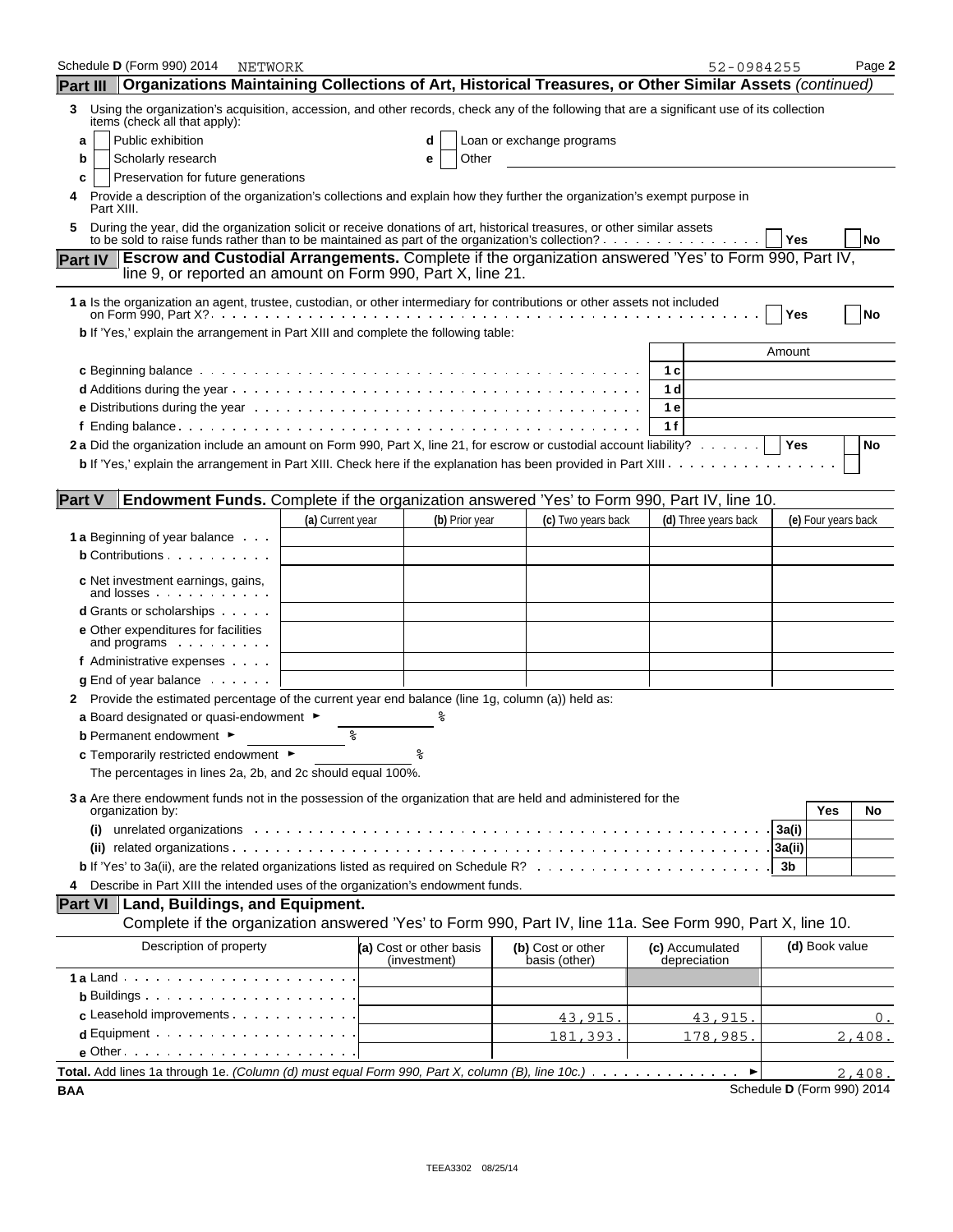| Schedule <b>D</b> (Form 990) 2014<br>NETWORK                                                                                                                                                                                      |                                         |                                    | 52-0984255                      |            |                     | Page 2    |
|-----------------------------------------------------------------------------------------------------------------------------------------------------------------------------------------------------------------------------------|-----------------------------------------|------------------------------------|---------------------------------|------------|---------------------|-----------|
| Organizations Maintaining Collections of Art, Historical Treasures, or Other Similar Assets (continued)<br><b>Part III</b>                                                                                                        |                                         |                                    |                                 |            |                     |           |
| Using the organization's acquisition, accession, and other records, check any of the following that are a significant use of its collection<br>3<br>items (check all that apply):                                                 |                                         |                                    |                                 |            |                     |           |
| Public exhibition<br>a                                                                                                                                                                                                            | d                                       | Loan or exchange programs          |                                 |            |                     |           |
| Scholarly research<br>b                                                                                                                                                                                                           | Other<br>е                              |                                    |                                 |            |                     |           |
| Preservation for future generations<br>c                                                                                                                                                                                          |                                         |                                    |                                 |            |                     |           |
| Provide a description of the organization's collections and explain how they further the organization's exempt purpose in<br>Part XIII.                                                                                           |                                         |                                    |                                 |            |                     |           |
| During the year, did the organization solicit or receive donations of art, historical treasures, or other similar assets<br>5<br>to be sold to raise funds rather than to be maintained as part of the organization's collection? |                                         |                                    |                                 | Yes        |                     | No        |
| <b>Escrow and Custodial Arrangements.</b> Complete if the organization answered 'Yes' to Form 990, Part IV,<br><b>Part IV</b><br>line 9, or reported an amount on Form 990, Part X, line 21.                                      |                                         |                                    |                                 |            |                     |           |
| 1 a Is the organization an agent, trustee, custodian, or other intermediary for contributions or other assets not included                                                                                                        |                                         |                                    |                                 | Yes        |                     | <b>No</b> |
| b If 'Yes,' explain the arrangement in Part XIII and complete the following table:                                                                                                                                                |                                         |                                    |                                 |            |                     |           |
|                                                                                                                                                                                                                                   |                                         |                                    |                                 | Amount     |                     |           |
|                                                                                                                                                                                                                                   |                                         |                                    | 1 с                             |            |                     |           |
|                                                                                                                                                                                                                                   |                                         |                                    | 1 d                             |            |                     |           |
|                                                                                                                                                                                                                                   |                                         |                                    | 1 е                             |            |                     |           |
|                                                                                                                                                                                                                                   |                                         |                                    | 1f                              |            |                     |           |
| 2 a Did the organization include an amount on Form 990, Part X, line 21, for escrow or custodial account liability?                                                                                                               |                                         |                                    |                                 | <b>Yes</b> |                     | No        |
|                                                                                                                                                                                                                                   |                                         |                                    |                                 |            |                     |           |
|                                                                                                                                                                                                                                   |                                         |                                    |                                 |            |                     |           |
| <b>Part V</b><br>Endowment Funds. Complete if the organization answered 'Yes' to Form 990, Part IV, line 10.                                                                                                                      |                                         |                                    |                                 |            |                     |           |
|                                                                                                                                                                                                                                   | (a) Current year<br>(b) Prior year      | (c) Two years back                 | (d) Three years back            |            | (e) Four years back |           |
| <b>1 a</b> Beginning of year balance                                                                                                                                                                                              |                                         |                                    |                                 |            |                     |           |
| <b>b</b> Contributions                                                                                                                                                                                                            |                                         |                                    |                                 |            |                     |           |
|                                                                                                                                                                                                                                   |                                         |                                    |                                 |            |                     |           |
| <b>c</b> Net investment earnings, gains,<br>and losses                                                                                                                                                                            |                                         |                                    |                                 |            |                     |           |
| <b>d</b> Grants or scholarships                                                                                                                                                                                                   |                                         |                                    |                                 |            |                     |           |
| <b>e</b> Other expenditures for facilities                                                                                                                                                                                        |                                         |                                    |                                 |            |                     |           |
| and programs                                                                                                                                                                                                                      |                                         |                                    |                                 |            |                     |           |
| f Administrative expenses                                                                                                                                                                                                         |                                         |                                    |                                 |            |                     |           |
| $g$ End of year balance $\ldots$ .                                                                                                                                                                                                |                                         |                                    |                                 |            |                     |           |
| 2 Provide the estimated percentage of the current year end balance (line 1g, column (a)) held as:                                                                                                                                 |                                         |                                    |                                 |            |                     |           |
| a Board designated or quasi-endowment $\blacktriangleright$                                                                                                                                                                       | ್                                       |                                    |                                 |            |                     |           |
| <b>b</b> Permanent endowment ►                                                                                                                                                                                                    | န္                                      |                                    |                                 |            |                     |           |
| c Temporarily restricted endowment >                                                                                                                                                                                              |                                         |                                    |                                 |            |                     |           |
| The percentages in lines 2a, 2b, and 2c should equal 100%.                                                                                                                                                                        |                                         |                                    |                                 |            |                     |           |
|                                                                                                                                                                                                                                   |                                         |                                    |                                 |            |                     |           |
| 3 a Are there endowment funds not in the possession of the organization that are held and administered for the<br>organization by:                                                                                                |                                         |                                    |                                 |            | Yes                 | No        |
| unrelated organizations enterprise in the contract of the contract of the contract of the contract of the contract or the contract or the contract of the contract or the contract of the contract of the contract or the cont    |                                         |                                    |                                 | 3a(i)      |                     |           |
|                                                                                                                                                                                                                                   |                                         |                                    |                                 | 3a(ii)     |                     |           |
|                                                                                                                                                                                                                                   |                                         |                                    |                                 | 3b         |                     |           |
| Describe in Part XIII the intended uses of the organization's endowment funds.                                                                                                                                                    |                                         |                                    |                                 |            |                     |           |
| <b>Part VI   Land, Buildings, and Equipment.</b>                                                                                                                                                                                  |                                         |                                    |                                 |            |                     |           |
| Complete if the organization answered 'Yes' to Form 990, Part IV, line 11a. See Form 990, Part X, line 10.                                                                                                                        |                                         |                                    |                                 |            |                     |           |
| Description of property                                                                                                                                                                                                           |                                         |                                    |                                 |            | (d) Book value      |           |
|                                                                                                                                                                                                                                   | (a) Cost or other basis<br>(investment) | (b) Cost or other<br>basis (other) | (c) Accumulated<br>depreciation |            |                     |           |
|                                                                                                                                                                                                                                   |                                         |                                    |                                 |            |                     |           |
| <b>b</b> Buildings $\cdots$ $\cdots$ $\cdots$ $\cdots$ $\cdots$ $\cdots$                                                                                                                                                          |                                         |                                    |                                 |            |                     |           |
| c Leasehold improvements                                                                                                                                                                                                          |                                         | 43,915.                            | 43,915                          |            |                     | 0.        |
| $d$ Equipment $\cdots$ $\cdots$ $\cdots$ $\cdots$ $\cdots$                                                                                                                                                                        |                                         | 181,393                            | 178,985                         |            |                     | 2,408.    |
| $e$ Other $\cdots$ $\cdots$ $\cdots$ $\cdots$ $\cdots$ $\cdots$                                                                                                                                                                   |                                         |                                    |                                 |            |                     |           |
| Total. Add lines 1a through 1e. (Column (d) must equal Form 990, Part X, column (B), line 10c.)                                                                                                                                   |                                         |                                    | ▶                               |            |                     | 2,408.    |
|                                                                                                                                                                                                                                   |                                         |                                    |                                 |            |                     |           |

**BAA** Schedule **D** (Form 990) 2014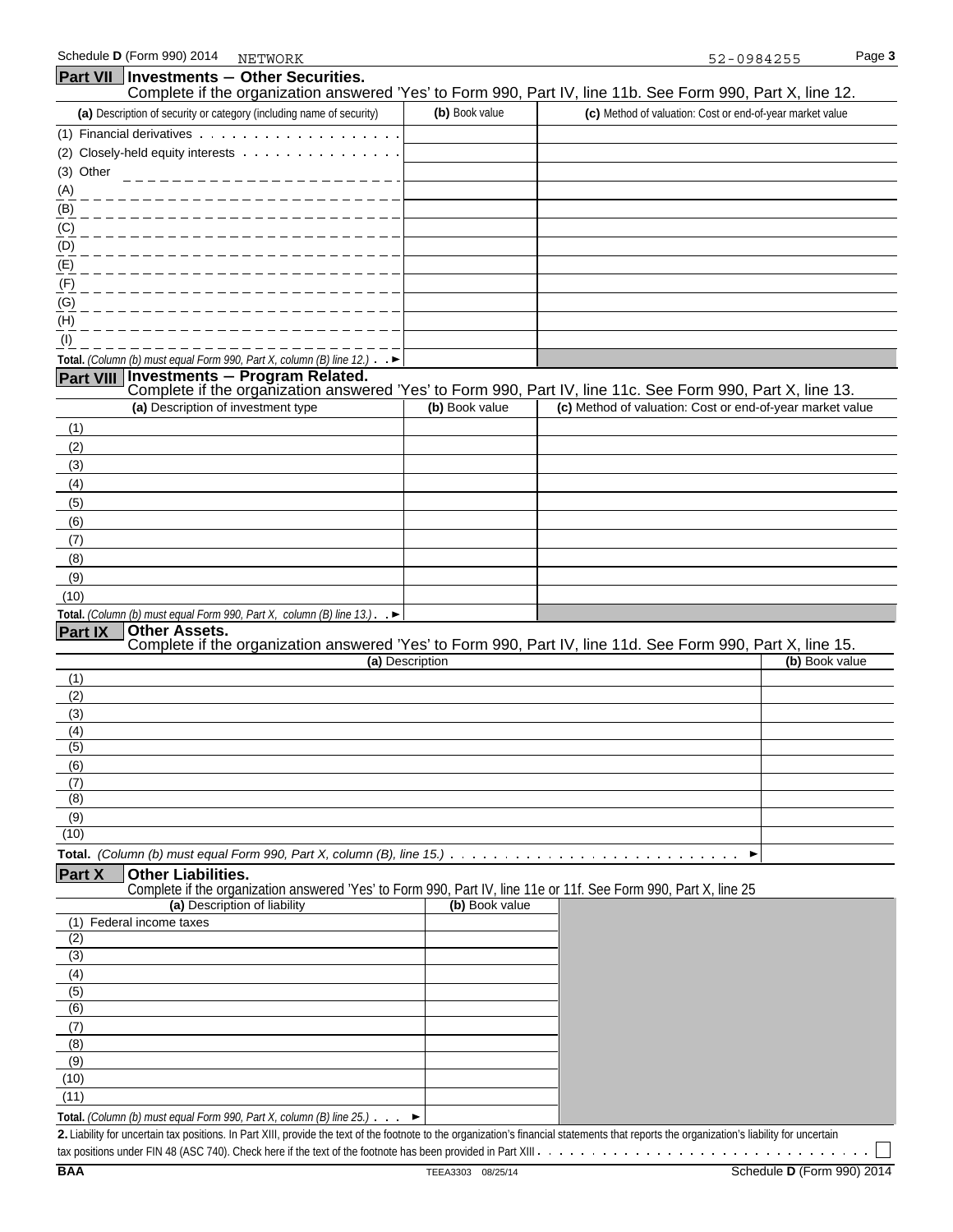| Part VII   Investments - Other Securities.                                                                                                                     |                 | Complete if the organization answered 'Yes' to Form 990, Part IV, line 11b. See Form 990, Part X, line 12. |
|----------------------------------------------------------------------------------------------------------------------------------------------------------------|-----------------|------------------------------------------------------------------------------------------------------------|
| (a) Description of security or category (including name of security)                                                                                           | (b) Book value  | (c) Method of valuation: Cost or end-of-year market value                                                  |
| (1) Financial derivatives                                                                                                                                      |                 |                                                                                                            |
| (2) Closely-held equity interests                                                                                                                              |                 |                                                                                                            |
| (3) Other                                                                                                                                                      |                 |                                                                                                            |
| (A)                                                                                                                                                            |                 |                                                                                                            |
| (B)                                                                                                                                                            |                 |                                                                                                            |
| $\underline{(C)}$                                                                                                                                              |                 |                                                                                                            |
| (D)                                                                                                                                                            |                 |                                                                                                            |
| (E)                                                                                                                                                            |                 |                                                                                                            |
| (F)                                                                                                                                                            |                 |                                                                                                            |
| (G)                                                                                                                                                            |                 |                                                                                                            |
| (H)                                                                                                                                                            |                 |                                                                                                            |
| $\frac{1}{2}$                                                                                                                                                  |                 |                                                                                                            |
| Total. (Column (b) must equal Form 990, Part X, column (B) line 12.) $\blacktriangleright$<br><b>Investments - Program Related.</b><br><b>Part VIII</b>        |                 |                                                                                                            |
|                                                                                                                                                                |                 | Complete if the organization answered 'Yes' to Form 990, Part IV, line 11c. See Form 990, Part X, line 13. |
| (a) Description of investment type                                                                                                                             | (b) Book value  | (c) Method of valuation: Cost or end-of-year market value                                                  |
| (1)                                                                                                                                                            |                 |                                                                                                            |
| (2)                                                                                                                                                            |                 |                                                                                                            |
| (3)<br>(4)                                                                                                                                                     |                 |                                                                                                            |
| (5)                                                                                                                                                            |                 |                                                                                                            |
| (6)                                                                                                                                                            |                 |                                                                                                            |
| (7)                                                                                                                                                            |                 |                                                                                                            |
| (8)                                                                                                                                                            |                 |                                                                                                            |
| (9)                                                                                                                                                            |                 |                                                                                                            |
| (10)                                                                                                                                                           |                 |                                                                                                            |
| Total. (Column (b) must equal Form 990, Part X, column (B) line 13.). $\blacktriangleright$                                                                    |                 |                                                                                                            |
| <b>Other Assets.</b><br><b>Part IX</b>                                                                                                                         |                 | Complete if the organization answered 'Yes' to Form 990, Part IV, line 11d. See Form 990, Part X, line 15. |
|                                                                                                                                                                | (a) Description | (b) Book value                                                                                             |
| (1)                                                                                                                                                            |                 |                                                                                                            |
| (2)                                                                                                                                                            |                 |                                                                                                            |
| (3)                                                                                                                                                            |                 |                                                                                                            |
| (4)<br>(5)                                                                                                                                                     |                 |                                                                                                            |
| (6)                                                                                                                                                            |                 |                                                                                                            |
| (7)                                                                                                                                                            |                 |                                                                                                            |
| (8)                                                                                                                                                            |                 |                                                                                                            |
| (9)                                                                                                                                                            |                 |                                                                                                            |
| (10)                                                                                                                                                           |                 |                                                                                                            |
| <b>Total.</b> (Column (b) must equal Form 990, Part X, column (B), line $15.$ ) $\ldots$                                                                       |                 | ▶                                                                                                          |
| <b>Part X</b><br><b>Other Liabilities.</b><br>Complete if the organization answered 'Yes' to Form 990, Part IV, line 11e or 11f. See Form 990, Part X, line 25 |                 |                                                                                                            |
| (a) Description of liability                                                                                                                                   | (b) Book value  |                                                                                                            |
| (1) Federal income taxes                                                                                                                                       |                 |                                                                                                            |
| (2)                                                                                                                                                            |                 |                                                                                                            |
| (3)                                                                                                                                                            |                 |                                                                                                            |
| (4)                                                                                                                                                            |                 |                                                                                                            |
| (5)<br>(6)                                                                                                                                                     |                 |                                                                                                            |
| (7)                                                                                                                                                            |                 |                                                                                                            |
| (8)                                                                                                                                                            |                 |                                                                                                            |
| (9)                                                                                                                                                            |                 |                                                                                                            |
| (10)                                                                                                                                                           |                 |                                                                                                            |
| (11)                                                                                                                                                           |                 |                                                                                                            |
| Total. (Column (b) must equal Form 990, Part X, column (B) line 25.) $\ldots$                                                                                  |                 |                                                                                                            |

**2.** Liability for uncertain tax positions. In Part XIII, provide the text of the footnote to the organization's financial statements that reports the organization's liability for uncertain tax positions under FIN 48 (ASC 740). Check here if the text of the footnote has been provided in Part XIII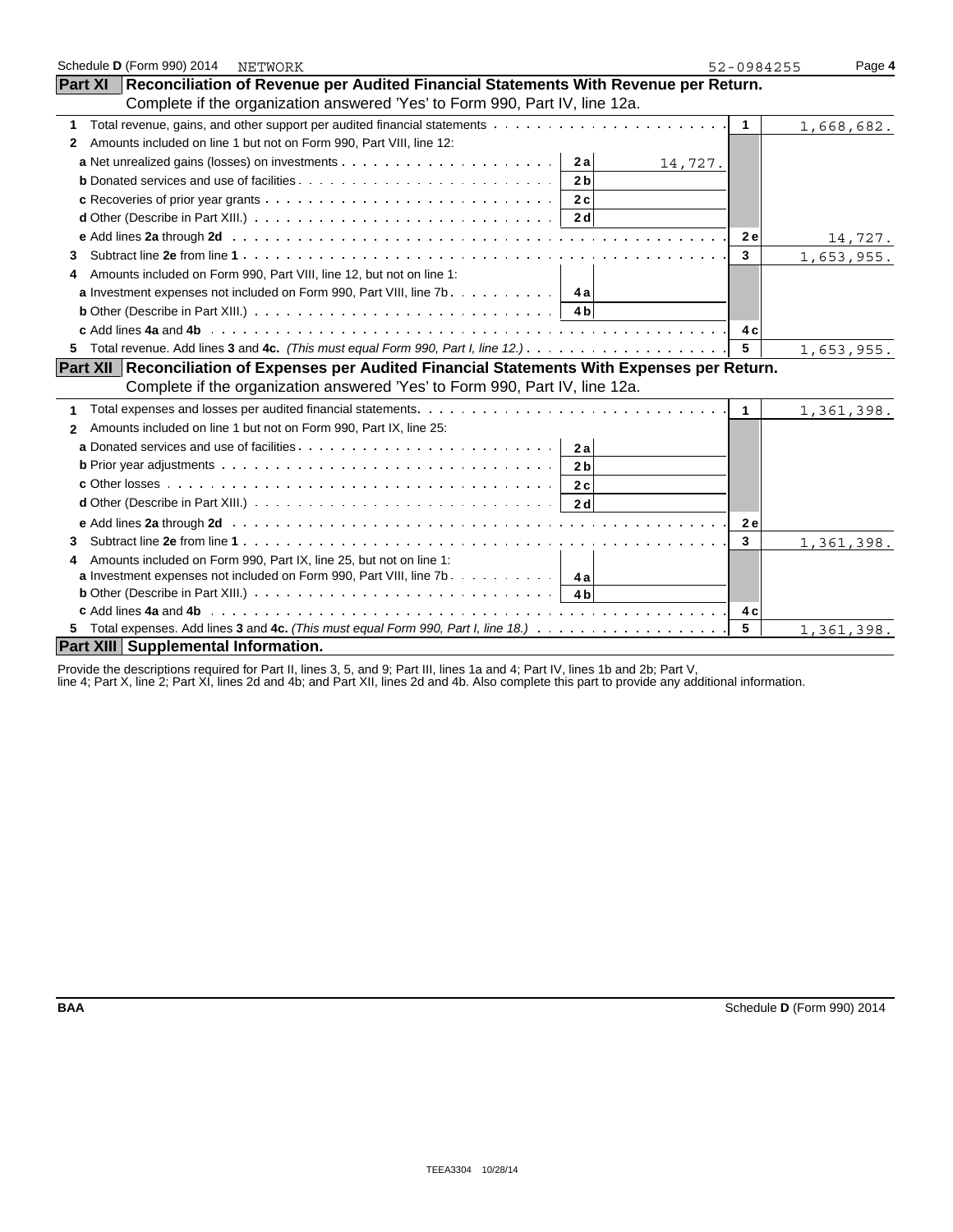| Schedule D (Form 990) 2014<br>NETWORK                                                                                          | 52-0984255   | Page 4     |
|--------------------------------------------------------------------------------------------------------------------------------|--------------|------------|
| Part XI   Reconciliation of Revenue per Audited Financial Statements With Revenue per Return.                                  |              |            |
| Complete if the organization answered 'Yes' to Form 990, Part IV, line 12a.                                                    |              |            |
| 1                                                                                                                              | $\mathbf{1}$ | 1,668,682. |
| Amounts included on line 1 but not on Form 990, Part VIII, line 12:<br>2                                                       |              |            |
| 2a<br>14,727.                                                                                                                  |              |            |
| 2 <sub>b</sub>                                                                                                                 |              |            |
| 2c                                                                                                                             |              |            |
| 2 <sub>d</sub>                                                                                                                 |              |            |
|                                                                                                                                | <b>2e</b>    | 14,727.    |
| 3                                                                                                                              | 3            | 1,653,955. |
| Amounts included on Form 990, Part VIII, line 12, but not on line 1:<br>4                                                      |              |            |
| <b>a</b> Investment expenses not included on Form 990, Part VIII, line $7b$                                                    |              |            |
| <b>b</b> Other (Describe in Part XIII.) $\ldots \ldots \ldots \ldots \ldots \ldots \ldots \ldots \ldots \ldots \ldots \ldots$  |              |            |
|                                                                                                                                | 4 c          |            |
| 5.                                                                                                                             | 5            | 1,653,955. |
| Part XII Reconciliation of Expenses per Audited Financial Statements With Expenses per Return.                                 |              |            |
| Complete if the organization answered 'Yes' to Form 990, Part IV, line 12a.                                                    |              |            |
| 1                                                                                                                              | $\mathbf{1}$ | 1,361,398. |
| Amounts included on line 1 but not on Form 990, Part IX, line 25:<br>2                                                         |              |            |
| 2a                                                                                                                             |              |            |
| 2 <sub>b</sub>                                                                                                                 |              |            |
| 2c                                                                                                                             |              |            |
| 2 <sub>d</sub>                                                                                                                 |              |            |
|                                                                                                                                | <b>2e</b>    |            |
| 3                                                                                                                              | $\mathbf{3}$ | 1,361,398. |
| Amounts included on Form 990, Part IX, line 25, but not on line 1:                                                             |              |            |
| <b>a</b> Investment expenses not included on Form 990, Part VIII, line 7b $\ldots$ ,     4a                                    |              |            |
| <b>b</b> Other (Describe in Part XIII.) $\ldots \ldots \ldots \ldots \ldots \ldots \ldots \ldots \ldots \ldots \ldots \mid 4b$ |              |            |
|                                                                                                                                | 4 c          |            |
|                                                                                                                                | 5            | 1,361,398. |
| Part XIII Supplemental Information.                                                                                            |              |            |

Provide the descriptions required for Part II, lines 3, 5, and 9; Part III, lines 1a and 4; Part IV, lines 1b and 2b; Part V,

line 4; Part X, line 2; Part XI, lines 2d and 4b; and Part XII, lines 2d and 4b. Also complete this part to provide any additional information.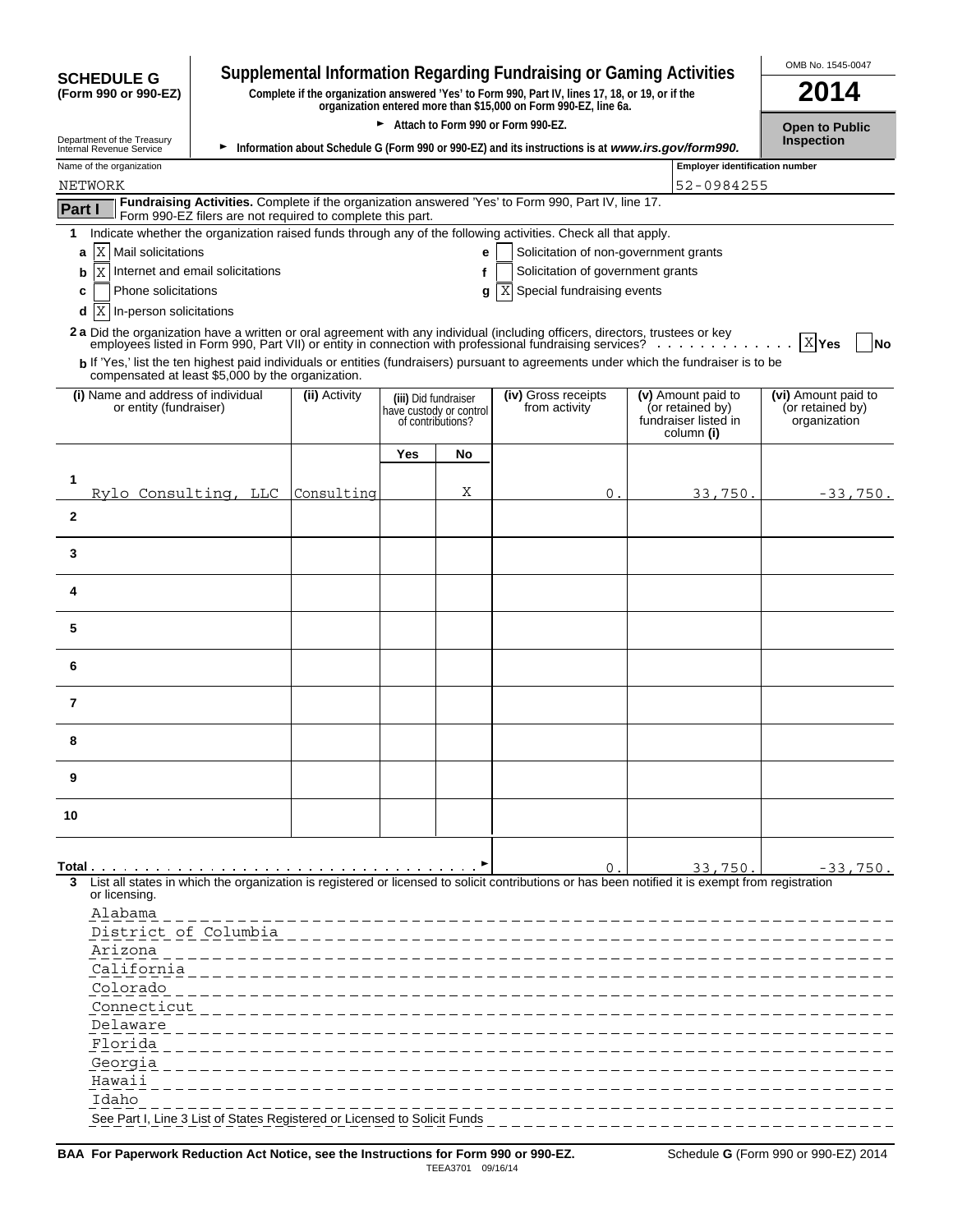|                                                              |                                                                           |               |     |                                                                      | Supplemental Information Regarding Fundraising or Gaming Activities                                                                                                                                                            |                                                                | OMB No. 1545-0047                                       |
|--------------------------------------------------------------|---------------------------------------------------------------------------|---------------|-----|----------------------------------------------------------------------|--------------------------------------------------------------------------------------------------------------------------------------------------------------------------------------------------------------------------------|----------------------------------------------------------------|---------------------------------------------------------|
| <b>SCHEDULE G</b><br>(Form 990 or 990-EZ)                    |                                                                           |               |     |                                                                      | Complete if the organization answered 'Yes' to Form 990, Part IV, lines 17, 18, or 19, or if the<br>organization entered more than \$15,000 on Form 990-EZ, line 6a.                                                           |                                                                | 2014                                                    |
|                                                              |                                                                           |               |     |                                                                      | Attach to Form 990 or Form 990-EZ.                                                                                                                                                                                             |                                                                | <b>Open to Public</b>                                   |
| Department of the Treasury<br>Internal Revenue Service       |                                                                           |               |     |                                                                      | Information about Schedule G (Form 990 or 990-EZ) and its instructions is at www.irs.gov/form990.                                                                                                                              |                                                                | <b>Inspection</b>                                       |
| Name of the organization<br>NETWORK                          |                                                                           |               |     |                                                                      |                                                                                                                                                                                                                                | <b>Employer identification number</b><br>52-0984255            |                                                         |
| Part I                                                       | Form 990-EZ filers are not required to complete this part.                |               |     |                                                                      | Fundraising Activities. Complete if the organization answered 'Yes' to Form 990, Part IV, line 17.                                                                                                                             |                                                                |                                                         |
| 1                                                            |                                                                           |               |     |                                                                      | Indicate whether the organization raised funds through any of the following activities. Check all that apply.                                                                                                                  |                                                                |                                                         |
| $\mathbf{X}$<br>Mail solicitations<br>a                      |                                                                           |               |     | е                                                                    | Solicitation of non-government grants                                                                                                                                                                                          |                                                                |                                                         |
| X<br>b                                                       | Internet and email solicitations                                          |               |     | f                                                                    | Solicitation of government grants                                                                                                                                                                                              |                                                                |                                                         |
| Phone solicitations<br>c                                     |                                                                           |               |     | g                                                                    | Special fundraising events<br>ΙX                                                                                                                                                                                               |                                                                |                                                         |
| X<br>In-person solicitations<br>d                            |                                                                           |               |     |                                                                      |                                                                                                                                                                                                                                |                                                                |                                                         |
|                                                              |                                                                           |               |     |                                                                      | 2 a Did the organization have a written or oral agreement with any individual (including officers, directors, trustees or key employees listed in Form 990, Part VII) or entity in connection with professional fundraising se |                                                                | X Yes<br><b>No</b>                                      |
| compensated at least \$5,000 by the organization.            |                                                                           |               |     |                                                                      | b If 'Yes,' list the ten highest paid individuals or entities (fundraisers) pursuant to agreements under which the fundraiser is to be                                                                                         |                                                                |                                                         |
| (i) Name and address of individual<br>or entity (fundraiser) |                                                                           | (ii) Activity |     | (iii) Did fundraiser<br>have custody or control<br>of contributions? | (iv) Gross receipts<br>from activity                                                                                                                                                                                           | (v) Amount paid to<br>(or retained by)<br>fundraiser listed in | (vi) Amount paid to<br>(or retained by)<br>organization |
|                                                              |                                                                           |               |     |                                                                      |                                                                                                                                                                                                                                | column (i)                                                     |                                                         |
|                                                              |                                                                           |               | Yes | No                                                                   |                                                                                                                                                                                                                                |                                                                |                                                         |
| 1<br>Rylo Consulting, LLC                                    |                                                                           | Consulting    |     | Χ                                                                    | 0.                                                                                                                                                                                                                             | 33,750.                                                        | $-33,750.$                                              |
| $\mathbf{2}$                                                 |                                                                           |               |     |                                                                      |                                                                                                                                                                                                                                |                                                                |                                                         |
| 3                                                            |                                                                           |               |     |                                                                      |                                                                                                                                                                                                                                |                                                                |                                                         |
| 4                                                            |                                                                           |               |     |                                                                      |                                                                                                                                                                                                                                |                                                                |                                                         |
| 5                                                            |                                                                           |               |     |                                                                      |                                                                                                                                                                                                                                |                                                                |                                                         |
| 6                                                            |                                                                           |               |     |                                                                      |                                                                                                                                                                                                                                |                                                                |                                                         |
| 7                                                            |                                                                           |               |     |                                                                      |                                                                                                                                                                                                                                |                                                                |                                                         |
| 8                                                            |                                                                           |               |     |                                                                      |                                                                                                                                                                                                                                |                                                                |                                                         |
| 9                                                            |                                                                           |               |     |                                                                      |                                                                                                                                                                                                                                |                                                                |                                                         |
| 10                                                           |                                                                           |               |     |                                                                      |                                                                                                                                                                                                                                |                                                                |                                                         |
| Total                                                        |                                                                           |               |     |                                                                      | 0                                                                                                                                                                                                                              | 33,750                                                         | $-33,750.$                                              |
| 3                                                            |                                                                           |               |     |                                                                      | List all states in which the organization is registered or licensed to solicit contributions or has been notified it is exempt from registration                                                                               |                                                                |                                                         |
| or licensing.                                                |                                                                           |               |     |                                                                      |                                                                                                                                                                                                                                |                                                                |                                                         |
| Alabama<br>District of Columbia                              |                                                                           |               |     |                                                                      |                                                                                                                                                                                                                                |                                                                |                                                         |
| Arizona                                                      |                                                                           |               |     |                                                                      |                                                                                                                                                                                                                                |                                                                |                                                         |
| California                                                   |                                                                           |               |     |                                                                      |                                                                                                                                                                                                                                |                                                                |                                                         |
| Colorado                                                     |                                                                           |               |     |                                                                      |                                                                                                                                                                                                                                |                                                                |                                                         |
| Connecticut                                                  |                                                                           |               |     |                                                                      |                                                                                                                                                                                                                                |                                                                |                                                         |
| Delaware                                                     |                                                                           |               |     |                                                                      |                                                                                                                                                                                                                                |                                                                |                                                         |
| Florida                                                      |                                                                           |               |     |                                                                      |                                                                                                                                                                                                                                |                                                                |                                                         |
| Georgia                                                      |                                                                           |               |     |                                                                      |                                                                                                                                                                                                                                |                                                                |                                                         |
| Hawaii<br>Idaho                                              |                                                                           |               |     |                                                                      |                                                                                                                                                                                                                                |                                                                |                                                         |
|                                                              | See Part I, Line 3 List of States Registered or Licensed to Solicit Funds |               |     |                                                                      |                                                                                                                                                                                                                                |                                                                |                                                         |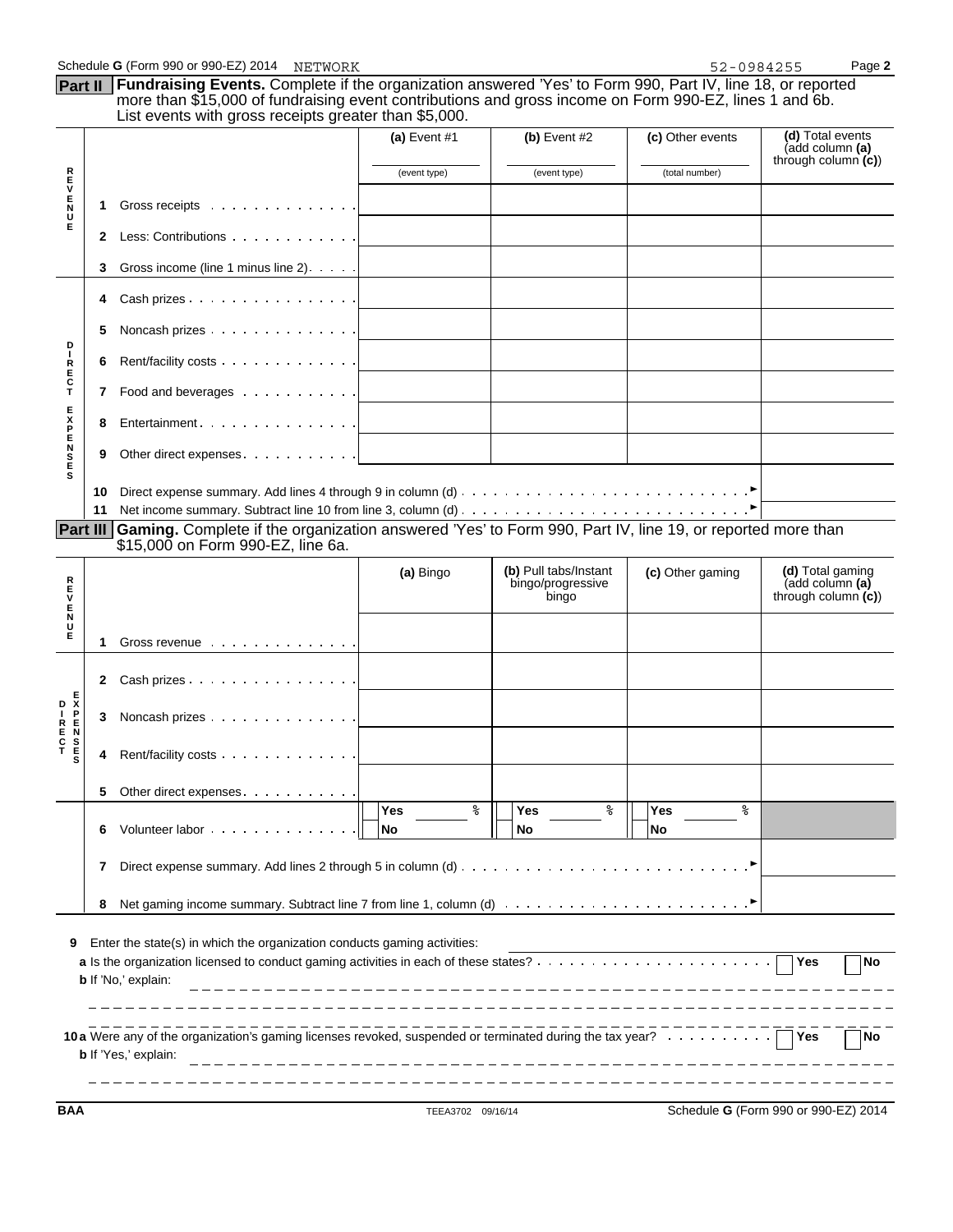| Part II                         |              | <b>Fundraising Events.</b> Complete if the organization answered 'Yes' to Form 990, Part IV, line 18, or reported<br>more than \$15,000 of fundraising event contributions and gross income on Form 990-EZ, lines 1 and 6b. |                       |                                                     |                  |                                                               |
|---------------------------------|--------------|-----------------------------------------------------------------------------------------------------------------------------------------------------------------------------------------------------------------------------|-----------------------|-----------------------------------------------------|------------------|---------------------------------------------------------------|
|                                 |              | List events with gross receipts greater than \$5,000.                                                                                                                                                                       | (a) Event $#1$        | $(b)$ Event #2                                      | (c) Other events | (d) Total events<br>(add column (a)<br>through column $(c)$ ) |
| R<br>E<br>V                     |              |                                                                                                                                                                                                                             | (event type)          | (event type)                                        | (total number)   |                                                               |
| E<br>N<br>U                     | 1            | Gross receipts                                                                                                                                                                                                              |                       |                                                     |                  |                                                               |
| Ė                               | $\mathbf{2}$ | Less: Contributions                                                                                                                                                                                                         |                       |                                                     |                  |                                                               |
|                                 | 3            | Gross income (line 1 minus line 2).                                                                                                                                                                                         |                       |                                                     |                  |                                                               |
|                                 | 4            |                                                                                                                                                                                                                             |                       |                                                     |                  |                                                               |
| D                               | 5            | Noncash prizes                                                                                                                                                                                                              |                       |                                                     |                  |                                                               |
| ı<br>R<br>E                     | 6            | Rent/facility costs                                                                                                                                                                                                         |                       |                                                     |                  |                                                               |
| $\frac{\mathsf{C}}{\mathsf{T}}$ | 7            |                                                                                                                                                                                                                             |                       |                                                     |                  |                                                               |
| <b>EXP</b>                      | 8            | Entertainment                                                                                                                                                                                                               |                       |                                                     |                  |                                                               |
| N<br>E<br>E                     | 9            | Other direct expenses.                                                                                                                                                                                                      |                       |                                                     |                  |                                                               |
| s                               | 10           |                                                                                                                                                                                                                             |                       |                                                     |                  |                                                               |
|                                 | 11           | Gaming. Complete if the organization answered 'Yes' to Form 990, Part IV, line 19, or reported more than                                                                                                                    |                       |                                                     |                  |                                                               |
|                                 | Part III     | \$15,000 on Form 990-EZ, line 6a.                                                                                                                                                                                           |                       |                                                     |                  |                                                               |
| R<br>E<br>V                     |              |                                                                                                                                                                                                                             | (a) Bingo             | (b) Pull tabs/Instant<br>bingo/progressive<br>bingo | (c) Other gaming | (d) Total gaming<br>(add column (a)<br>through column $(c)$   |
| <b>THE</b>                      | 1            | Gross revenue                                                                                                                                                                                                               |                       |                                                     |                  |                                                               |
|                                 | 2            | Cash prizes                                                                                                                                                                                                                 |                       |                                                     |                  |                                                               |
|                                 | 3            | Noncash prizes                                                                                                                                                                                                              |                       |                                                     |                  |                                                               |
| s                               | 4            | Rent/facility costs                                                                                                                                                                                                         |                       |                                                     |                  |                                                               |
|                                 | 5            | Other direct expenses.                                                                                                                                                                                                      |                       |                                                     |                  |                                                               |
|                                 | 6            | Volunteer labor                                                                                                                                                                                                             | <b>Yes</b><br>⊱<br>No | Yes<br>ిన<br>No                                     | Yes<br>°<br>No   |                                                               |
|                                 | 7            |                                                                                                                                                                                                                             |                       |                                                     |                  |                                                               |
|                                 | 8            |                                                                                                                                                                                                                             |                       |                                                     |                  |                                                               |
| 9                               |              | Enter the state(s) in which the organization conducts gaming activities:<br><b>b</b> If 'No,' explain:                                                                                                                      |                       | _________________________________                   |                  | Yes<br><b>No</b>                                              |
|                                 |              | 10a Were any of the organization's gaming licenses revoked, suspended or terminated during the tax year?<br><b>b</b> If 'Yes,' explain:                                                                                     |                       |                                                     |                  | Yes<br>No.                                                    |

Schedule **G** (Form 990 or 990-EZ) 2014 NETWORK 52-0984255 Page 2

NETWORK 52-0984255

**BAA** TEEA3702 09/16/14 Schedule **G** (Form 990 or 990-EZ) 2014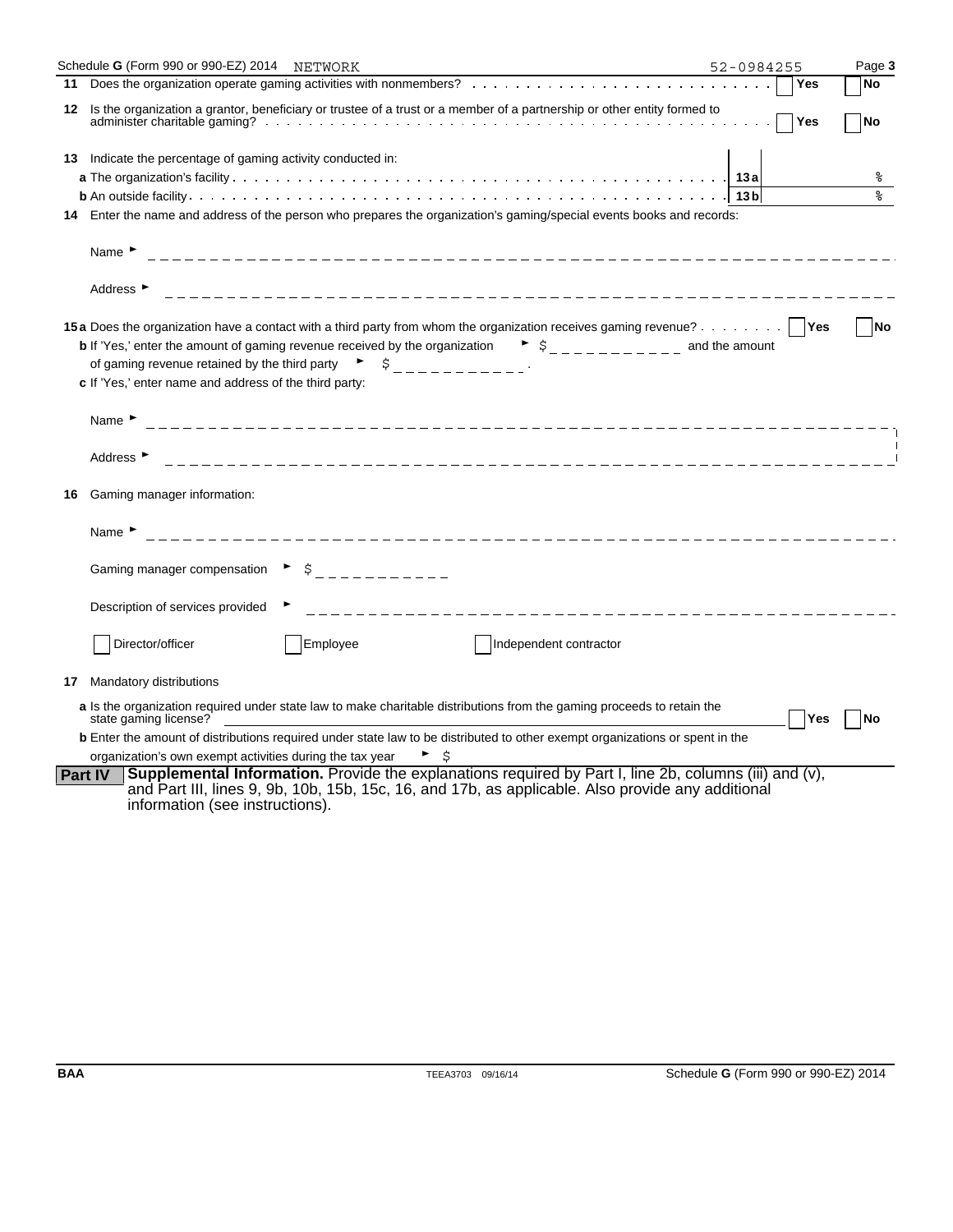|    | Schedule G (Form 990 or 990-EZ) 2014 NETWORK                                                                                                                                                                                                                                                                                                                                                                                                                   | 52-0984255 | Page 3    |
|----|----------------------------------------------------------------------------------------------------------------------------------------------------------------------------------------------------------------------------------------------------------------------------------------------------------------------------------------------------------------------------------------------------------------------------------------------------------------|------------|-----------|
|    |                                                                                                                                                                                                                                                                                                                                                                                                                                                                | Yes        | No        |
|    | 12 Is the organization a grantor, beneficiary or trustee of a trust or a member of a partnership or other entity formed to                                                                                                                                                                                                                                                                                                                                     | Yes        | <b>No</b> |
|    | 13 Indicate the percentage of gaming activity conducted in:                                                                                                                                                                                                                                                                                                                                                                                                    |            |           |
|    |                                                                                                                                                                                                                                                                                                                                                                                                                                                                |            | ိဝ        |
|    |                                                                                                                                                                                                                                                                                                                                                                                                                                                                |            | ⊱         |
|    | 14 Enter the name and address of the person who prepares the organization's gaming/special events books and records:                                                                                                                                                                                                                                                                                                                                           |            |           |
|    | Name $\blacktriangleright$                                                                                                                                                                                                                                                                                                                                                                                                                                     |            |           |
|    | Address $\blacktriangleright$                                                                                                                                                                                                                                                                                                                                                                                                                                  |            |           |
|    | 15a Does the organization have a contact with a third party from whom the organization receives gaming revenue?   Yes<br><b>b</b> If 'Yes,' enter the amount of gaming revenue received by the organization $\bullet$ $\circ$<br>of gaming revenue retained by the third party $\begin{array}{ccc} \n\bullet & \n\bullet & \n\end{array}$ $\begin{array}{ccc} \n\bullet & \n\bullet & \n\end{array}$<br>c If 'Yes,' enter name and address of the third party: |            | <b>No</b> |
|    | Name $\blacktriangleright$                                                                                                                                                                                                                                                                                                                                                                                                                                     |            |           |
|    | Address ►                                                                                                                                                                                                                                                                                                                                                                                                                                                      |            |           |
| 16 | Gaming manager information:                                                                                                                                                                                                                                                                                                                                                                                                                                    |            |           |
|    | Name <b>F</b>                                                                                                                                                                                                                                                                                                                                                                                                                                                  |            |           |
|    | $\triangleright$ \$ _ _ _ _ _ _ _ _ _ _ _ _<br>Gaming manager compensation                                                                                                                                                                                                                                                                                                                                                                                     |            |           |
|    | Description of services provided                                                                                                                                                                                                                                                                                                                                                                                                                               |            |           |
|    | Employee<br>Director/officer<br>Independent contractor                                                                                                                                                                                                                                                                                                                                                                                                         |            |           |
| 17 | Mandatory distributions                                                                                                                                                                                                                                                                                                                                                                                                                                        |            |           |
|    | a Is the organization required under state law to make charitable distributions from the gaming proceeds to retain the<br>state gaming license?                                                                                                                                                                                                                                                                                                                | Yes        | <b>No</b> |
|    | <b>b</b> Enter the amount of distributions required under state law to be distributed to other exempt organizations or spent in the                                                                                                                                                                                                                                                                                                                            |            |           |
|    | organization's own exempt activities during the tax year<br>\$                                                                                                                                                                                                                                                                                                                                                                                                 |            |           |
|    | Supplemental Information. Provide the explanations required by Part I, line 2b, columns (iii) and (v),<br><b>Part IV</b><br>and Part III, lines 9, 9b, 10b, 15b, 15c, 16, and 17b, as applicable. Also provide any additional<br>information (see instructions).                                                                                                                                                                                               |            |           |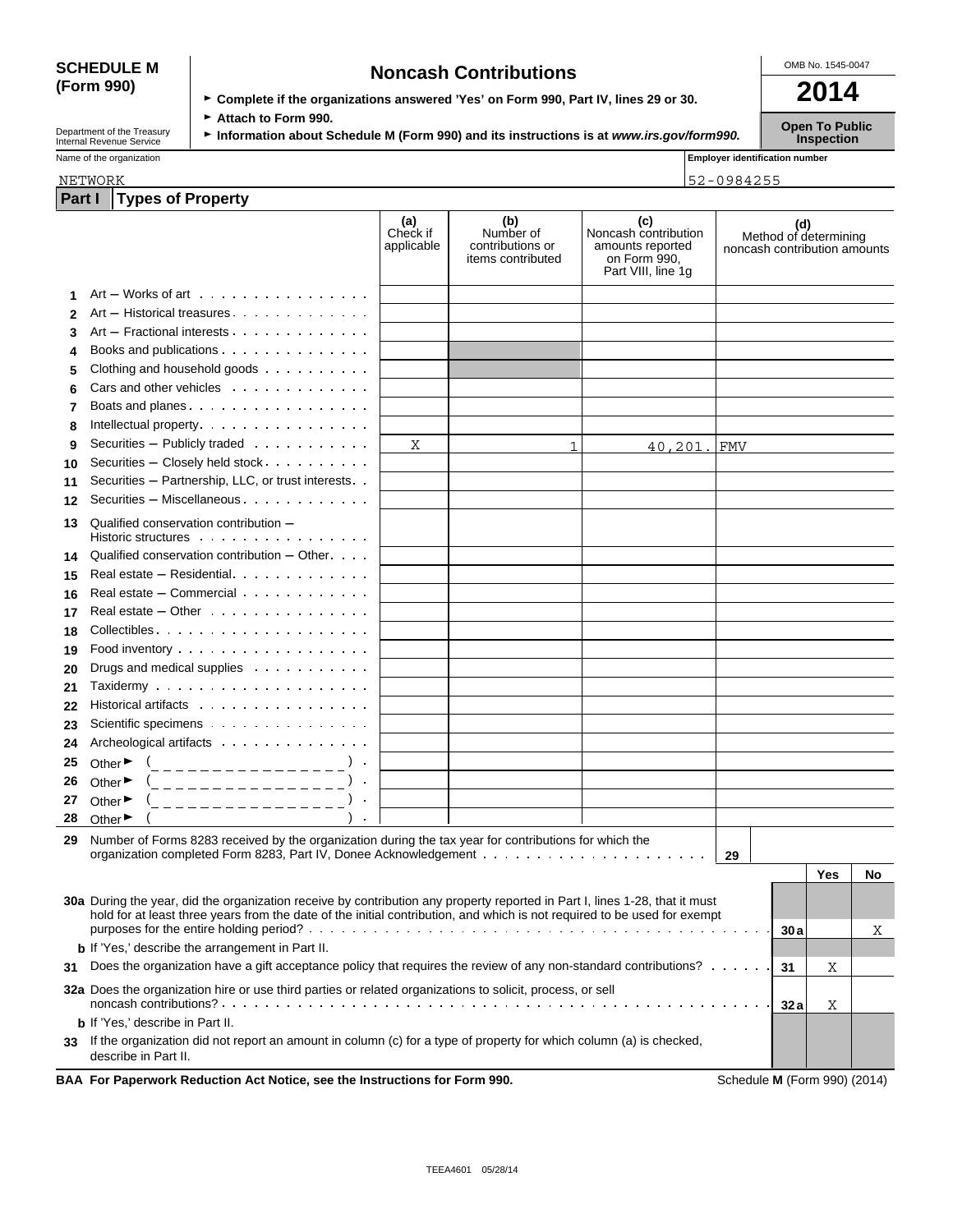# **(Form 990)**

| <b>SCHEDULE M</b> | <b>Noncash Contributions</b>                                                         | OMB No. 1545-0047 |
|-------------------|--------------------------------------------------------------------------------------|-------------------|
| (Form 990)        | ► Complete if the organizations answered 'Yes' on Form 990, Part IV, lines 29 or 30. | 2014              |
|                   |                                                                                      |                   |

Department of the Treasury **► Attach to Form 990.**<br>Information about Schedule M (Form 990) and its instructions is at *www.irs.gov/form990.* Inspection<br>Inspection

| Name of the organization | <b>Employer identification number</b> |        |              |        |             |
|--------------------------|---------------------------------------|--------|--------------|--------|-------------|
| NETWORK                  |                                       |        |              |        | 152-0984255 |
|                          | Part I   Types of Property            |        |              |        |             |
|                          |                                       | $\sim$ | $\mathbf{H}$ | $\sim$ | $\epsilon$  |

|    |                                                                                                                                                        | (a)<br>Check if<br>applicable | (b)<br>Number of<br>contributions or<br>items contributed | (c)<br>Noncash contribution<br>amounts reported<br>on Form 990,<br>Part VIII, line 1g | noncash contribution amounts                       | (d)  | Method of determining |    |
|----|--------------------------------------------------------------------------------------------------------------------------------------------------------|-------------------------------|-----------------------------------------------------------|---------------------------------------------------------------------------------------|----------------------------------------------------|------|-----------------------|----|
|    | $Art - Works$ of art $\ldots$ $\ldots$ $\ldots$ $\ldots$ $\ldots$                                                                                      |                               |                                                           |                                                                                       |                                                    |      |                       |    |
| 2  | Art - Historical treasures                                                                                                                             |                               |                                                           |                                                                                       |                                                    |      |                       |    |
| 3  | Art - Fractional interests                                                                                                                             |                               |                                                           |                                                                                       |                                                    |      |                       |    |
| 4  | Books and publications                                                                                                                                 |                               |                                                           |                                                                                       |                                                    |      |                       |    |
| 5  | Clothing and household goods                                                                                                                           |                               |                                                           |                                                                                       |                                                    |      |                       |    |
| 6  | Cars and other vehicles                                                                                                                                |                               |                                                           |                                                                                       |                                                    |      |                       |    |
| 7  | Boats and planes                                                                                                                                       |                               |                                                           |                                                                                       |                                                    |      |                       |    |
| 8  | Intellectual property.                                                                                                                                 |                               |                                                           |                                                                                       |                                                    |      |                       |    |
| 9  | Securities - Publicly traded                                                                                                                           | Χ                             | $\mathbf{1}$                                              | 40, 201.                                                                              | FMV                                                |      |                       |    |
| 10 | Securities - Closely held stock                                                                                                                        |                               |                                                           |                                                                                       |                                                    |      |                       |    |
| 11 | Securities - Partnership, LLC, or trust interests                                                                                                      |                               |                                                           |                                                                                       |                                                    |      |                       |    |
| 12 |                                                                                                                                                        |                               |                                                           |                                                                                       |                                                    |      |                       |    |
| 13 | Qualified conservation contribution -<br>Historic structures with the contract of the state of the state of the state of the state of the state of the |                               |                                                           |                                                                                       |                                                    |      |                       |    |
| 14 | Qualified conservation contribution - Other                                                                                                            |                               |                                                           |                                                                                       |                                                    |      |                       |    |
| 15 |                                                                                                                                                        |                               |                                                           |                                                                                       |                                                    |      |                       |    |
| 16 | Real estate - Commercial                                                                                                                               |                               |                                                           |                                                                                       |                                                    |      |                       |    |
| 17 | Real estate – Other                                                                                                                                    |                               |                                                           |                                                                                       |                                                    |      |                       |    |
| 18 |                                                                                                                                                        |                               |                                                           |                                                                                       |                                                    |      |                       |    |
| 19 |                                                                                                                                                        |                               |                                                           |                                                                                       |                                                    |      |                       |    |
| 20 | Drugs and medical supplies                                                                                                                             |                               |                                                           |                                                                                       |                                                    |      |                       |    |
| 21 |                                                                                                                                                        |                               |                                                           |                                                                                       |                                                    |      |                       |    |
| 22 | Historical artifacts                                                                                                                                   |                               |                                                           |                                                                                       |                                                    |      |                       |    |
| 23 | Scientific specimens                                                                                                                                   |                               |                                                           |                                                                                       |                                                    |      |                       |    |
| 24 | Archeological artifacts                                                                                                                                |                               |                                                           |                                                                                       |                                                    |      |                       |    |
| 25 | Other $\bullet$ $($                                                                                                                                    |                               |                                                           |                                                                                       |                                                    |      |                       |    |
| 26 | Other $\bullet$ $($                                                                                                                                    |                               |                                                           |                                                                                       |                                                    |      |                       |    |
| 27 | $\left($<br>Other $\blacktriangleright$<br>________________                                                                                            |                               |                                                           |                                                                                       |                                                    |      |                       |    |
| 28 | Other $\blacktriangleright$                                                                                                                            |                               |                                                           |                                                                                       |                                                    |      |                       |    |
| 29 | Number of Forms 8283 received by the organization during the tax year for contributions for which the                                                  |                               |                                                           |                                                                                       |                                                    |      |                       |    |
|    |                                                                                                                                                        |                               |                                                           |                                                                                       | 29                                                 |      |                       |    |
|    |                                                                                                                                                        |                               |                                                           |                                                                                       |                                                    |      | Yes                   | No |
|    | 30a During the year, did the organization receive by contribution any property reported in Part I, lines 1-28, that it must                            |                               |                                                           |                                                                                       |                                                    |      |                       |    |
|    | hold for at least three years from the date of the initial contribution, and which is not required to be used for exempt                               |                               |                                                           |                                                                                       |                                                    | 30a  |                       | Χ  |
|    | <b>b</b> If 'Yes,' describe the arrangement in Part II.                                                                                                |                               |                                                           |                                                                                       |                                                    |      |                       |    |
| 31 | Does the organization have a gift acceptance policy that requires the review of any non-standard contributions?                                        |                               |                                                           |                                                                                       |                                                    | 31   | Χ                     |    |
|    | 32a Does the organization hire or use third parties or related organizations to solicit, process, or sell                                              |                               |                                                           |                                                                                       |                                                    |      |                       |    |
|    |                                                                                                                                                        |                               |                                                           |                                                                                       |                                                    | 32 a | Χ                     |    |
|    | <b>b</b> If 'Yes,' describe in Part II.                                                                                                                |                               |                                                           |                                                                                       |                                                    |      |                       |    |
| 33 | If the organization did not report an amount in column (c) for a type of property for which column (a) is checked,<br>describe in Part II.             |                               |                                                           |                                                                                       |                                                    |      |                       |    |
|    | Fer Denemuerk Deduction Act Netice, see the Instructions for Ferm 000                                                                                  |                               |                                                           |                                                                                       | $O_{\text{obs}}$ and $\sim$ M. (Ferma 000) (004.4) |      |                       |    |

**BAA For Paperwork Reduction Act Notice, see the Instructions for Form 990.** Schedule **M** (Form 990) (2014)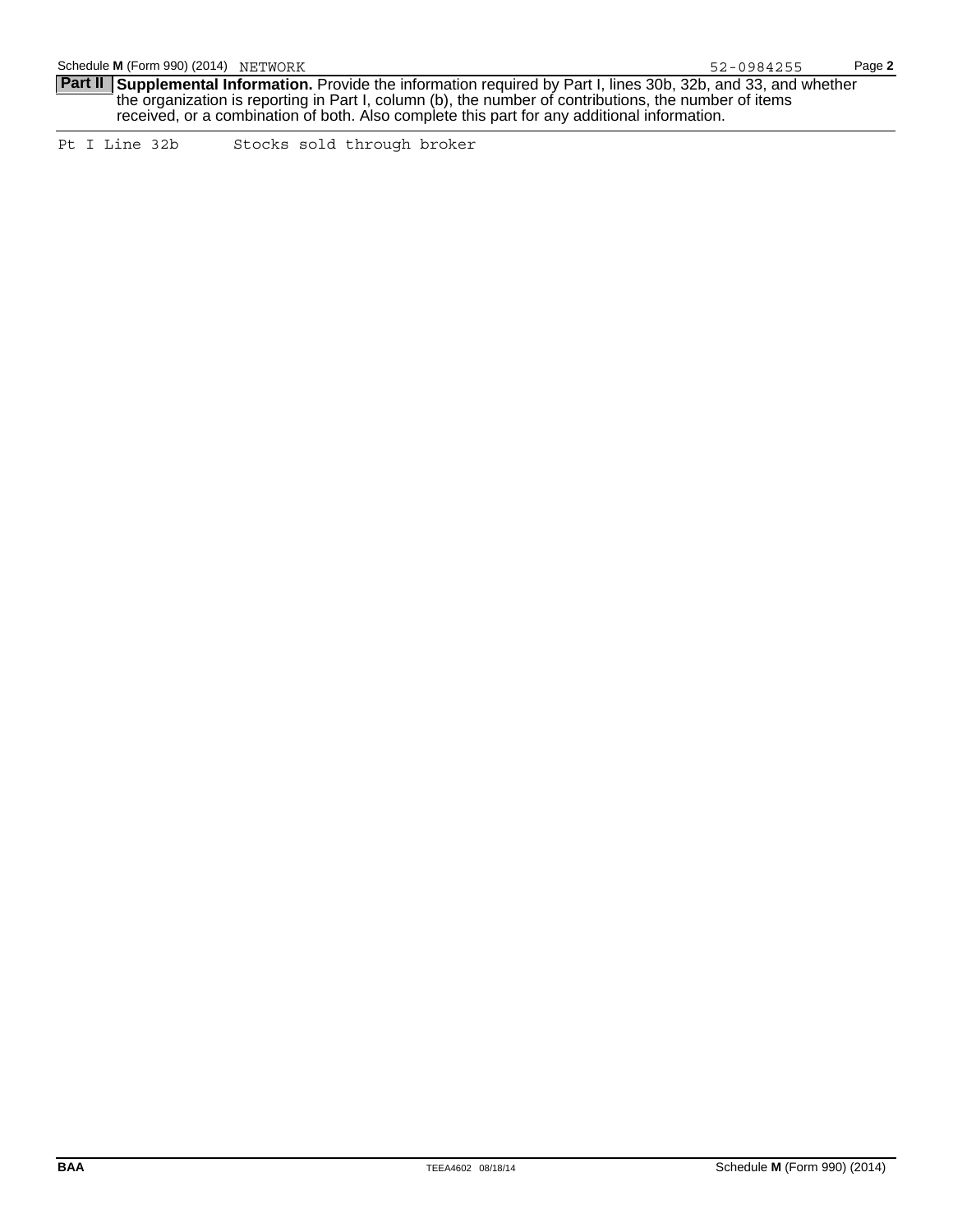**Part II** Supplemental Information. Provide the information required by Part I, lines 30b, 32b, and 33, and whether the organization is reporting in Part I, column (b), the number of contributions, the number of items received, or a combination of both. Also complete this part for any additional information.

Pt I Line 32b Stocks sold through broker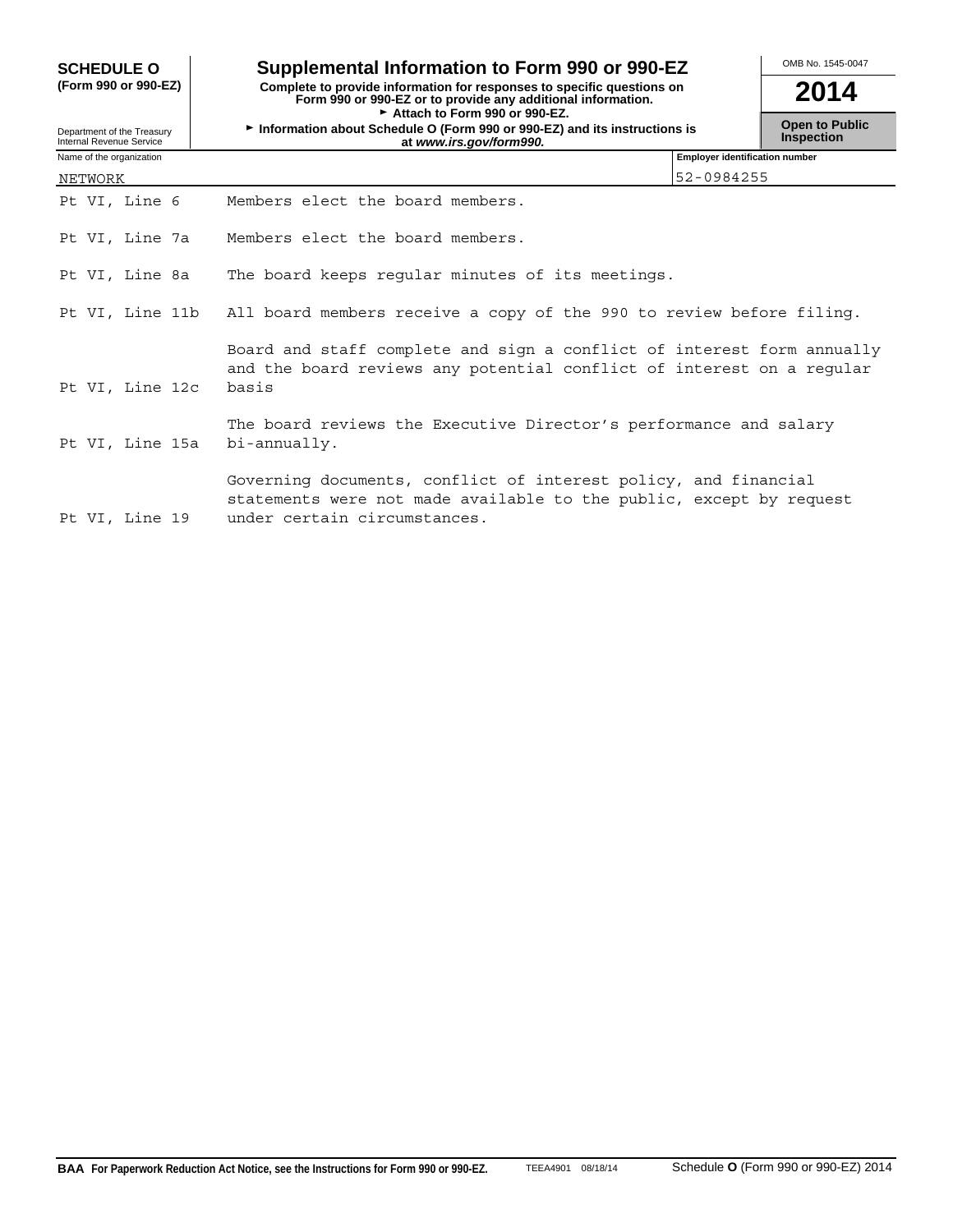| <b>SCHEDULE O</b>                                      | Supplemental Information to Form 990 or 990-EZ                                                                                                                         | OMB No. 1545-0047                          |
|--------------------------------------------------------|------------------------------------------------------------------------------------------------------------------------------------------------------------------------|--------------------------------------------|
| (Form 990 or 990-EZ)                                   | Complete to provide information for responses to specific questions on<br>Form 990 or 990-EZ or to provide any additional information.                                 | 2014                                       |
| Department of the Treasury<br>Internal Revenue Service | Attach to Form 990 or 990-EZ.<br>Information about Schedule O (Form 990 or 990-EZ) and its instructions is<br>at www.irs.gov/form990.                                  | <b>Open to Public</b><br><b>Inspection</b> |
| Name of the organization                               | <b>Employer identification number</b>                                                                                                                                  |                                            |
| NETWORK                                                | 52-0984255                                                                                                                                                             |                                            |
| Pt VI, Line 6                                          | Members elect the board members.                                                                                                                                       |                                            |
| Pt VI, Line 7a                                         | Members elect the board members.                                                                                                                                       |                                            |
| Pt VI, Line 8a                                         | The board keeps regular minutes of its meetings.                                                                                                                       |                                            |
| Pt VI, Line 11b                                        | All board members receive a copy of the 990 to review before filing.                                                                                                   |                                            |
| Pt VI, Line 12c                                        | Board and staff complete and sign a conflict of interest form annually<br>and the board reviews any potential conflict of interest on a regular<br>basis               |                                            |
| Pt VI, Line 15a                                        | The board reviews the Executive Director's performance and salary<br>$bi$ -annually.                                                                                   |                                            |
| Pt VI, Line 19                                         | Governing documents, conflict of interest policy, and financial<br>statements were not made available to the public, except by request<br>under certain circumstances. |                                            |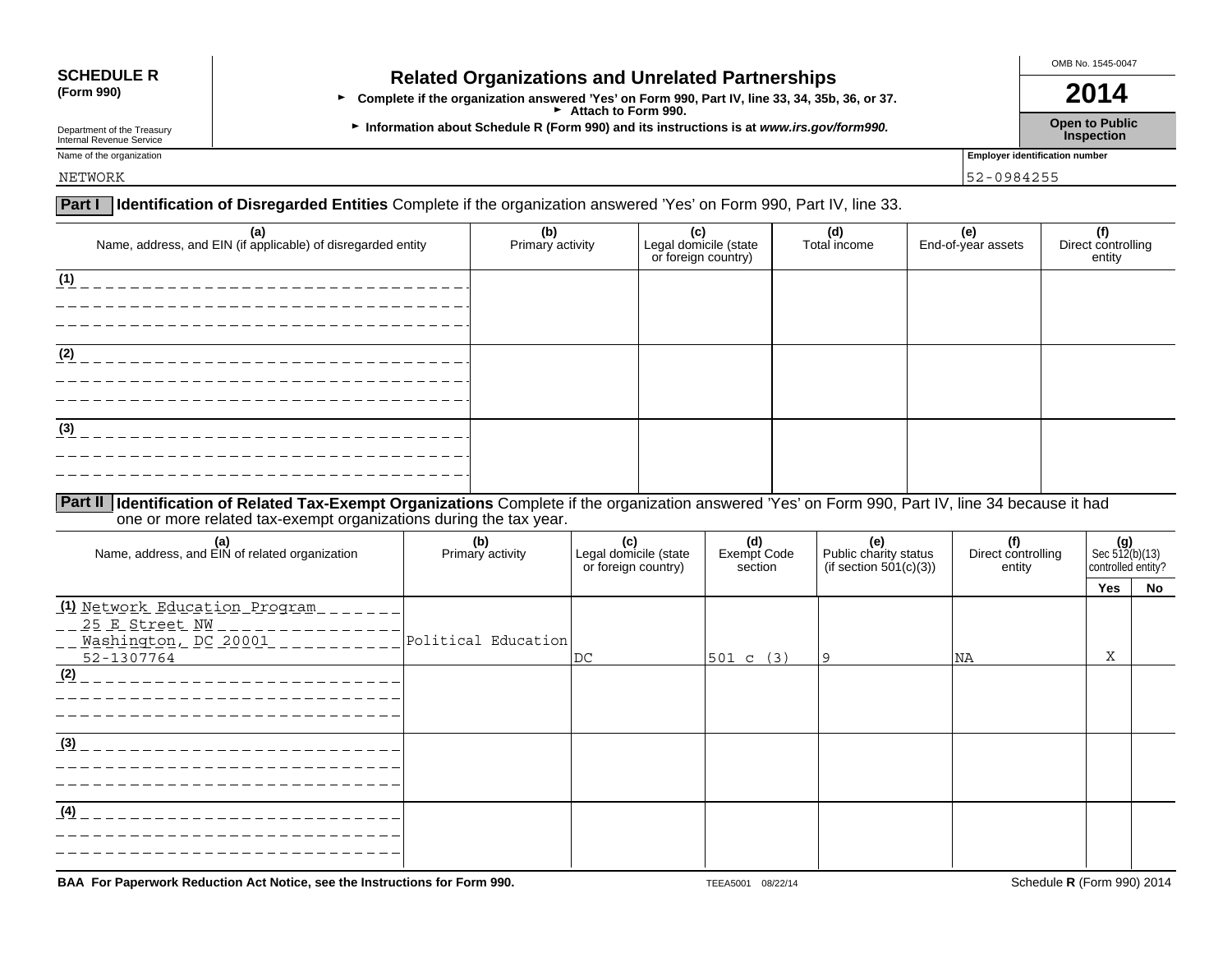# **SCHEDULE R Related Organizations and Unrelated Partnerships**<br>(Form 990) **Related Organizations and Unrelated Partnerships**

**•** Complete if the organization answered 'Yes' on Form 990, Part IV, line 33, 34, 35b, 36, or 37. **2014** Attach to Form 990.

Department of the Treasury **Information about Schedule R (Form 990) and its instructions is at** *www.irs.gov/form990.* **Open to Public inspection<br>Internal Revenue Service <b>Inspection** Department of the Treasury<br>Internal Revenue Service **Inspection**<br>Internal Revenue Service **Inspection** 

OMB No. 1545-0047

Name of the organization **Employer identification number** 

### NETWORK 52-0984255

## **Part I Identification of Disregarded Entities** Complete if the organization answered 'Yes' on Form 990, Part IV, line 33.

| (a)<br>Name, address, and EIN (if applicable) of disregarded entity | (b)<br>Primary activity | Legal domicile (state<br>or foreign country) | (d)<br>Total income | <b>e)</b><br>End-of-year assets | <b>CONTING (f)</b><br>  Direct controlling<br>  entity |
|---------------------------------------------------------------------|-------------------------|----------------------------------------------|---------------------|---------------------------------|--------------------------------------------------------|
| (1)                                                                 |                         |                                              |                     |                                 |                                                        |
| (2)                                                                 |                         |                                              |                     |                                 |                                                        |
| (3)                                                                 |                         |                                              |                     |                                 |                                                        |
| ---                                                                 |                         |                                              |                     |                                 |                                                        |

### **Part II Identification of Related Tax-Exempt Organizations** Complete if the organization answered 'Yes' on Form 990, Part IV, line 34 because it had one or more related tax-exempt organizations during the tax year.

| (a)<br>Name, address, and EIN of related organization                                 | (b)<br>Primary activity | (c)<br>Legal domicile (state<br>or foreign country) | (d)<br>Exempt Code<br>section | (e)<br>Public charity status<br>(if section $501(c)(3)$ ) | (f)<br>Direct controlling<br>entity | Sec 512(b)(13)<br>controlled entity? |    |
|---------------------------------------------------------------------------------------|-------------------------|-----------------------------------------------------|-------------------------------|-----------------------------------------------------------|-------------------------------------|--------------------------------------|----|
|                                                                                       |                         |                                                     |                               |                                                           |                                     | <b>Yes</b>                           | No |
| (1) Network Education Program<br>25 E Street NW<br>Washington, DC 20001<br>52-1307764 | Political Education     | DC                                                  | $501 \text{ c} (3)$           | l 9                                                       | <b>NA</b>                           | Χ                                    |    |
| (2)                                                                                   |                         |                                                     |                               |                                                           |                                     |                                      |    |
| (3)                                                                                   |                         |                                                     |                               |                                                           |                                     |                                      |    |
| (4)                                                                                   |                         |                                                     |                               |                                                           |                                     |                                      |    |

**BAA For Paperwork Reduction Act Notice, see the Instructions for Form 990.** TEEA5001 08/22/14 Schedule **R** (Form 990) 2014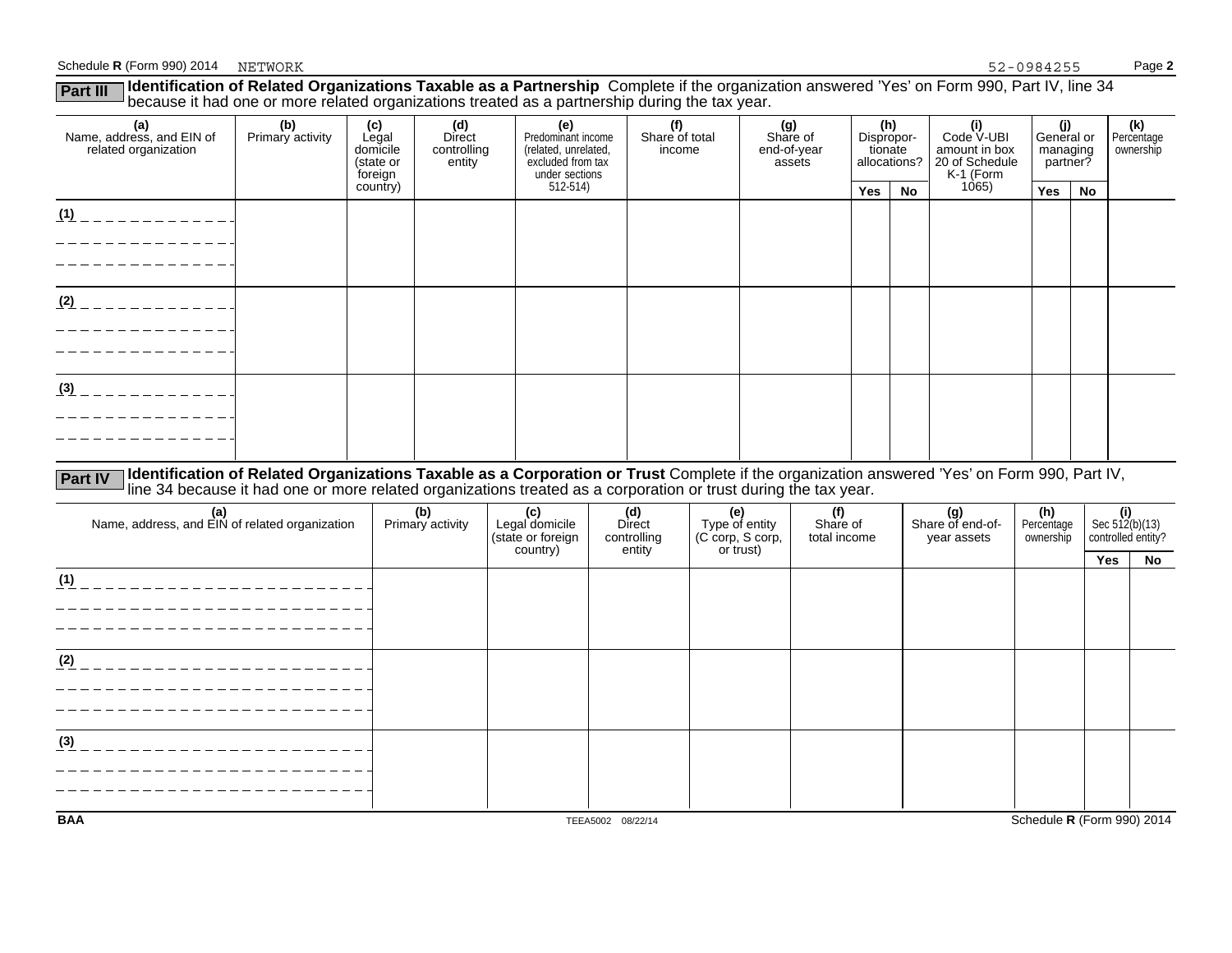### Schedule **R** (Form 990) 2014 NETWORK Page 2

| <b>Part III</b> | <b>Nentification of Related Organizations Taxable as a Partnership</b> Complete if the organization answered 'Yes' on Form 990, Part IV, line 34 |     |     |     |     |  |     |     |  |  |     |  |  |  |
|-----------------|--------------------------------------------------------------------------------------------------------------------------------------------------|-----|-----|-----|-----|--|-----|-----|--|--|-----|--|--|--|
|                 | Decause it had one or more related organizations treated as a partnership during the tax vear.                                                   |     |     |     |     |  |     |     |  |  |     |  |  |  |
|                 |                                                                                                                                                  | (b) | (C) | (d) | (e) |  | (g) | (h) |  |  | (k) |  |  |  |

| (a)<br>Name, address, and EIN of<br>related organization | (b)<br>Primary activity | (c)<br>Legal<br>domicile<br>(state or<br>foreign | (a)<br>Direct<br>controlling<br>entity | (e)<br>Predominant income<br>(r)<br>Share of total<br>(related, unrelated,<br>income<br>excluded from tax<br>under sections |  | (g)<br>Share of<br>end-of-year<br>assets |     | (n)<br>(I)<br>Code V-UBI<br>Dispropor-<br>amount in box<br>tionate<br>allocations?<br>20 of Schedule<br>K-1 (Form<br>1065) |  | (I)<br>General or<br>managing<br>partner? |    | (K)<br>Percentage<br>ownership |
|----------------------------------------------------------|-------------------------|--------------------------------------------------|----------------------------------------|-----------------------------------------------------------------------------------------------------------------------------|--|------------------------------------------|-----|----------------------------------------------------------------------------------------------------------------------------|--|-------------------------------------------|----|--------------------------------|
|                                                          |                         | country)                                         |                                        | 512-514)                                                                                                                    |  |                                          | Yes | No                                                                                                                         |  | Yes                                       | No |                                |
| (1)                                                      |                         |                                                  |                                        |                                                                                                                             |  |                                          |     |                                                                                                                            |  |                                           |    |                                |
|                                                          |                         |                                                  |                                        |                                                                                                                             |  |                                          |     |                                                                                                                            |  |                                           |    |                                |
| (2)                                                      |                         |                                                  |                                        |                                                                                                                             |  |                                          |     |                                                                                                                            |  |                                           |    |                                |
|                                                          |                         |                                                  |                                        |                                                                                                                             |  |                                          |     |                                                                                                                            |  |                                           |    |                                |
|                                                          |                         |                                                  |                                        |                                                                                                                             |  |                                          |     |                                                                                                                            |  |                                           |    |                                |
| (3)                                                      |                         |                                                  |                                        |                                                                                                                             |  |                                          |     |                                                                                                                            |  |                                           |    |                                |
|                                                          |                         |                                                  |                                        |                                                                                                                             |  |                                          |     |                                                                                                                            |  |                                           |    |                                |
|                                                          |                         |                                                  |                                        |                                                                                                                             |  |                                          |     |                                                                                                                            |  |                                           |    |                                |

Part IV Identification of Related Organizations Taxable as a Corporation or Trust Complete if the organization answered 'Yes' on Form 990, Part IV,<br>line 34 because it had one or more related organizations treated as a corp

| (a)<br>Name, address, and EIN of related organization | (b)<br>Primary activity | (c)<br>Legal domicile<br>(state or foreign<br>country) | (d)<br>Direct<br>controlling<br>entity | (e)<br>Type of entity<br>(C corp, S corp,<br>or trust) | (f)<br>Share of<br>total income | (g)<br>Share of end-of-<br>year assets | (h)<br>Percentage<br>ownership | $\left\{\n \begin{array}{l}\n \text{(i)} \\  \text{Sec } 512(b)(13) \\  \text{controlled entity?}\n \end{array}\n\right.$ |    |  |
|-------------------------------------------------------|-------------------------|--------------------------------------------------------|----------------------------------------|--------------------------------------------------------|---------------------------------|----------------------------------------|--------------------------------|---------------------------------------------------------------------------------------------------------------------------|----|--|
|                                                       |                         |                                                        |                                        |                                                        |                                 |                                        |                                | Yes                                                                                                                       | No |  |
| (1)                                                   |                         |                                                        |                                        |                                                        |                                 |                                        |                                |                                                                                                                           |    |  |
|                                                       |                         |                                                        |                                        |                                                        |                                 |                                        |                                |                                                                                                                           |    |  |
|                                                       |                         |                                                        |                                        |                                                        |                                 |                                        |                                |                                                                                                                           |    |  |
|                                                       |                         |                                                        |                                        |                                                        |                                 |                                        |                                |                                                                                                                           |    |  |
| (2)                                                   |                         |                                                        |                                        |                                                        |                                 |                                        |                                |                                                                                                                           |    |  |
|                                                       |                         |                                                        |                                        |                                                        |                                 |                                        |                                |                                                                                                                           |    |  |
|                                                       |                         |                                                        |                                        |                                                        |                                 |                                        |                                |                                                                                                                           |    |  |
|                                                       |                         |                                                        |                                        |                                                        |                                 |                                        |                                |                                                                                                                           |    |  |
| (3)                                                   |                         |                                                        |                                        |                                                        |                                 |                                        |                                |                                                                                                                           |    |  |
|                                                       |                         |                                                        |                                        |                                                        |                                 |                                        |                                |                                                                                                                           |    |  |
|                                                       |                         |                                                        |                                        |                                                        |                                 |                                        |                                |                                                                                                                           |    |  |
|                                                       |                         |                                                        |                                        |                                                        |                                 |                                        |                                |                                                                                                                           |    |  |
|                                                       |                         |                                                        |                                        |                                                        |                                 |                                        |                                |                                                                                                                           |    |  |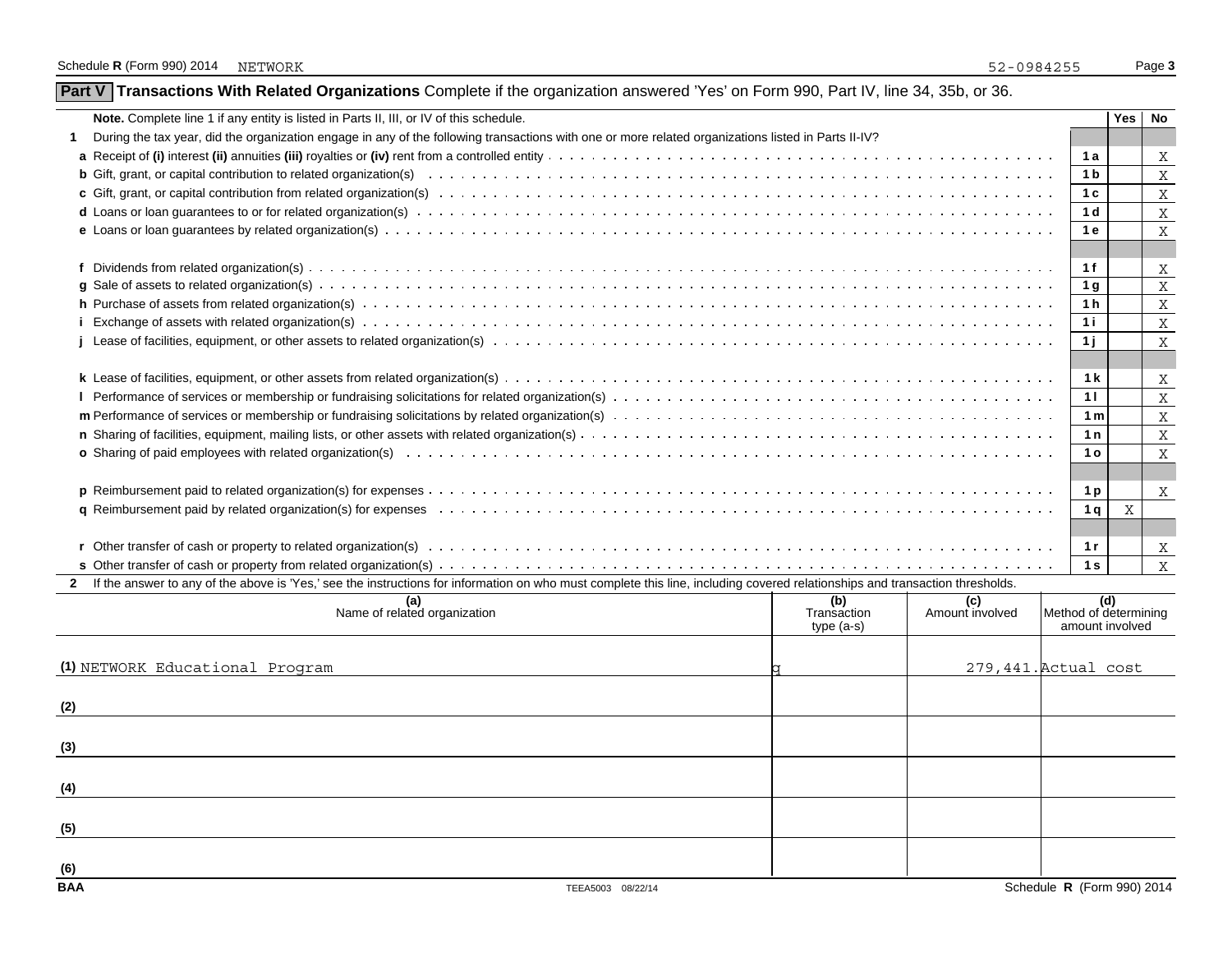|  | Part V   Transactions With Related Organizations Complete if the organization answered 'Yes' on Form 990, Part IV, line 34, 35b, or 36. |  |  |  |  |  |
|--|-----------------------------------------------------------------------------------------------------------------------------------------|--|--|--|--|--|
|--|-----------------------------------------------------------------------------------------------------------------------------------------|--|--|--|--|--|

| <b>Note.</b> Complete line 1 if any entity is listed in Parts II, III, or IV of this schedule.                                                                                 |                | Yes I        | No                        |
|--------------------------------------------------------------------------------------------------------------------------------------------------------------------------------|----------------|--------------|---------------------------|
| During the tax year, did the organization engage in any of the following transactions with one or more related organizations listed in Parts II-IV?                            |                |              |                           |
|                                                                                                                                                                                | 1 a            |              | X                         |
|                                                                                                                                                                                | 1 <sub>b</sub> |              | X                         |
|                                                                                                                                                                                | 1 <sub>c</sub> |              | $\mathbf{X}$              |
|                                                                                                                                                                                | 1 <sub>d</sub> |              | $\mathbf{X}$              |
|                                                                                                                                                                                | 1e             |              | $\mathbf{X}$              |
|                                                                                                                                                                                |                |              |                           |
|                                                                                                                                                                                | 1f             |              | X                         |
|                                                                                                                                                                                | 1 g            |              | $\mathbf X$               |
|                                                                                                                                                                                | 1 <sub>h</sub> |              | $\mathbf{X}$              |
|                                                                                                                                                                                | 1 i            |              | $\boldsymbol{\mathrm{X}}$ |
|                                                                                                                                                                                | 1j             |              | $\mathbf{X}$              |
|                                                                                                                                                                                |                |              |                           |
|                                                                                                                                                                                | 1 <sub>k</sub> |              | X                         |
|                                                                                                                                                                                | 11             |              | $\mathbf{X}$              |
|                                                                                                                                                                                | 1 <sub>m</sub> |              | $\mathbf{X}$              |
|                                                                                                                                                                                | 1n             |              | X                         |
|                                                                                                                                                                                | 1 <sub>o</sub> |              | $\mathbf{X}$              |
|                                                                                                                                                                                |                |              |                           |
|                                                                                                                                                                                | 1 <sub>p</sub> |              | $\mathbf{X}$              |
|                                                                                                                                                                                | 1q             | $\mathbf{X}$ |                           |
|                                                                                                                                                                                |                |              |                           |
|                                                                                                                                                                                | 1r             |              | X                         |
|                                                                                                                                                                                | 1 <sub>s</sub> |              | X                         |
| 2 If the answer to any of the above is 'Yes,' see the instructions for information on who must complete this line, including covered relationships and transaction thresholds. |                |              |                           |

| (a)<br>Name of related organization    | $\tilde{\phantom{a}}$<br>(b)<br>Transaction<br>type (a-s) | (c)<br>Amount involved | Method of determining<br>amount involved |
|----------------------------------------|-----------------------------------------------------------|------------------------|------------------------------------------|
| (1) NETWORK Educational Program        |                                                           |                        | 279,441. Actual cost                     |
| (2)                                    |                                                           |                        |                                          |
| (3)                                    |                                                           |                        |                                          |
| (4)                                    |                                                           |                        |                                          |
| (5)                                    |                                                           |                        |                                          |
| (6)<br><b>BAA</b><br>TEEA5003 08/22/14 |                                                           |                        | Schedule R (Form 990) 2014               |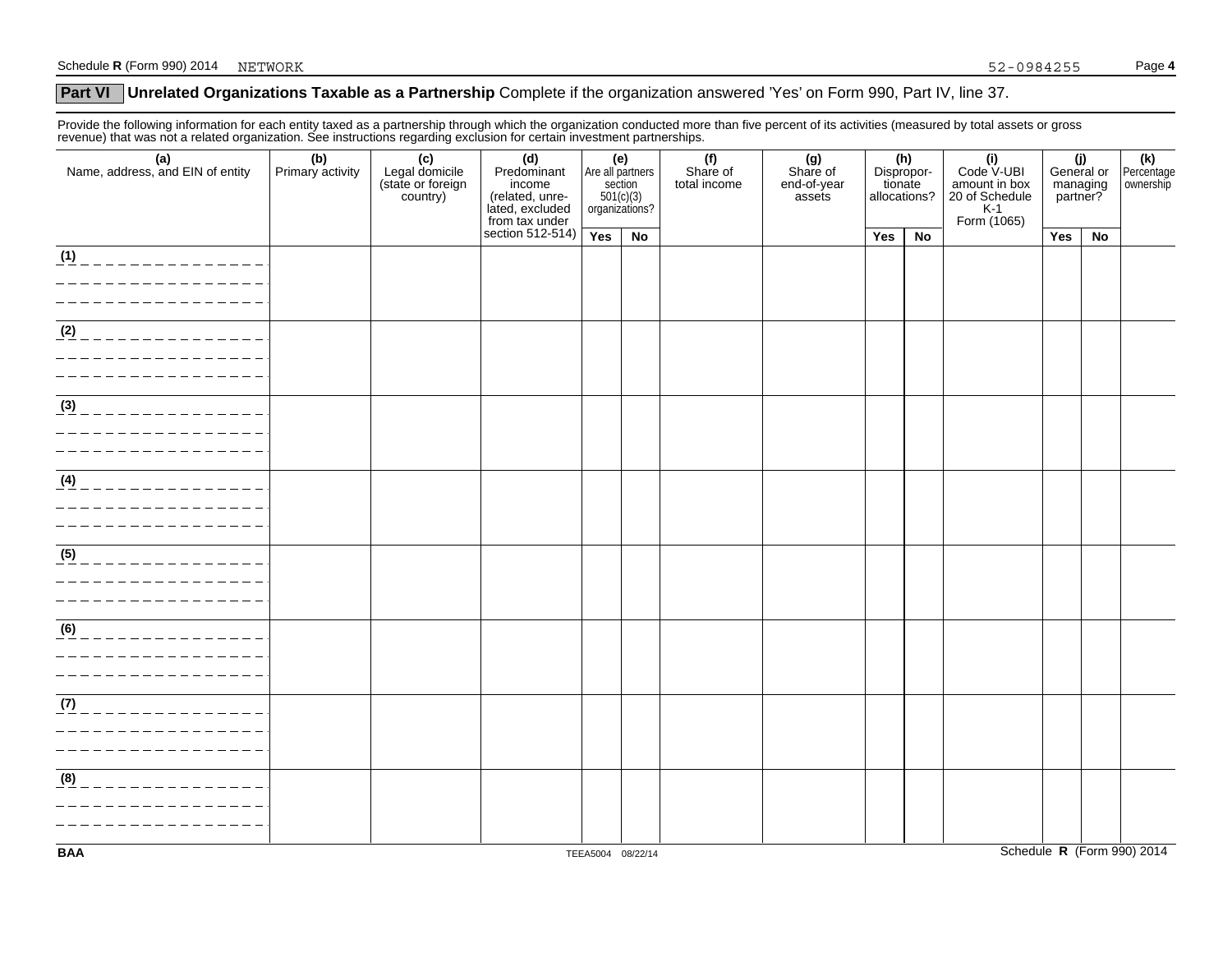### **Part VI** Unrelated Organizations Taxable as a Partnership Complete if the organization answered 'Yes' on Form 990, Part IV, line 37.

Provide the following information for each entity taxed as a partnership through which the organization conducted more than five percent of its activities (measured by total assets or gross revenue) that was not a related organization. See instructions regarding exclusion for certain investment partnerships.

| $\sim$ $\sim$                                                                                                  |                         |                                                        |                                                                                      |                   | .                                               |                                 |                                          |                         |                   |                                                                              |                                           |    |                                |
|----------------------------------------------------------------------------------------------------------------|-------------------------|--------------------------------------------------------|--------------------------------------------------------------------------------------|-------------------|-------------------------------------------------|---------------------------------|------------------------------------------|-------------------------|-------------------|------------------------------------------------------------------------------|-------------------------------------------|----|--------------------------------|
| (a)<br>Name, address, and EIN of entity                                                                        | (b)<br>Primary activity | (c)<br>Legal domicile<br>(state or foreign<br>country) | (d)<br>Predominant<br>income<br>(related, unre-<br>lated, excluded<br>from tax under | Are all partners  | (e)<br>section<br>$501(c)(3)$<br>organizations? | (f)<br>Share of<br>total income | (g)<br>Share of<br>end-of-year<br>assets | tionate<br>allocations? | (h)<br>Dispropor- | $(i)$<br>Code V-UBI<br>amount in box<br>20 of Schedule<br>K-1<br>Form (1065) | (j)<br>General or<br>managing<br>partner? |    | (k)<br>Percentage<br>ownership |
|                                                                                                                |                         |                                                        | section 512-514)                                                                     | Yes               | No                                              |                                 |                                          | Yes                     | No                |                                                                              | Yes                                       | No |                                |
| (1)<br>______________<br>_________________<br>_ _ _ _ _ _ _ _ _ _ _ _ _ _ _                                    |                         |                                                        |                                                                                      |                   |                                                 |                                 |                                          |                         |                   |                                                                              |                                           |    |                                |
| $\overline{22}$ _ _ _ _ _ _ _ _ _ _ _ _ _ _ _ _ _<br>_ _ _ _ _ _ _ _ _ _ _ _ _ _ _ _<br>_________________      |                         |                                                        |                                                                                      |                   |                                                 |                                 |                                          |                         |                   |                                                                              |                                           |    |                                |
| $\frac{3}{1}$ _ _ _ _ _ _ _ _ _ _ _ _ _ _ _                                                                    |                         |                                                        |                                                                                      |                   |                                                 |                                 |                                          |                         |                   |                                                                              |                                           |    |                                |
| $(4)$ _ _ _ _ _ _ _ _ _ _ _ _ _ _ _                                                                            |                         |                                                        |                                                                                      |                   |                                                 |                                 |                                          |                         |                   |                                                                              |                                           |    |                                |
| (5)<br>_ _ _ _ _ _ _ _ _ _ _ _ _ _ _                                                                           |                         |                                                        |                                                                                      |                   |                                                 |                                 |                                          |                         |                   |                                                                              |                                           |    |                                |
| $\overline{\frac{6}{6}}$ - - - - - - - - - - - - - -<br>_ _ _ _ _ _ _ _ _ _ _ _ _ _ _ _ _<br>_________________ |                         |                                                        |                                                                                      |                   |                                                 |                                 |                                          |                         |                   |                                                                              |                                           |    |                                |
| $(7)$ _ _ _ _ _ _ _ _ _ _ _ _ _ _ _ _<br>_________________<br>__________________                               |                         |                                                        |                                                                                      |                   |                                                 |                                 |                                          |                         |                   |                                                                              |                                           |    |                                |
| (8)<br>______________                                                                                          |                         |                                                        |                                                                                      |                   |                                                 |                                 |                                          |                         |                   |                                                                              |                                           |    |                                |
| <b>BAA</b>                                                                                                     |                         |                                                        |                                                                                      | TEEA5004 08/22/14 |                                                 |                                 |                                          |                         |                   |                                                                              |                                           |    | Schedule R (Form 990) 2014     |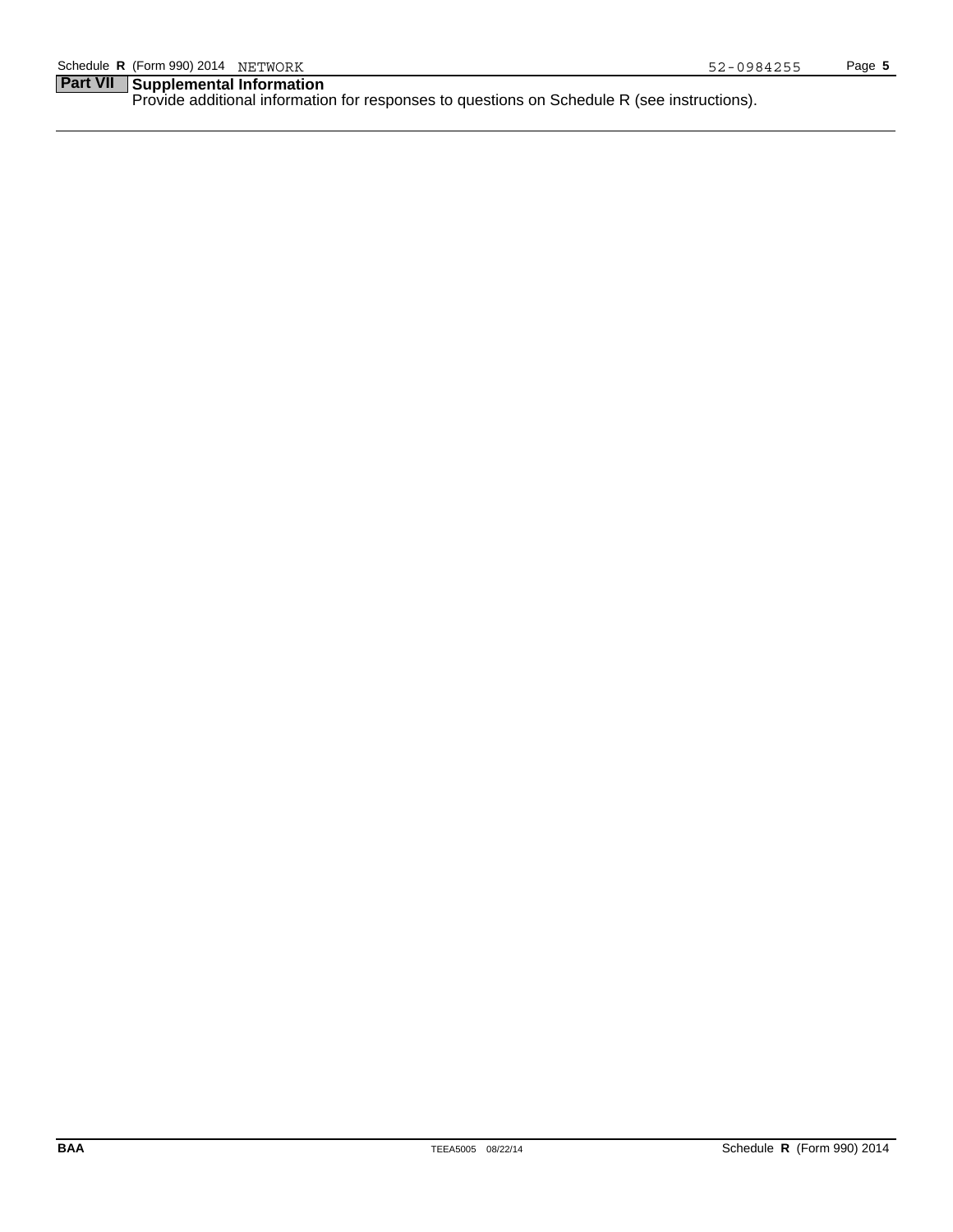**Part VII Supplemental Information** Provide additional information for responses to questions on Schedule R (see instructions).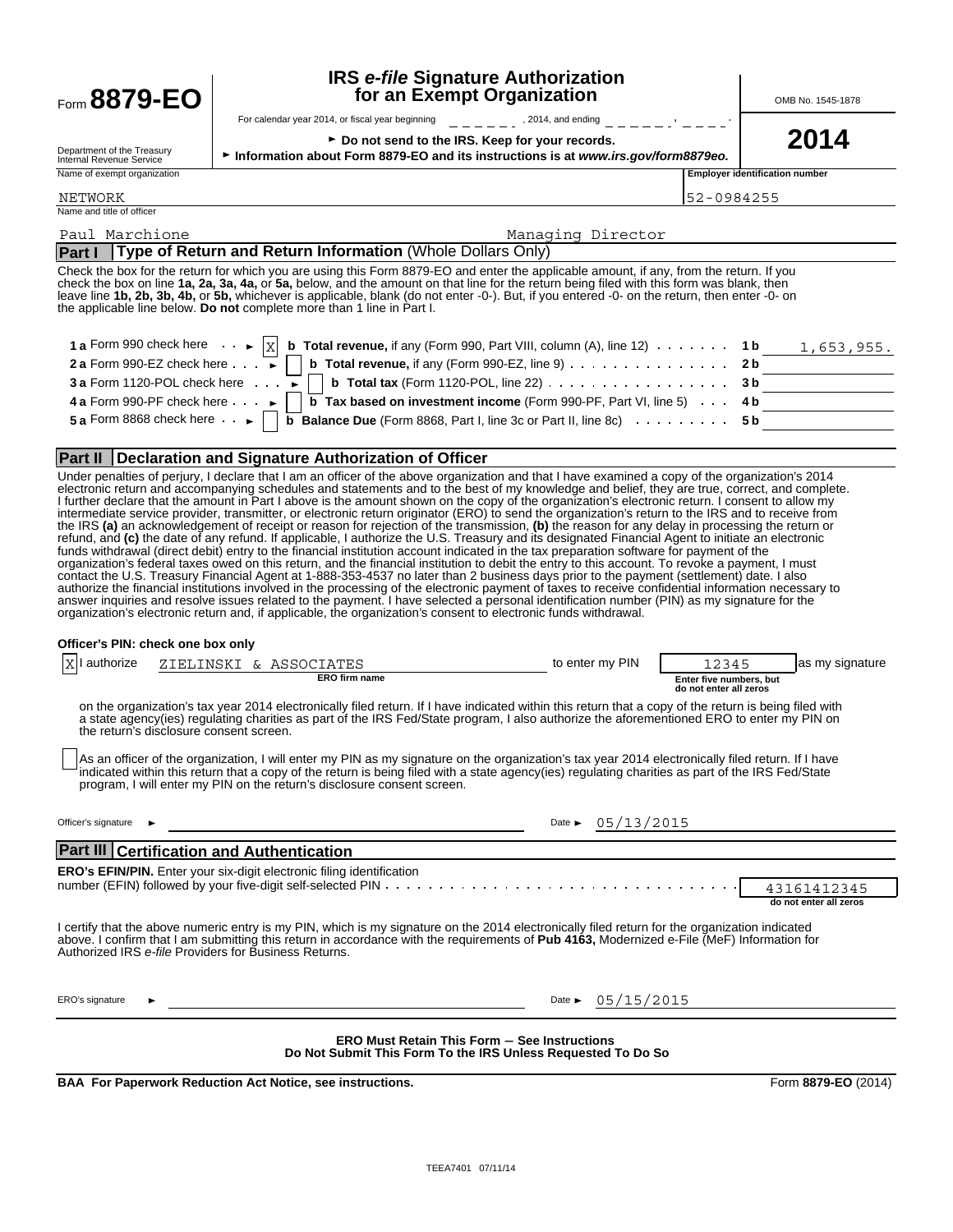| Form 8879-EO                                           | <b>IRS e-file Signature Authorization</b><br>for an Exempt Organization                                                                                                                                                                                                                                                                                                                                                                                                                                                                                                                                                                                                                                                                                                                                                                                                                                                                                                                                                                                                                                                                                                                                                                                                                                                                                                                                                                                                          |                                                                                          |                                                            | OMB No. 1545-1878                     |
|--------------------------------------------------------|----------------------------------------------------------------------------------------------------------------------------------------------------------------------------------------------------------------------------------------------------------------------------------------------------------------------------------------------------------------------------------------------------------------------------------------------------------------------------------------------------------------------------------------------------------------------------------------------------------------------------------------------------------------------------------------------------------------------------------------------------------------------------------------------------------------------------------------------------------------------------------------------------------------------------------------------------------------------------------------------------------------------------------------------------------------------------------------------------------------------------------------------------------------------------------------------------------------------------------------------------------------------------------------------------------------------------------------------------------------------------------------------------------------------------------------------------------------------------------|------------------------------------------------------------------------------------------|------------------------------------------------------------|---------------------------------------|
| Department of the Treasury<br>Internal Revenue Service | For calendar year 2014, or fiscal year beginning<br>► Do not send to the IRS. Keep for your records.<br>Information about Form 8879-EO and its instructions is at www.irs.gov/form8879eo.                                                                                                                                                                                                                                                                                                                                                                                                                                                                                                                                                                                                                                                                                                                                                                                                                                                                                                                                                                                                                                                                                                                                                                                                                                                                                        |                                                                                          |                                                            | 2014                                  |
| Name of exempt organization                            |                                                                                                                                                                                                                                                                                                                                                                                                                                                                                                                                                                                                                                                                                                                                                                                                                                                                                                                                                                                                                                                                                                                                                                                                                                                                                                                                                                                                                                                                                  |                                                                                          |                                                            | <b>Employer identification number</b> |
| NETWORK                                                |                                                                                                                                                                                                                                                                                                                                                                                                                                                                                                                                                                                                                                                                                                                                                                                                                                                                                                                                                                                                                                                                                                                                                                                                                                                                                                                                                                                                                                                                                  |                                                                                          | 52-0984255                                                 |                                       |
| Name and title of officer                              |                                                                                                                                                                                                                                                                                                                                                                                                                                                                                                                                                                                                                                                                                                                                                                                                                                                                                                                                                                                                                                                                                                                                                                                                                                                                                                                                                                                                                                                                                  |                                                                                          |                                                            |                                       |
| Paul Marchione                                         |                                                                                                                                                                                                                                                                                                                                                                                                                                                                                                                                                                                                                                                                                                                                                                                                                                                                                                                                                                                                                                                                                                                                                                                                                                                                                                                                                                                                                                                                                  | Managing Director                                                                        |                                                            |                                       |
| Part I                                                 | Type of Return and Return Information (Whole Dollars Only)                                                                                                                                                                                                                                                                                                                                                                                                                                                                                                                                                                                                                                                                                                                                                                                                                                                                                                                                                                                                                                                                                                                                                                                                                                                                                                                                                                                                                       |                                                                                          |                                                            |                                       |
|                                                        | Check the box for the return for which you are using this Form 8879-EO and enter the applicable amount, if any, from the return. If you<br>check the box on line 1a, 2a, 3a, 4a, or 5a, below, and the amount on that line for the return being filed with this form was blank, then<br>leave line 1b, 2b, 3b, 4b, or 5b, whichever is applicable, blank (do not enter -0-). But, if you entered -0- on the return, then enter -0- on<br>the applicable line below. Do not complete more than 1 line in Part I.                                                                                                                                                                                                                                                                                                                                                                                                                                                                                                                                                                                                                                                                                                                                                                                                                                                                                                                                                                  |                                                                                          |                                                            |                                       |
| 1 a Form 990 check here $\mathbf{K}$   $\mathbf{X}$    | <b>b</b> Total revenue, if any (Form 990, Part VIII, column $(A)$ , line $12$ ) $\ldots$                                                                                                                                                                                                                                                                                                                                                                                                                                                                                                                                                                                                                                                                                                                                                                                                                                                                                                                                                                                                                                                                                                                                                                                                                                                                                                                                                                                         |                                                                                          |                                                            | 1 <b>b</b> 1,653,955.                 |
| 2 a Form 990-EZ check here $\cdots$                    |                                                                                                                                                                                                                                                                                                                                                                                                                                                                                                                                                                                                                                                                                                                                                                                                                                                                                                                                                                                                                                                                                                                                                                                                                                                                                                                                                                                                                                                                                  | <b>b</b> Total revenue, if any (Form 990-EZ, line 9) $\ldots$                            | 2 <sub>b</sub>                                             |                                       |
| <b>3 a Form 1120-POL check here</b>                    |                                                                                                                                                                                                                                                                                                                                                                                                                                                                                                                                                                                                                                                                                                                                                                                                                                                                                                                                                                                                                                                                                                                                                                                                                                                                                                                                                                                                                                                                                  | <b>b</b> Total tax (Form 1120-POL, line 22) $\ldots$ $\ldots$ $\ldots$ $\ldots$ $\ldots$ | 3 <sub>b</sub>                                             |                                       |
| 4 a Form 990-PF check here $\cdots$                    |                                                                                                                                                                                                                                                                                                                                                                                                                                                                                                                                                                                                                                                                                                                                                                                                                                                                                                                                                                                                                                                                                                                                                                                                                                                                                                                                                                                                                                                                                  | <b>b</b> Tax based on investment income (Form 990-PF, Part VI, line 5)                   | 4 b                                                        |                                       |
| 5 a Form 8868 check here $\vert \cdot \vert$           | <b>b Balance Due</b> (Form 8868, Part I, line 3c or Part II, line 8c) $\ldots \ldots \ldots$                                                                                                                                                                                                                                                                                                                                                                                                                                                                                                                                                                                                                                                                                                                                                                                                                                                                                                                                                                                                                                                                                                                                                                                                                                                                                                                                                                                     |                                                                                          | 5 b                                                        |                                       |
|                                                        | Part II   Declaration and Signature Authorization of Officer                                                                                                                                                                                                                                                                                                                                                                                                                                                                                                                                                                                                                                                                                                                                                                                                                                                                                                                                                                                                                                                                                                                                                                                                                                                                                                                                                                                                                     |                                                                                          |                                                            |                                       |
|                                                        | I further declare that the amount in Part I above is the amount shown on the copy of the organization's electronic return. I consent to allow my<br>intermediate service provider, transmitter, or electronic return originator (ERO) to send the organization's return to the IRS and to receive from<br>the IRS (a) an acknowledgement of receipt or reason for rejection of the transmission, (b) the reason for any delay in processing the return or<br>refund, and (c) the date of any refund. If applicable, I authorize the U.S. Treasury and its designated Financial Agent to initiate an electronic<br>funds withdrawal (direct debit) entry to the financial institution account indicated in the tax preparation software for payment of the<br>organization's federal taxes owed on this return, and the financial institution to debit the entry to this account. To revoke a payment, I must<br>contact the U.S. Treasury Financial Agent at 1-888-353-4537 no later than 2 business days prior to the payment (settlement) date. I also<br>authorize the financial institutions involved in the processing of the electronic payment of taxes to receive confidential information necessary to<br>answer inquiries and resolve issues related to the payment. I have selected a personal identification number (PIN) as my signature for the<br>organization's electronic return and, if applicable, the organization's consent to electronic funds withdrawal. |                                                                                          |                                                            |                                       |
| Officer's PIN: check one box only                      |                                                                                                                                                                                                                                                                                                                                                                                                                                                                                                                                                                                                                                                                                                                                                                                                                                                                                                                                                                                                                                                                                                                                                                                                                                                                                                                                                                                                                                                                                  |                                                                                          |                                                            |                                       |
| X I authorize                                          | ZIELINSKI & ASSOCIATES<br><b>ERO</b> firm name                                                                                                                                                                                                                                                                                                                                                                                                                                                                                                                                                                                                                                                                                                                                                                                                                                                                                                                                                                                                                                                                                                                                                                                                                                                                                                                                                                                                                                   | to enter my PIN                                                                          | 12345<br>Enter five numbers, but<br>do not enter all zeros | as my signature                       |
| the return's disclosure consent screen.                | on the organization's tax year 2014 electronically filed return. If I have indicated within this return that a copy of the return is being filed with<br>a state agency(ies) regulating charities as part of the IRS Fed/State program, I also authorize the aforementioned ERO to enter my PIN on                                                                                                                                                                                                                                                                                                                                                                                                                                                                                                                                                                                                                                                                                                                                                                                                                                                                                                                                                                                                                                                                                                                                                                               |                                                                                          |                                                            |                                       |
|                                                        | As an officer of the organization, I will enter my PIN as my signature on the organization's tax year 2014 electronically filed return. If I have<br>indicated within this return that a copy of the return is being filed with a state agency(ies) regulating charities as part of the IRS Fed/State<br>program, I will enter my PIN on the return's disclosure consent screen.                                                                                                                                                                                                                                                                                                                                                                                                                                                                                                                                                                                                                                                                                                                                                                                                                                                                                                                                                                                                                                                                                                 |                                                                                          |                                                            |                                       |
| Officer's signature                                    |                                                                                                                                                                                                                                                                                                                                                                                                                                                                                                                                                                                                                                                                                                                                                                                                                                                                                                                                                                                                                                                                                                                                                                                                                                                                                                                                                                                                                                                                                  | 05/13/2015<br>Date $\blacktriangleright$                                                 |                                                            |                                       |
| Part III Certification and Authentication              |                                                                                                                                                                                                                                                                                                                                                                                                                                                                                                                                                                                                                                                                                                                                                                                                                                                                                                                                                                                                                                                                                                                                                                                                                                                                                                                                                                                                                                                                                  |                                                                                          |                                                            |                                       |
|                                                        | ERO's EFIN/PIN. Enter your six-digit electronic filing identification                                                                                                                                                                                                                                                                                                                                                                                                                                                                                                                                                                                                                                                                                                                                                                                                                                                                                                                                                                                                                                                                                                                                                                                                                                                                                                                                                                                                            |                                                                                          |                                                            |                                       |
|                                                        |                                                                                                                                                                                                                                                                                                                                                                                                                                                                                                                                                                                                                                                                                                                                                                                                                                                                                                                                                                                                                                                                                                                                                                                                                                                                                                                                                                                                                                                                                  |                                                                                          |                                                            | 43161412345                           |
|                                                        |                                                                                                                                                                                                                                                                                                                                                                                                                                                                                                                                                                                                                                                                                                                                                                                                                                                                                                                                                                                                                                                                                                                                                                                                                                                                                                                                                                                                                                                                                  |                                                                                          |                                                            | do not enter all zeros                |

I certify that the above numeric entry is my PIN, which is my signature on the 2014 electronically filed return for the organization indicated above. I confirm that I am submitting this return in accordance with the requirements of **Pub 4163,** Modernized e-File (MeF) Information for Authorized IRS *e-file* Providers for Business Returns.

 $ERO's signature$ 

Date  $\triangleright$  05/15/2015

**ERO Must Retain This Form** ' **See Instructions Do Not Submit This Form To the IRS Unless Requested To Do So**

**BAA For Paperwork Reduction Act Notice, see instructions.** Form 8879-EO (2014)